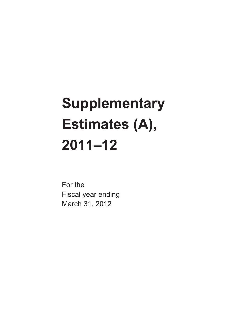# **Supplementary Estimates (A), 2011–12**

For the Fiscal year ending March 31, 2012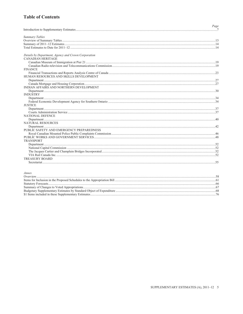## **Table of Contents**

|                                                     | Page |
|-----------------------------------------------------|------|
|                                                     |      |
| Summary Tables                                      |      |
|                                                     |      |
|                                                     |      |
|                                                     |      |
|                                                     |      |
| Details by Department, Agency and Crown Corporation |      |
| <b>CANADIAN HERITAGE</b>                            |      |
|                                                     |      |
|                                                     |      |
| <b>FINANCE</b>                                      |      |
|                                                     |      |
| HUMAN RESOURCES AND SKILLS DEVELOPMENT              |      |
|                                                     |      |
|                                                     |      |
| INDIAN AFFAIRS AND NORTHERN DEVELOPMENT             |      |
|                                                     |      |
| <b>INDUSTRY</b>                                     |      |
|                                                     |      |
|                                                     |      |
| <b>JUSTICE</b>                                      |      |
|                                                     |      |
|                                                     |      |
| <b>NATIONAL DEFENCE</b>                             |      |
|                                                     |      |
| NATURAL RESOURCES                                   |      |
|                                                     |      |
| PUBLIC SAFETY AND EMERGENCY PREPAREDNESS            |      |
|                                                     |      |
|                                                     |      |
| <b>TRANSPORT</b>                                    |      |
|                                                     |      |
|                                                     |      |
|                                                     |      |
|                                                     |      |
| <b>TREASURY BOARD</b>                               |      |
|                                                     |      |
|                                                     |      |

#### $Annex$

| . |  |
|---|--|
|   |  |
|   |  |
|   |  |
|   |  |
|   |  |
|   |  |
|   |  |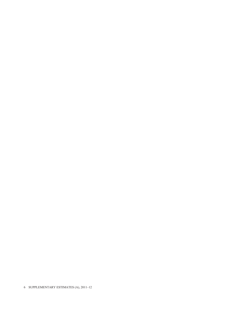6 SUPPLEMENTARY ESTIMATES (A), 2011–12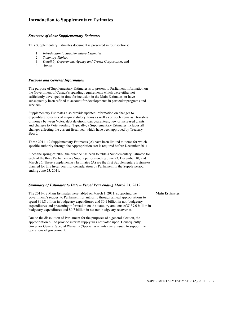#### <span id="page-4-0"></span>*Structure of these Supplementary Estimates*

This Supplementary Estimates document is presented in four sections:

- 1. *Introduction to Supplementary Estimates*;
- 2. *Summary Tables*;
- 3. *Detail by Department, Agency and Crown Corporation*; and
- 4. *Annex*.

#### *Purpose and General Information*

The purpose of Supplementary Estimates is to present to Parliament information on the Government of Canada's spending requirements which were either not sufficiently developed in time for inclusion in the Main Estimates, or have subsequently been refined to account for developments in particular programs and services.

Supplementary Estimates also provide updated information on changes to expenditure forecasts of major statutory items as well as on such items as: transfers of money between Votes; debt deletion; loan guarantees; new or increased grants; and changes to Vote wording. Typically, a Supplementary Estimates includes all changes affecting the current fiscal year which have been approved by Treasury Board.

These 2011–12 Supplementary Estimates (A) have been limited to items for which specific authority through the Appropriation Act is required before December 2011.

Since the spring of 2007, the practice has been to table a Supplementary Estimate for each of the three Parliamentary Supply periods ending June 23, December 10, and March 26. These Supplementary Estimates (A) are the first Supplementary Estimates planned for this fiscal year, for consideration by Parliament in the Supply period ending June 23, 2011.

#### *Summary of Estimates to Date – Fiscal Year ending March 31, 2012*

The 2011–12 Main Estimates were tabled on March 1, 2011, supporting the government's request to Parliament for authority through annual appropriations to spend \$91.8 billion in budgetary expenditures and \$0.1 billion in non-budgetary expenditures and presenting information on the statutory amounts of \$159.0 billion in budgetary expenditures and \$0.7 billion in net non-budgetary recoveries.

Due to the dissolution of Parliament for the purposes of a general election, the appropriation bill to provide interim supply was not voted upon. Consequently, Governor General Special Warrants (Special Warrants) were issued to support the operations of government.

#### **Main Estimates**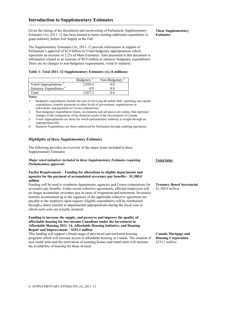#### **Introduction to Supplementary Estimates**

Given the timing of the dissolution and reconvening of Parliament, Supplementary Estimates (A), 2011–12 has been limited to items needing additional expenditure or grant authority before Full Supply in the Fall.

The Supplementary Estimates (A), 2011–12 provide information in support of Parliament's approval of \$2.0 billion in Voted budgetary appropriations which represents an increase of 2.2% of Main Estimates. Also presented in this document is information related to an increase of \$0.9 million in statutory budgetary expenditures. There are no changes to non-budgetary requirements, voted or statutory.

#### **Table 1: Total 2011–12 Supplementary Estimates (A) (\$ millions)**

|                                     | Budgetary | Non-Budgetary <sup>2</sup> |
|-------------------------------------|-----------|----------------------------|
| Voted Appropriations <sup>3</sup>   | 2.026.4   | ን በ                        |
| Statutory Expenditures <sup>4</sup> | 09        |                            |
| Total                               | 2.027.    |                            |

**Notes:** 

- 1. Budgetary expenditures include the cost of servicing the public debt; operating and capital expenditures; transfer payments to other levels of government, organizations or individuals; and payments to Crown corporations.
- 2. Non-budgetary expenditures (loans, investments and advances) are outlays that represent changes in the composition of the financial assets of the Government of Canada.
- 3. Voted Appropriations are those for which parliamentary authority is sought through an Appropriation bill.
- 4. Statutory Expenditures are those authorized by Parliament through enabling legislation.

#### *Highlights of these Supplementary Estimates*

The following provides an overview of the major items included in these Supplementary Estimates

#### *Major voted initiatives included in these Supplementary Estimates requiring Parliamentary approval:*

#### **Paylist Requirements – Funding for allocations to eligible departments and agencies for the payment of accumulated severance pay benefits – \$1,300.0 million**

Funding will be used to reimburse departments, agencies and Crown corporations for severance pay benefits. Under recent collective agreements, affected employees will no longer accumulate severance pay in cases of resignation and retirement. Severance benefits accumulated up to the signature of the applicable collective agreement are payable to the employee upon request. Eligible expenditures will be reimbursed through a direct transfer to departmental appropriations during the fiscal year in which such costs are actually incurred.

#### **Funding to increase the supply, and preserve and improve the quality of affordable housing for low-income Canadians under the Investment in Affordable Housing 2011–14, Affordable Housing Initiative, and Housing Repair and Improvement – \$253.1 million**

This funding will support a broad range of provincial and territorial housing programs which will increase access to affordable housing in Canada. The creation of new rental units and the renovation of rooming houses and rental units will increase the availability of housing for those in need.

**Canada Mortgage and Housing Corporation**  *\$253.1 million* 

**Treasury Board Secretariat** 

*Voted items*

*\$1,300.0 million* 

**These Supplementary Estimates**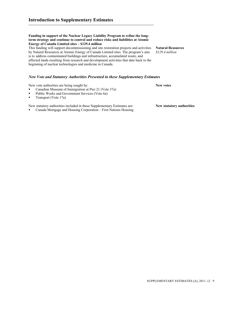**Funding in support of the Nuclear Legacy Liability Program to refine the longterm strategy and continue to control and reduce risks and liabilities at Atomic Energy of Canada Limited sites – \$129.4 million**  This funding will support decommissioning and site restoration projects and activities by Natural Resources at Atomic Energy of Canada Limited sites. The program's aim is to address contaminated buildings and infrastructure, accumulated waste, and affected lands resulting from research and development activities that date back to the beginning of nuclear technologies and medicine in Canada. **Natural Resources** *\$129.4 million New Vote and Statutory Authorities Presented in these Supplementary Estimates*  New vote authorities are being sought by: Canadian Museum of Immigration at Pier 21 (Vote 37a) **New votes** 

- Public Works and Government Services (Vote 6a)
- Transport (Vote 17a)

New statutory authorities included in these Supplementary Estimates are:

Canada Mortgage and Housing Corporation – First Nations Housing

**New statutory authorities**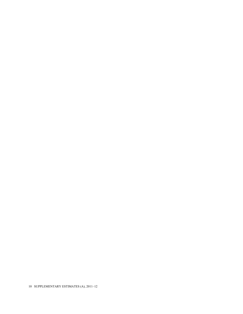10 SUPPLEMENTARY ESTIMATES (A), 2011–12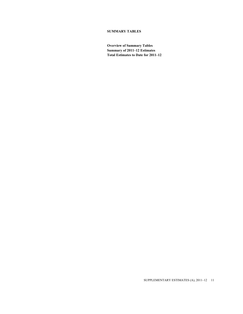#### <span id="page-8-0"></span>**SUMMARY TABLES**

**Overview of Summary Tables Summary of 2011–12 Estimates Total Estimates to Date for 2011–12** 

SUPPLEMENTARY ESTIMATES (A), 2011–12 11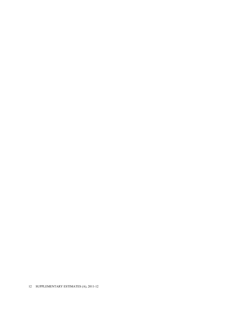12 SUPPLEMENTARY ESTIMATES (A), 2011-12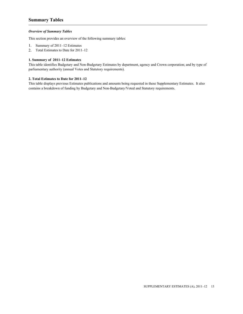#### <span id="page-10-0"></span>**Summary Tables**

#### *Overview of Summary Tables*

This section provides an overview of the following summary tables:

- 1. Summary of 2011–12 Estimates
- 2. Total Estimates to Date for 2011–12

#### **1. Summary of 2011–12 Estimates**

This table identifies Budgetary and Non-Budgetary Estimates by department, agency and Crown corporation; and by type of parliamentary authority (annual Votes and Statutory requirements).

#### **2. Total Estimates to Date for 2011–12**

This table displays previous Estimates publications and amounts being requested in these Supplementary Estimates. It also contains a breakdown of funding by Budgetary and Non-Budgetary/Voted and Statutory requirements.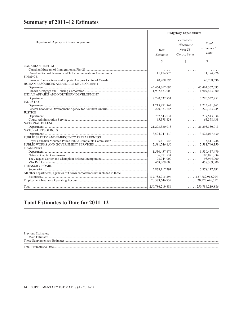## <span id="page-11-0"></span>**Summary of 2011–12 Estimates**

|                                                                             |                                | <b>Budgetary Expenditures</b>                               |                                      |
|-----------------------------------------------------------------------------|--------------------------------|-------------------------------------------------------------|--------------------------------------|
| Department, Agency or Crown corporation                                     | Main<br><b>Estimates</b>       | Permanent<br><b>Allocations</b><br>from TB<br>Central Votes | Total<br><i>Estimates to</i><br>Date |
|                                                                             | \$                             | \$                                                          | \$                                   |
| <b>CANADIAN HERITAGE</b>                                                    | 1.1.1.1                        | .                                                           |                                      |
|                                                                             | 11,174,976                     | .                                                           | 11,174,976                           |
| <b>FINANCE</b>                                                              | 40,208,596                     | $\cdots$                                                    | 40,208,596                           |
| HUMAN RESOURCES AND SKILLS DEVELOPMENT                                      | 45,464,367,095                 | .                                                           | 45,464,367,095                       |
|                                                                             | 1,907,423,000                  | .                                                           | 1,907,423,000                        |
| INDIAN AFFAIRS AND NORTHERN DEVELOPMENT<br><b>INDUSTRY</b>                  | 7,290,532,751                  | .                                                           | 7,290,532,751                        |
|                                                                             | 1,215,471,762<br>220, 323, 245 | .<br>.                                                      | 1,215,471,762<br>220, 323, 245       |
| <b>JUSTICE</b>                                                              |                                |                                                             |                                      |
|                                                                             | 737,543,034                    | .                                                           | 737,543,034                          |
|                                                                             | 65,378,438                     | .                                                           | 65,378,438                           |
| <b>NATIONAL DEFENCE</b>                                                     | 21,293,330,013                 |                                                             | 21,293,330,013                       |
| NATURAL RESOURCES                                                           |                                | .                                                           |                                      |
| PUBLIC SAFETY AND EMERGENCY PREPAREDNESS                                    | 3,524,047,430                  | $\ldots$ .                                                  | 3,524,047,430                        |
|                                                                             | 5,411,746                      | .                                                           | 5,411,746                            |
| <b>TRANSPORT</b>                                                            | 2,581,746,150                  | .                                                           | 2,581,746,150                        |
|                                                                             | 1,530,457,479                  | 1.111                                                       | 1,530,457,479                        |
|                                                                             | 106,871,834                    | 1.1.1.1                                                     | 106,871,834                          |
|                                                                             | 98,944,000                     | .                                                           | 98,944,000                           |
|                                                                             | 458,309,000                    | 1.1.1.1                                                     | 458,309,000                          |
| <b>TREASURY BOARD</b>                                                       | 5,878,117,291                  | $\cdots$                                                    | 5,878,117,291                        |
| All other departments, agencies or Crown corporations not included in these |                                |                                                             |                                      |
|                                                                             | 137,782,915,294                |                                                             |                                      |
|                                                                             | 20,573,646,752                 | . 1                                                         | 20,573,646,752                       |
|                                                                             | 250,786,219,886                |                                                             | $\ldots$ . 250,786,219,886           |

 $\overline{\phantom{0}}$ 

## **Total Estimates to Date for 2011–12**

Previous Estimates:<br>Main Estimates....... Main Estimates...................................................................................................................................................................................................................... These Supplementary Estimates..................................................................................................................................................................................................

Total Estimates to Date ...............................................................................................................................................................................................................

 $\overline{a}$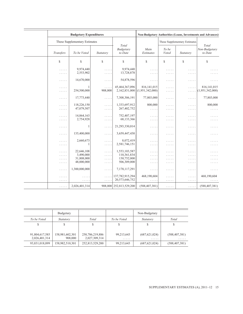|                                                 | <b>Budgetary Expenditures</b>         |                                                                    |                                             |                                                      |                               |                                                                                                        | Non-Budgetary Authorities (Loans, Investments and Advances) |
|-------------------------------------------------|---------------------------------------|--------------------------------------------------------------------|---------------------------------------------|------------------------------------------------------|-------------------------------|--------------------------------------------------------------------------------------------------------|-------------------------------------------------------------|
|                                                 | These Supplementary Estimates         |                                                                    |                                             |                                                      | These Supplementary Estimates |                                                                                                        |                                                             |
| Transfers                                       | To be Voted                           | Statutory                                                          | Total<br>Budgetary<br>to Date               | Main<br>Estimates                                    | To be<br>Voted                | Statutory                                                                                              | Total<br>Non-Budgetary<br>to Date                           |
| \$                                              | \$                                    | \$                                                                 | \$                                          | \$                                                   | \$                            | \$                                                                                                     | \$                                                          |
| $\ldots$<br>.                                   | 9,974,440<br>2,553,902                | .<br>.                                                             | 9,974,440<br>13,728,878                     | $\cdots$<br>.                                        | .<br>.                        | .<br>.                                                                                                 |                                                             |
| .                                               | 14,670,000                            | .                                                                  | 54,878,596                                  | $\cdots$                                             | .                             | $\cdots$                                                                                               | .                                                           |
| .<br>$\mathbb{Z}^2$ . The set of $\mathbb{Z}^2$ | 254,500,000                           | $\ldots$<br>908,000                                                | 45,464,367,096<br>2,162,831,000             | 816, 141, 015<br>(1,951,342,000)                     | $\cdots$<br>$\cdots$          | $\mathbb{Z}^n$ . $\mathbb{Z}^n$ , $\mathbb{Z}^n$ ,<br>$\mathbb{Z}^2$ . $\mathbb{Z}^2$ , $\mathbb{Z}^2$ | 816, 141, 015<br>(1,951,342,000)                            |
| $\dots$                                         | 17,773,440                            | $\cdots$                                                           | 7,308,306,191                               | 77,803,000                                           | .                             | $\ldots$                                                                                               | 77,803,000                                                  |
| $\mathbb{Z}^n$ . In the $\mathbb{Z}^n$<br>.     | 118,226,150<br>47,079,507             | .<br>.                                                             | 1,333,697,912<br>267,402,752                | 800,000<br>$\alpha$ , $\alpha$ , $\alpha$ , $\alpha$ | .<br>$\cdots$                 | .<br>.                                                                                                 | 800,000<br>.                                                |
| $\dots$<br>.                                    | 14,864,163<br>2,754,928               | .<br>.                                                             | 752,407,197<br>68,133,366                   | $\cdots\cdots\cdots$<br>.                            | .<br>.                        | .<br>.                                                                                                 | .                                                           |
| .                                               | 1                                     | .                                                                  | 21,293,330,014                              | $\cdots\cdots\cdots$                                 | .                             | .                                                                                                      | .                                                           |
| $\mathbb{Z}^n$ . In the $\mathbb{Z}^n$          | 135,400,000                           | $\mathbb{Z}^n$ . In the $\mathbb{Z}^n$                             | 3,659,447,430                               | $\alpha$ , $\alpha$ , $\alpha$ , $\alpha$            | $\cdots$                      | $\cdots$                                                                                               | .                                                           |
| .<br>.                                          | 2,660,673<br>1                        | .<br>$\ldots$                                                      | 8,072,419<br>2,581,746,151                  | .<br>$\ldots$                                        | .<br>.                        | $\ldots$<br>.                                                                                          | .<br>.                                                      |
| .<br>.<br>$\cdots$                              | 22,646,108<br>3,490,000<br>31,808,000 | .<br>.<br>.                                                        | 1,553,103,587<br>110,361,834<br>130,752,000 | .<br>.<br>.                                          | .<br>.<br>.                   | .<br>.                                                                                                 |                                                             |
| $\cdots$<br>.                                   | 48,000,000<br>1,300,000,000           | .<br>.                                                             | 506,309,000<br>7,178,117,291                | .<br>$\ldots$                                        | $\cdots$<br>.                 | .<br>.                                                                                                 | .<br>.                                                      |
| .<br>.                                          | .<br>.                                | $\cdots$<br>$\mathbb{R}^n \times \mathbb{R}^n \times \mathbb{R}^n$ | 137,782,915,294<br>20,573,646,752           | 468,190,604<br>$\ldots$                              | $\cdots$<br>$\ldots$          | $\cdots$<br>.                                                                                          | 468,190,604<br>$\ldots$                                     |
| $\ldots$                                        | 2,026,401,314                         |                                                                    | 908,000   252,813,529,200                   | (588, 407, 381)                                      | $\ldots$                      | $\cdots$                                                                                               | (588, 407, 381)                                             |

|                | Budgetary       |                 |             | Non-Budgetary   |                 |
|----------------|-----------------|-----------------|-------------|-----------------|-----------------|
| To be Voted    | Statutory       | Total           | To be Voted | Statutory       | Total           |
| \$             | Φ               |                 |             | S               | S               |
|                |                 |                 |             |                 |                 |
| 91,804,617,585 | 158,981,602,301 | 250,786,219,886 | 99,213,643  | (687, 621, 024) | (588, 407, 381) |
| 2,026,401,314  | 908,000         | 2,027,309,314   | .           | .               | .               |
| 93,831,018,899 | 158,982,510,301 | 252,813,529,200 | 99,213,643  | (687, 621, 024) | (588, 407, 381) |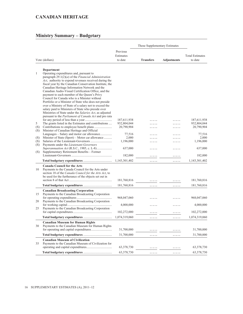## **CANADIAN HERITAGE**

|  | <b>Ministry Summary - Budgetary</b> |  |
|--|-------------------------------------|--|
|--|-------------------------------------|--|

|              |                                                                                                                                                                                                                                                                                                                                                                                                                                                                                                                                                                                                                            |                       | These Supplementary Estimates |                    |                        |
|--------------|----------------------------------------------------------------------------------------------------------------------------------------------------------------------------------------------------------------------------------------------------------------------------------------------------------------------------------------------------------------------------------------------------------------------------------------------------------------------------------------------------------------------------------------------------------------------------------------------------------------------------|-----------------------|-------------------------------|--------------------|------------------------|
|              |                                                                                                                                                                                                                                                                                                                                                                                                                                                                                                                                                                                                                            | Previous<br>Estimates |                               |                    | <b>Total Estimates</b> |
|              | Vote (dollars)                                                                                                                                                                                                                                                                                                                                                                                                                                                                                                                                                                                                             | to date               | <b>Transfers</b>              | <b>Adjustments</b> | to date                |
| $\mathbf{1}$ | Department<br>Operating expenditures and, pursuant to<br>paragraph $29.1(2)(a)$ of the <i>Financial Administration</i><br>Act, authority to expend revenues received during the<br>fiscal year by the Canadian Conservation Institute, the<br>Canadian Heritage Information Network and the<br>Canadian Audio-Visual Certification Office, and the<br>payment to each member of the Queen's Privy<br>Council for Canada who is a Minister without<br>Portfolio or a Minister of State who does not preside<br>over a Ministry of State of a salary not to exceed the<br>salary paid to Ministers of State who preside over |                       |                               |                    |                        |
|              | Ministries of State under the Salaries Act, as adjusted<br>pursuant to the Parliament of Canada Act and pro rata                                                                                                                                                                                                                                                                                                                                                                                                                                                                                                           |                       |                               |                    |                        |
|              |                                                                                                                                                                                                                                                                                                                                                                                                                                                                                                                                                                                                                            | 187,611,938           |                               |                    | 187,611,938            |
| 5            | The grants listed in the Estimates and contributions                                                                                                                                                                                                                                                                                                                                                                                                                                                                                                                                                                       | 932,804,044           |                               |                    | 932,804,044            |
| (S)<br>(S)   | Minister of Canadian Heritage and Official                                                                                                                                                                                                                                                                                                                                                                                                                                                                                                                                                                                 | 20,790,904            |                               |                    | 20,790,904             |
|              | Languages – Salary and motor car allowance                                                                                                                                                                                                                                                                                                                                                                                                                                                                                                                                                                                 | 77,516                |                               |                    | 77,516                 |
| (S)          | Minister of State (Sport) – Motor car allowance                                                                                                                                                                                                                                                                                                                                                                                                                                                                                                                                                                            | 2,000                 |                               |                    | 2,000                  |
| (S)<br>(S)   | Payments under the Lieutenant-Governors                                                                                                                                                                                                                                                                                                                                                                                                                                                                                                                                                                                    | 1,196,000             |                               |                    | 1,196,000              |
| (S)          | Superannuation Act (R.S.C., 1985, c. L-8)<br>Supplementary Retirement Benefits - Former                                                                                                                                                                                                                                                                                                                                                                                                                                                                                                                                    | 637,000               | .                             | .                  | 637,000                |
|              |                                                                                                                                                                                                                                                                                                                                                                                                                                                                                                                                                                                                                            | 182,000               | .                             | .                  | 182,000                |
|              |                                                                                                                                                                                                                                                                                                                                                                                                                                                                                                                                                                                                                            | 1,143,301,402         | .                             | .                  | 1,143,301,402          |
| 10           | <b>Canada Council for the Arts</b><br>Payments to the Canada Council for the Arts under<br>section 18 of the Canada Council for the Arts Act, to<br>be used for the furtherance of the objects set out in                                                                                                                                                                                                                                                                                                                                                                                                                  | 181,760,816           |                               |                    | 181,760,816            |
|              |                                                                                                                                                                                                                                                                                                                                                                                                                                                                                                                                                                                                                            |                       |                               |                    |                        |
|              |                                                                                                                                                                                                                                                                                                                                                                                                                                                                                                                                                                                                                            | 181,760,816           | .                             | .                  | 181,760,816            |
| 15           | <b>Canadian Broadcasting Corporation</b><br>Payments to the Canadian Broadcasting Corporation                                                                                                                                                                                                                                                                                                                                                                                                                                                                                                                              | 968,047,060           |                               |                    | 968,047,060            |
| 20<br>25     | Payments to the Canadian Broadcasting Corporation<br>Payments to the Canadian Broadcasting Corporation                                                                                                                                                                                                                                                                                                                                                                                                                                                                                                                     | 4,000,000             |                               |                    | 4,000,000              |
|              |                                                                                                                                                                                                                                                                                                                                                                                                                                                                                                                                                                                                                            | 102,272,000           |                               |                    | 102,272,000            |
|              |                                                                                                                                                                                                                                                                                                                                                                                                                                                                                                                                                                                                                            | 1,074,319,060         | .                             | .                  | 1,074,319,060          |
| 30           | <b>Canadian Museum for Human Rights</b><br>Payments to the Canadian Museum for Human Rights                                                                                                                                                                                                                                                                                                                                                                                                                                                                                                                                | 31,700,000            | .                             |                    | 31,700,000             |
|              |                                                                                                                                                                                                                                                                                                                                                                                                                                                                                                                                                                                                                            | 31,700,000            | .                             | .                  | 31,700,000             |
| 35           | <b>Canadian Museum of Civilization</b><br>Payments to the Canadian Museum of Civilization for                                                                                                                                                                                                                                                                                                                                                                                                                                                                                                                              |                       |                               |                    |                        |
|              |                                                                                                                                                                                                                                                                                                                                                                                                                                                                                                                                                                                                                            | 63,378,730            |                               |                    | 63,378,730             |
|              |                                                                                                                                                                                                                                                                                                                                                                                                                                                                                                                                                                                                                            | 63,378,730            | .                             | .                  | 63,378,730             |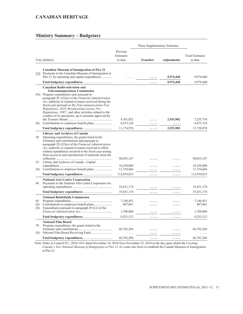## **CANADIAN HERITAGE**

#### **Ministry Summary – Budgetary**

|                  |                                                                                                                                                                                                                                                                                                                                                                                                                                     |                                        | These Supplementary Estimates |                    |                                        |
|------------------|-------------------------------------------------------------------------------------------------------------------------------------------------------------------------------------------------------------------------------------------------------------------------------------------------------------------------------------------------------------------------------------------------------------------------------------|----------------------------------------|-------------------------------|--------------------|----------------------------------------|
|                  | Vote (dollars)                                                                                                                                                                                                                                                                                                                                                                                                                      | Previous<br>Estimates<br>to date       | <b>Transfers</b>              | <b>Adjustments</b> | <b>Total Estimates</b><br>to date      |
|                  | <b>Canadian Museum of Immigration at Pier 21</b>                                                                                                                                                                                                                                                                                                                                                                                    |                                        |                               |                    |                                        |
|                  | 37a Payments to the Canadian Museum of Immigration at                                                                                                                                                                                                                                                                                                                                                                               |                                        |                               |                    |                                        |
|                  | Pier 21 for operating and capital expenditures                                                                                                                                                                                                                                                                                                                                                                                      |                                        | .                             | 9,974,440          | 9,974,440                              |
|                  |                                                                                                                                                                                                                                                                                                                                                                                                                                     | .                                      | .                             | 9,974,440          | 9,974,440                              |
|                  | <b>Canadian Radio-television and</b>                                                                                                                                                                                                                                                                                                                                                                                                |                                        |                               |                    |                                        |
|                  | <b>Telecommunications Commission</b><br>45a Program expenditures and, pursuant to<br>paragraph $29.1(2)(a)$ of the <i>Financial Administration</i><br>Act, authority to expend revenues received during the<br>fiscal year pursuant to the Telecommunications Fees<br>Regulations, 2010, Broadcasting Licence Fee<br>Regulations, 1997, and other activities related to the<br>conduct of its operations, up to amounts approved by |                                        |                               |                    |                                        |
| (S)              |                                                                                                                                                                                                                                                                                                                                                                                                                                     | 4,701,852<br>6,473,124                 | .<br>.                        | 2,553,902          | 7,255,754<br>6,473,124                 |
|                  |                                                                                                                                                                                                                                                                                                                                                                                                                                     | 11,174,976                             |                               | .<br>2,553,902     |                                        |
|                  | Library and Archives of Canada                                                                                                                                                                                                                                                                                                                                                                                                      |                                        | .                             |                    | 13,728,878                             |
| 50<br>55<br>(S)  | Operating expenditures, the grants listed in the<br>Estimates and contributions and pursuant to<br>paragraph $29.1(2)(a)$ of the Financial Administration<br>Act, authority to expend revenues received to offset<br>related expenditures incurred in the fiscal year arising<br>from access to and reproduction of materials from the<br>Library and Archives of Canada - Capital                                                  | 90,855,167<br>10,350,000<br>11,754,666 | .<br>.<br>.                   | .<br>.<br>.        | 90,855,167<br>10,350,000<br>11,754,666 |
|                  |                                                                                                                                                                                                                                                                                                                                                                                                                                     | 112,959,833                            | .                             | .                  | 112,959,833                            |
| 60               | <b>National Arts Centre Corporation</b><br>Payments to the National Arts Centre Corporation for                                                                                                                                                                                                                                                                                                                                     | 35,631,174<br>35,631,174               | .                             | .                  | 35,631,174<br>35,631,174               |
|                  |                                                                                                                                                                                                                                                                                                                                                                                                                                     |                                        | .                             | .                  |                                        |
| 65<br>(S)<br>(S) | <b>National Battlefields Commission</b><br>Expenditures pursuant to paragraph $29.1(1)$ of the                                                                                                                                                                                                                                                                                                                                      | 7,146,451<br>407,061<br>1,700,000      | .<br>.                        | .<br>.<br>.        | 7,146,451<br>407,061<br>1,700,000      |
|                  |                                                                                                                                                                                                                                                                                                                                                                                                                                     | 9,253,512                              | .                             | .                  | 9,253,512                              |
|                  | <b>National Film Board</b>                                                                                                                                                                                                                                                                                                                                                                                                          |                                        |                               |                    |                                        |
| 70<br>(S)        | Program expenditures, the grants listed in the                                                                                                                                                                                                                                                                                                                                                                                      | 66,782,204<br>.                        | .<br>.                        | .                  | 66,782,204                             |
|                  |                                                                                                                                                                                                                                                                                                                                                                                                                                     | 66,782,204                             | .                             | .                  | 66,782,204                             |

Note: Order in Council P.C. 2010-1415 dated November 18, 2010 fixes November 25, 2010 as the day upon which the *Creating Canada's New National Museum of Immigration at Pier 21 Act* came into force to establish the Canada Museum of Immigration at Pier 21.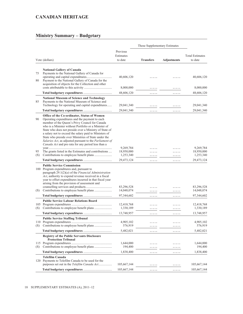## <span id="page-15-0"></span>**CANADIAN HERITAGE**

|          |                                                                                                                                                                                                                                                                                                                                                                                                                                                                                                      |                                   | These Supplementary Estimates |                    |                                   |
|----------|------------------------------------------------------------------------------------------------------------------------------------------------------------------------------------------------------------------------------------------------------------------------------------------------------------------------------------------------------------------------------------------------------------------------------------------------------------------------------------------------------|-----------------------------------|-------------------------------|--------------------|-----------------------------------|
|          | Vote (dollars)                                                                                                                                                                                                                                                                                                                                                                                                                                                                                       | Previous<br>Estimates<br>to date  | <b>Transfers</b>              | <b>Adjustments</b> | <b>Total Estimates</b><br>to date |
|          |                                                                                                                                                                                                                                                                                                                                                                                                                                                                                                      |                                   |                               |                    |                                   |
| 75<br>80 | <b>National Gallery of Canada</b><br>Payments to the National Gallery of Canada for<br>Payment to the National Gallery of Canada for the<br>acquisition of objects for the Collection and other                                                                                                                                                                                                                                                                                                      | 40,606,120                        |                               |                    | 40,606,120                        |
|          |                                                                                                                                                                                                                                                                                                                                                                                                                                                                                                      | 8,000,000                         |                               | .                  | 8,000,000                         |
|          |                                                                                                                                                                                                                                                                                                                                                                                                                                                                                                      | 48,606,120                        | .                             | .                  | 48,606,120                        |
| 85       | <b>National Museum of Science and Technology</b><br>Payments to the National Museum of Science and<br>Technology for operating and capital expenditures                                                                                                                                                                                                                                                                                                                                              | 29,041,340                        |                               | .                  | 29,041,340                        |
|          |                                                                                                                                                                                                                                                                                                                                                                                                                                                                                                      | 29,041,340                        | .                             | .                  | 29,041,340                        |
| 90       | Office of the Co-ordinator, Status of Women<br>Operating expenditures and the payment to each<br>member of the Queen's Privy Council for Canada<br>who is a Minister without Portfolio or a Minister of<br>State who does not preside over a Ministry of State of<br>a salary not to exceed the salary paid to Ministers of<br>State who preside over Ministries of State under the<br>Salaries Act, as adjusted pursuant to the Parliament of<br>Canada Act and pro rata for any period less than a |                                   |                               |                    |                                   |
| 95       | The grants listed in the Estimates and contributions                                                                                                                                                                                                                                                                                                                                                                                                                                                 | 9,269,784<br>18,950,000           |                               |                    | 9,269,784<br>18,950,000           |
| (S)      |                                                                                                                                                                                                                                                                                                                                                                                                                                                                                                      | 1,253,340                         | .                             | .                  | 1,253,340                         |
|          |                                                                                                                                                                                                                                                                                                                                                                                                                                                                                                      | 29,473,124                        | .                             | .                  | 29,473,124                        |
| (S)      | <b>Public Service Commission</b><br>100 Program expenditures and, pursuant to<br>paragraph $29.1(2)(a)$ of the <i>Financial Administration</i><br>Act, authority to expend revenue received in a fiscal<br>year to offset expenditures incurred in that fiscal year<br>arising from the provision of assessment and                                                                                                                                                                                  | 83,296,528<br>14,048,074          |                               |                    | 83,296,528<br>14,048,074          |
|          |                                                                                                                                                                                                                                                                                                                                                                                                                                                                                                      | 97,344,602                        | .                             | .                  | 97,344,602                        |
| (S)      | <b>Public Service Labour Relations Board</b>                                                                                                                                                                                                                                                                                                                                                                                                                                                         | 12,418,768<br>1,330,189           | .                             | .<br>.             | 12,418,768<br>1,330,189           |
|          |                                                                                                                                                                                                                                                                                                                                                                                                                                                                                                      | 13,748,957                        | .                             | .                  | 13,748,957                        |
| (S)      | <b>Public Service Staffing Tribunal</b>                                                                                                                                                                                                                                                                                                                                                                                                                                                              | 4,905,102<br>576,919              | .<br>.                        | .                  | 4,905,102<br>576,919              |
|          |                                                                                                                                                                                                                                                                                                                                                                                                                                                                                                      | 5,482,021                         | .                             | .                  | 5,482,021                         |
| (S)      | <b>Registry of the Public Servants Disclosure</b><br><b>Protection Tribunal</b>                                                                                                                                                                                                                                                                                                                                                                                                                      | 1,644,000<br>194,400<br>1,838,400 | .<br>.<br>.                   | .<br>.<br>.        | 1,644,000<br>194,400<br>1,838,400 |
|          | <b>Telefilm Canada</b>                                                                                                                                                                                                                                                                                                                                                                                                                                                                               |                                   |                               |                    |                                   |
|          | 120 Payments to Telefilm Canada to be used for the<br>purposes set out in the <i>Telefilm Canada Act</i>                                                                                                                                                                                                                                                                                                                                                                                             | 105,667,144<br>105,667,144        | .                             | .                  | 105,667,144<br>105,667,144        |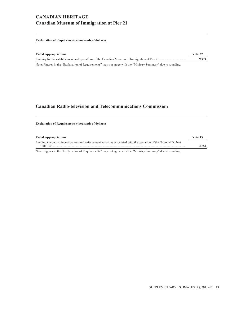## <span id="page-16-0"></span>**CANADIAN HERITAGE Canadian Museum of Immigration at Pier 21**

#### **Explanation of Requirements (thousands of dollars)**

| <b>Voted Appropriations</b>                                                                                  | Vote 37 |
|--------------------------------------------------------------------------------------------------------------|---------|
|                                                                                                              | 9,974   |
| Note: Figures in the "Explanation of Requirements" may not agree with the "Ministry Summary" due to rounding |         |

#### Note: Figures in the "Explanation of Requirements" may not agree with the "Ministry Summary" due to rounding.

#### **Canadian Radio-television and Telecommunications Commission**

#### **Explanation of Requirements (thousands of dollars)**

| <b>Voted Appropriations</b>                                                                                       | Vote 45 |
|-------------------------------------------------------------------------------------------------------------------|---------|
| Funding to conduct investigations and enforcement activities associated with the operation of the National Do Not |         |
| Call List                                                                                                         | 2.554   |

Note: Figures in the "Explanation of Requirements" may not agree with the "Ministry Summary" due to rounding.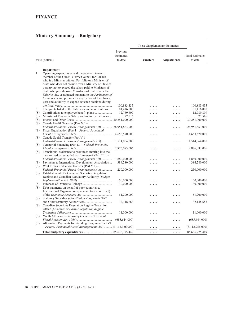|  | <b>Ministry Summary – Budgetary</b> |  |
|--|-------------------------------------|--|
|--|-------------------------------------|--|

| Previous<br>Estimates<br><b>Total Estimates</b><br><b>Transfers</b><br><b>Adjustments</b><br>to date<br>Vote (dollars)<br>to date<br>Department<br>$\mathbf{1}$<br>Operating expenditures and the payment to each<br>member of the Queen's Privy Council for Canada<br>who is a Minister without Portfolio or a Minister of<br>State who does not preside over a Ministry of State of<br>a salary not to exceed the salary paid to Ministers of<br>State who preside over Ministries of State under the<br>Salaries Act, as adjusted pursuant to the Parliament of<br><i>Canada Act</i> and pro rata for any period of less than a<br>year and authority to expend revenue received during<br>100,883,435<br>5<br>The grants listed in the Estimates and contributions<br>181,416,000<br>.<br>(S)<br>12,789,809<br>.<br>Minister of Finance - Salary and motor car allowance<br>77,516<br>(S)<br>.<br>.<br>(S)<br>.<br>.<br>Canada Health Transfer (Part V.1 -<br>(S)<br>Federal-Provincial Fiscal Arrangements Act)  26,951,863,000<br>26,951,863,000<br>.<br>.<br>Fiscal Equalization (Part I – Federal-Provincial<br>(S)<br>14,658,570,000<br>.<br>.<br>Canada Social Transfer (Part V.1 -<br>(S)<br>Federal-Provincial Fiscal Arrangements Act)  11,514,064,000<br>11,514,064,000<br>.<br>.<br>Territorial Financing (Part I.1 - Federal-Provincial<br>(S)<br>2,876,083,006<br>2,876,083,006<br>.<br>Transitional assistance to provinces entering into the<br>(S)<br>harmonized value-added tax framework (Part III.1 -<br>Federal-Provincial Fiscal Arrangements Act)<br>1,880,000,000<br>1,880,000,000<br>.<br>.<br>Payments to International Development Association<br>384,280,000<br>384,280,000<br>(S)<br>.<br>.<br>Wait Times Reduction Transfer (Part $V.1$ ) –<br>(S)<br>Federal-Provincial Fiscal Arrangements Act)<br>250,000,000<br>250,000,000<br>.<br>.<br>Establishment of a Canadian Securities Regulation<br>(S)<br>Regime and Canadian Regulatory Authority (Budget)<br>150,000,000<br>150,000,000<br>130,000,000<br>(S)<br>130,000,000<br>.<br>.<br>(S)<br>Debt payments on behalf of poor countries to<br>International Organizations pursuant to section 18(1)<br>51,200,000<br>51,200,000<br>Statutory Subsidies (Constitution Acts, 1867-1982,<br>(S)<br>32,148,683<br>32,148,683<br>.<br>Canadian Securities Regulation Regime Transition<br>(S)<br>Office (Canadian Securities Regulation Regime<br>11,000,000<br>11,000,000<br>Youth Allowances Recovery (Federal-Provincial<br>(S)<br>(685, 644, 000)<br>(685, 644, 000)<br>.<br>Alternative Payments for Standing Programs (Part VI)<br>(S)<br>- Federal-Provincial Fiscal Arrangements Act)  (3,112,956,000)<br>.<br>.<br>85,636,775,449<br>.<br>. |  | These Supplementary Estimates |                 |
|--------------------------------------------------------------------------------------------------------------------------------------------------------------------------------------------------------------------------------------------------------------------------------------------------------------------------------------------------------------------------------------------------------------------------------------------------------------------------------------------------------------------------------------------------------------------------------------------------------------------------------------------------------------------------------------------------------------------------------------------------------------------------------------------------------------------------------------------------------------------------------------------------------------------------------------------------------------------------------------------------------------------------------------------------------------------------------------------------------------------------------------------------------------------------------------------------------------------------------------------------------------------------------------------------------------------------------------------------------------------------------------------------------------------------------------------------------------------------------------------------------------------------------------------------------------------------------------------------------------------------------------------------------------------------------------------------------------------------------------------------------------------------------------------------------------------------------------------------------------------------------------------------------------------------------------------------------------------------------------------------------------------------------------------------------------------------------------------------------------------------------------------------------------------------------------------------------------------------------------------------------------------------------------------------------------------------------------------------------------------------------------------------------------------------------------------------------------------------------------------------------------------------------------------------------------------------------------------------------------------------------------------------------------------------------------------------------------------------------------|--|-------------------------------|-----------------|
|                                                                                                                                                                                                                                                                                                                                                                                                                                                                                                                                                                                                                                                                                                                                                                                                                                                                                                                                                                                                                                                                                                                                                                                                                                                                                                                                                                                                                                                                                                                                                                                                                                                                                                                                                                                                                                                                                                                                                                                                                                                                                                                                                                                                                                                                                                                                                                                                                                                                                                                                                                                                                                                                                                                                      |  |                               |                 |
|                                                                                                                                                                                                                                                                                                                                                                                                                                                                                                                                                                                                                                                                                                                                                                                                                                                                                                                                                                                                                                                                                                                                                                                                                                                                                                                                                                                                                                                                                                                                                                                                                                                                                                                                                                                                                                                                                                                                                                                                                                                                                                                                                                                                                                                                                                                                                                                                                                                                                                                                                                                                                                                                                                                                      |  |                               |                 |
|                                                                                                                                                                                                                                                                                                                                                                                                                                                                                                                                                                                                                                                                                                                                                                                                                                                                                                                                                                                                                                                                                                                                                                                                                                                                                                                                                                                                                                                                                                                                                                                                                                                                                                                                                                                                                                                                                                                                                                                                                                                                                                                                                                                                                                                                                                                                                                                                                                                                                                                                                                                                                                                                                                                                      |  |                               |                 |
|                                                                                                                                                                                                                                                                                                                                                                                                                                                                                                                                                                                                                                                                                                                                                                                                                                                                                                                                                                                                                                                                                                                                                                                                                                                                                                                                                                                                                                                                                                                                                                                                                                                                                                                                                                                                                                                                                                                                                                                                                                                                                                                                                                                                                                                                                                                                                                                                                                                                                                                                                                                                                                                                                                                                      |  |                               |                 |
|                                                                                                                                                                                                                                                                                                                                                                                                                                                                                                                                                                                                                                                                                                                                                                                                                                                                                                                                                                                                                                                                                                                                                                                                                                                                                                                                                                                                                                                                                                                                                                                                                                                                                                                                                                                                                                                                                                                                                                                                                                                                                                                                                                                                                                                                                                                                                                                                                                                                                                                                                                                                                                                                                                                                      |  |                               | 100,883,435     |
|                                                                                                                                                                                                                                                                                                                                                                                                                                                                                                                                                                                                                                                                                                                                                                                                                                                                                                                                                                                                                                                                                                                                                                                                                                                                                                                                                                                                                                                                                                                                                                                                                                                                                                                                                                                                                                                                                                                                                                                                                                                                                                                                                                                                                                                                                                                                                                                                                                                                                                                                                                                                                                                                                                                                      |  |                               | 181,416,000     |
|                                                                                                                                                                                                                                                                                                                                                                                                                                                                                                                                                                                                                                                                                                                                                                                                                                                                                                                                                                                                                                                                                                                                                                                                                                                                                                                                                                                                                                                                                                                                                                                                                                                                                                                                                                                                                                                                                                                                                                                                                                                                                                                                                                                                                                                                                                                                                                                                                                                                                                                                                                                                                                                                                                                                      |  |                               | 12,789,809      |
|                                                                                                                                                                                                                                                                                                                                                                                                                                                                                                                                                                                                                                                                                                                                                                                                                                                                                                                                                                                                                                                                                                                                                                                                                                                                                                                                                                                                                                                                                                                                                                                                                                                                                                                                                                                                                                                                                                                                                                                                                                                                                                                                                                                                                                                                                                                                                                                                                                                                                                                                                                                                                                                                                                                                      |  |                               | 77,516          |
|                                                                                                                                                                                                                                                                                                                                                                                                                                                                                                                                                                                                                                                                                                                                                                                                                                                                                                                                                                                                                                                                                                                                                                                                                                                                                                                                                                                                                                                                                                                                                                                                                                                                                                                                                                                                                                                                                                                                                                                                                                                                                                                                                                                                                                                                                                                                                                                                                                                                                                                                                                                                                                                                                                                                      |  |                               | 30,251,000,000  |
|                                                                                                                                                                                                                                                                                                                                                                                                                                                                                                                                                                                                                                                                                                                                                                                                                                                                                                                                                                                                                                                                                                                                                                                                                                                                                                                                                                                                                                                                                                                                                                                                                                                                                                                                                                                                                                                                                                                                                                                                                                                                                                                                                                                                                                                                                                                                                                                                                                                                                                                                                                                                                                                                                                                                      |  |                               |                 |
|                                                                                                                                                                                                                                                                                                                                                                                                                                                                                                                                                                                                                                                                                                                                                                                                                                                                                                                                                                                                                                                                                                                                                                                                                                                                                                                                                                                                                                                                                                                                                                                                                                                                                                                                                                                                                                                                                                                                                                                                                                                                                                                                                                                                                                                                                                                                                                                                                                                                                                                                                                                                                                                                                                                                      |  |                               |                 |
|                                                                                                                                                                                                                                                                                                                                                                                                                                                                                                                                                                                                                                                                                                                                                                                                                                                                                                                                                                                                                                                                                                                                                                                                                                                                                                                                                                                                                                                                                                                                                                                                                                                                                                                                                                                                                                                                                                                                                                                                                                                                                                                                                                                                                                                                                                                                                                                                                                                                                                                                                                                                                                                                                                                                      |  |                               |                 |
|                                                                                                                                                                                                                                                                                                                                                                                                                                                                                                                                                                                                                                                                                                                                                                                                                                                                                                                                                                                                                                                                                                                                                                                                                                                                                                                                                                                                                                                                                                                                                                                                                                                                                                                                                                                                                                                                                                                                                                                                                                                                                                                                                                                                                                                                                                                                                                                                                                                                                                                                                                                                                                                                                                                                      |  |                               |                 |
|                                                                                                                                                                                                                                                                                                                                                                                                                                                                                                                                                                                                                                                                                                                                                                                                                                                                                                                                                                                                                                                                                                                                                                                                                                                                                                                                                                                                                                                                                                                                                                                                                                                                                                                                                                                                                                                                                                                                                                                                                                                                                                                                                                                                                                                                                                                                                                                                                                                                                                                                                                                                                                                                                                                                      |  |                               |                 |
|                                                                                                                                                                                                                                                                                                                                                                                                                                                                                                                                                                                                                                                                                                                                                                                                                                                                                                                                                                                                                                                                                                                                                                                                                                                                                                                                                                                                                                                                                                                                                                                                                                                                                                                                                                                                                                                                                                                                                                                                                                                                                                                                                                                                                                                                                                                                                                                                                                                                                                                                                                                                                                                                                                                                      |  |                               |                 |
|                                                                                                                                                                                                                                                                                                                                                                                                                                                                                                                                                                                                                                                                                                                                                                                                                                                                                                                                                                                                                                                                                                                                                                                                                                                                                                                                                                                                                                                                                                                                                                                                                                                                                                                                                                                                                                                                                                                                                                                                                                                                                                                                                                                                                                                                                                                                                                                                                                                                                                                                                                                                                                                                                                                                      |  |                               |                 |
|                                                                                                                                                                                                                                                                                                                                                                                                                                                                                                                                                                                                                                                                                                                                                                                                                                                                                                                                                                                                                                                                                                                                                                                                                                                                                                                                                                                                                                                                                                                                                                                                                                                                                                                                                                                                                                                                                                                                                                                                                                                                                                                                                                                                                                                                                                                                                                                                                                                                                                                                                                                                                                                                                                                                      |  |                               |                 |
|                                                                                                                                                                                                                                                                                                                                                                                                                                                                                                                                                                                                                                                                                                                                                                                                                                                                                                                                                                                                                                                                                                                                                                                                                                                                                                                                                                                                                                                                                                                                                                                                                                                                                                                                                                                                                                                                                                                                                                                                                                                                                                                                                                                                                                                                                                                                                                                                                                                                                                                                                                                                                                                                                                                                      |  |                               |                 |
|                                                                                                                                                                                                                                                                                                                                                                                                                                                                                                                                                                                                                                                                                                                                                                                                                                                                                                                                                                                                                                                                                                                                                                                                                                                                                                                                                                                                                                                                                                                                                                                                                                                                                                                                                                                                                                                                                                                                                                                                                                                                                                                                                                                                                                                                                                                                                                                                                                                                                                                                                                                                                                                                                                                                      |  |                               |                 |
|                                                                                                                                                                                                                                                                                                                                                                                                                                                                                                                                                                                                                                                                                                                                                                                                                                                                                                                                                                                                                                                                                                                                                                                                                                                                                                                                                                                                                                                                                                                                                                                                                                                                                                                                                                                                                                                                                                                                                                                                                                                                                                                                                                                                                                                                                                                                                                                                                                                                                                                                                                                                                                                                                                                                      |  |                               |                 |
|                                                                                                                                                                                                                                                                                                                                                                                                                                                                                                                                                                                                                                                                                                                                                                                                                                                                                                                                                                                                                                                                                                                                                                                                                                                                                                                                                                                                                                                                                                                                                                                                                                                                                                                                                                                                                                                                                                                                                                                                                                                                                                                                                                                                                                                                                                                                                                                                                                                                                                                                                                                                                                                                                                                                      |  |                               |                 |
|                                                                                                                                                                                                                                                                                                                                                                                                                                                                                                                                                                                                                                                                                                                                                                                                                                                                                                                                                                                                                                                                                                                                                                                                                                                                                                                                                                                                                                                                                                                                                                                                                                                                                                                                                                                                                                                                                                                                                                                                                                                                                                                                                                                                                                                                                                                                                                                                                                                                                                                                                                                                                                                                                                                                      |  |                               |                 |
|                                                                                                                                                                                                                                                                                                                                                                                                                                                                                                                                                                                                                                                                                                                                                                                                                                                                                                                                                                                                                                                                                                                                                                                                                                                                                                                                                                                                                                                                                                                                                                                                                                                                                                                                                                                                                                                                                                                                                                                                                                                                                                                                                                                                                                                                                                                                                                                                                                                                                                                                                                                                                                                                                                                                      |  |                               |                 |
|                                                                                                                                                                                                                                                                                                                                                                                                                                                                                                                                                                                                                                                                                                                                                                                                                                                                                                                                                                                                                                                                                                                                                                                                                                                                                                                                                                                                                                                                                                                                                                                                                                                                                                                                                                                                                                                                                                                                                                                                                                                                                                                                                                                                                                                                                                                                                                                                                                                                                                                                                                                                                                                                                                                                      |  |                               |                 |
|                                                                                                                                                                                                                                                                                                                                                                                                                                                                                                                                                                                                                                                                                                                                                                                                                                                                                                                                                                                                                                                                                                                                                                                                                                                                                                                                                                                                                                                                                                                                                                                                                                                                                                                                                                                                                                                                                                                                                                                                                                                                                                                                                                                                                                                                                                                                                                                                                                                                                                                                                                                                                                                                                                                                      |  |                               |                 |
|                                                                                                                                                                                                                                                                                                                                                                                                                                                                                                                                                                                                                                                                                                                                                                                                                                                                                                                                                                                                                                                                                                                                                                                                                                                                                                                                                                                                                                                                                                                                                                                                                                                                                                                                                                                                                                                                                                                                                                                                                                                                                                                                                                                                                                                                                                                                                                                                                                                                                                                                                                                                                                                                                                                                      |  |                               |                 |
|                                                                                                                                                                                                                                                                                                                                                                                                                                                                                                                                                                                                                                                                                                                                                                                                                                                                                                                                                                                                                                                                                                                                                                                                                                                                                                                                                                                                                                                                                                                                                                                                                                                                                                                                                                                                                                                                                                                                                                                                                                                                                                                                                                                                                                                                                                                                                                                                                                                                                                                                                                                                                                                                                                                                      |  |                               |                 |
|                                                                                                                                                                                                                                                                                                                                                                                                                                                                                                                                                                                                                                                                                                                                                                                                                                                                                                                                                                                                                                                                                                                                                                                                                                                                                                                                                                                                                                                                                                                                                                                                                                                                                                                                                                                                                                                                                                                                                                                                                                                                                                                                                                                                                                                                                                                                                                                                                                                                                                                                                                                                                                                                                                                                      |  |                               |                 |
|                                                                                                                                                                                                                                                                                                                                                                                                                                                                                                                                                                                                                                                                                                                                                                                                                                                                                                                                                                                                                                                                                                                                                                                                                                                                                                                                                                                                                                                                                                                                                                                                                                                                                                                                                                                                                                                                                                                                                                                                                                                                                                                                                                                                                                                                                                                                                                                                                                                                                                                                                                                                                                                                                                                                      |  |                               |                 |
|                                                                                                                                                                                                                                                                                                                                                                                                                                                                                                                                                                                                                                                                                                                                                                                                                                                                                                                                                                                                                                                                                                                                                                                                                                                                                                                                                                                                                                                                                                                                                                                                                                                                                                                                                                                                                                                                                                                                                                                                                                                                                                                                                                                                                                                                                                                                                                                                                                                                                                                                                                                                                                                                                                                                      |  |                               |                 |
|                                                                                                                                                                                                                                                                                                                                                                                                                                                                                                                                                                                                                                                                                                                                                                                                                                                                                                                                                                                                                                                                                                                                                                                                                                                                                                                                                                                                                                                                                                                                                                                                                                                                                                                                                                                                                                                                                                                                                                                                                                                                                                                                                                                                                                                                                                                                                                                                                                                                                                                                                                                                                                                                                                                                      |  |                               |                 |
|                                                                                                                                                                                                                                                                                                                                                                                                                                                                                                                                                                                                                                                                                                                                                                                                                                                                                                                                                                                                                                                                                                                                                                                                                                                                                                                                                                                                                                                                                                                                                                                                                                                                                                                                                                                                                                                                                                                                                                                                                                                                                                                                                                                                                                                                                                                                                                                                                                                                                                                                                                                                                                                                                                                                      |  |                               |                 |
|                                                                                                                                                                                                                                                                                                                                                                                                                                                                                                                                                                                                                                                                                                                                                                                                                                                                                                                                                                                                                                                                                                                                                                                                                                                                                                                                                                                                                                                                                                                                                                                                                                                                                                                                                                                                                                                                                                                                                                                                                                                                                                                                                                                                                                                                                                                                                                                                                                                                                                                                                                                                                                                                                                                                      |  |                               |                 |
|                                                                                                                                                                                                                                                                                                                                                                                                                                                                                                                                                                                                                                                                                                                                                                                                                                                                                                                                                                                                                                                                                                                                                                                                                                                                                                                                                                                                                                                                                                                                                                                                                                                                                                                                                                                                                                                                                                                                                                                                                                                                                                                                                                                                                                                                                                                                                                                                                                                                                                                                                                                                                                                                                                                                      |  |                               |                 |
|                                                                                                                                                                                                                                                                                                                                                                                                                                                                                                                                                                                                                                                                                                                                                                                                                                                                                                                                                                                                                                                                                                                                                                                                                                                                                                                                                                                                                                                                                                                                                                                                                                                                                                                                                                                                                                                                                                                                                                                                                                                                                                                                                                                                                                                                                                                                                                                                                                                                                                                                                                                                                                                                                                                                      |  |                               |                 |
|                                                                                                                                                                                                                                                                                                                                                                                                                                                                                                                                                                                                                                                                                                                                                                                                                                                                                                                                                                                                                                                                                                                                                                                                                                                                                                                                                                                                                                                                                                                                                                                                                                                                                                                                                                                                                                                                                                                                                                                                                                                                                                                                                                                                                                                                                                                                                                                                                                                                                                                                                                                                                                                                                                                                      |  |                               |                 |
|                                                                                                                                                                                                                                                                                                                                                                                                                                                                                                                                                                                                                                                                                                                                                                                                                                                                                                                                                                                                                                                                                                                                                                                                                                                                                                                                                                                                                                                                                                                                                                                                                                                                                                                                                                                                                                                                                                                                                                                                                                                                                                                                                                                                                                                                                                                                                                                                                                                                                                                                                                                                                                                                                                                                      |  |                               |                 |
|                                                                                                                                                                                                                                                                                                                                                                                                                                                                                                                                                                                                                                                                                                                                                                                                                                                                                                                                                                                                                                                                                                                                                                                                                                                                                                                                                                                                                                                                                                                                                                                                                                                                                                                                                                                                                                                                                                                                                                                                                                                                                                                                                                                                                                                                                                                                                                                                                                                                                                                                                                                                                                                                                                                                      |  |                               | (3,112,956,000) |
|                                                                                                                                                                                                                                                                                                                                                                                                                                                                                                                                                                                                                                                                                                                                                                                                                                                                                                                                                                                                                                                                                                                                                                                                                                                                                                                                                                                                                                                                                                                                                                                                                                                                                                                                                                                                                                                                                                                                                                                                                                                                                                                                                                                                                                                                                                                                                                                                                                                                                                                                                                                                                                                                                                                                      |  |                               |                 |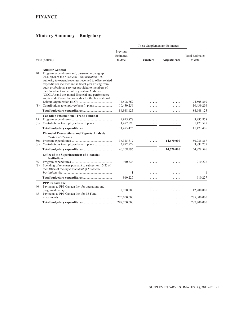|           |                                                                                                                                                                                                                                                                                                                                                                                                                                                                         |                                  | These Supplementary Estimates |                    |                                   |
|-----------|-------------------------------------------------------------------------------------------------------------------------------------------------------------------------------------------------------------------------------------------------------------------------------------------------------------------------------------------------------------------------------------------------------------------------------------------------------------------------|----------------------------------|-------------------------------|--------------------|-----------------------------------|
|           | Vote (dollars)                                                                                                                                                                                                                                                                                                                                                                                                                                                          | Previous<br>Estimates<br>to date | <b>Transfers</b>              | <b>Adjustments</b> | <b>Total Estimates</b><br>to date |
| 20        | <b>Auditor General</b><br>Program expenditures and, pursuant to paragraph<br>$29.1(2)(a)$ of the Financial Administration Act,<br>authority to expend revenues received to offset related<br>expenditures incurred in the fiscal year arising from<br>audit professional services provided to members of<br>the Canadian Council of Legislative Auditors<br>(CCOLA) and the annual financial and performance<br>audits and of contribution audits for the International | 74,508,869                       |                               |                    | 74,508,869                        |
| (S)       |                                                                                                                                                                                                                                                                                                                                                                                                                                                                         | 10,439,256                       | .                             | .                  | 10,439,256                        |
|           |                                                                                                                                                                                                                                                                                                                                                                                                                                                                         | 84,948,125                       | .                             | .                  | 84,948,125                        |
| 25<br>(S) | <b>Canadian International Trade Tribunal</b>                                                                                                                                                                                                                                                                                                                                                                                                                            | 9,995,878<br>1,477,598           | .                             | .                  | 9,995,878<br>1,477,598            |
|           |                                                                                                                                                                                                                                                                                                                                                                                                                                                                         | 11,473,476                       | .                             | .                  | 11,473,476                        |
| (S)       | <b>Financial Transactions and Reports Analysis</b><br><b>Centre of Canada</b>                                                                                                                                                                                                                                                                                                                                                                                           | 36, 315, 817<br>3,892,779        | .                             | 14,670,000<br>.    | 50,985,817<br>3,892,779           |
|           |                                                                                                                                                                                                                                                                                                                                                                                                                                                                         | 40,208,596                       | .                             | 14,670,000         | 54,878,596                        |
| 35<br>(S) | Office of the Superintendent of Financial<br><b>Institutions</b><br>Spending of revenues pursuant to subsection $17(2)$ of<br>the Office of the Superintendent of Financial                                                                                                                                                                                                                                                                                             | 910,226                          |                               |                    | 910,226                           |
|           |                                                                                                                                                                                                                                                                                                                                                                                                                                                                         | 1                                | .                             | .                  | $\mathbf{1}$                      |
|           |                                                                                                                                                                                                                                                                                                                                                                                                                                                                         | 910,227                          | .                             | .                  | 910,227                           |
| 40<br>45  | PPP Canada Inc.<br>Payments to PPP Canada Inc. for operations and<br>Payments to PPP Canada Inc. for P3 Fund                                                                                                                                                                                                                                                                                                                                                            | 12,700,000<br>275,000,000        | .                             | .                  | 12,700,000<br>275,000,000         |
|           |                                                                                                                                                                                                                                                                                                                                                                                                                                                                         | 287,700,000                      | .                             | .                  | 287,700,000                       |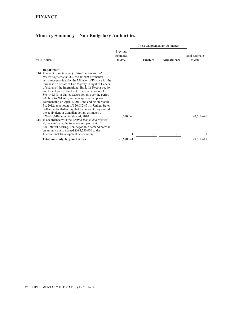|  |                                                                                                                                                                                                                                                                                                                                                                                                                                                                                                                                                                                                                                                                                                                                                                                                                                                                                                                                                                          |                                  | These Supplementary Estimates |                    |                                   |  |
|--|--------------------------------------------------------------------------------------------------------------------------------------------------------------------------------------------------------------------------------------------------------------------------------------------------------------------------------------------------------------------------------------------------------------------------------------------------------------------------------------------------------------------------------------------------------------------------------------------------------------------------------------------------------------------------------------------------------------------------------------------------------------------------------------------------------------------------------------------------------------------------------------------------------------------------------------------------------------------------|----------------------------------|-------------------------------|--------------------|-----------------------------------|--|
|  | Vote (dollars)                                                                                                                                                                                                                                                                                                                                                                                                                                                                                                                                                                                                                                                                                                                                                                                                                                                                                                                                                           | Previous<br>Estimates<br>to date | <b>Transfers</b>              | <b>Adjustments</b> | <b>Total Estimates</b><br>to date |  |
|  | Department<br>L10 Pursuant to section 8(c) of <i>Bretton Woods and</i><br>Related Agreements Act, the amount of financial<br>assistance provided by the Minister of Finance for the<br>purchase on behalf of Her Majesty in right of Canada<br>of shares of the International Bank for Reconstruction<br>and Development shall not exceed an amount of<br>\$98,141,398 in United States dollars over the period<br>$2011 - 12$ to $2015 - 16$ , and in respect of the period<br>commencing on April 1, 2011 and ending on March<br>31, 2012, an amount of \$20,082,471 in United States<br>dollars, notwithstanding that the amount may exceed<br>the equivalent in Canadian dollars estimated at<br>L15 In accordance with the <i>Bretton Woods and Related</i><br><i>Agreements Act</i> , the issuance and payment of<br>non-interest bearing, non-negotiable demand notes in<br>an amount not to exceed \$384,280,000 to the<br>International Development Association | 20,610,640                       |                               |                    | 20,610,640<br>1                   |  |
|  |                                                                                                                                                                                                                                                                                                                                                                                                                                                                                                                                                                                                                                                                                                                                                                                                                                                                                                                                                                          | 20,610,641                       | .                             |                    | 20,610,641                        |  |

## **Ministry Summary – Non-Budgetary Authorities**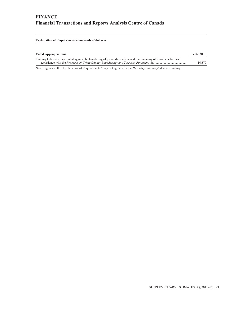## <span id="page-20-0"></span>**FINANCE Financial Transactions and Reports Analysis Centre of Canada**

**Explanation of Requirements (thousands of dollars)**

| Vote 30 |
|---------|
|         |
| 14.670  |
|         |

Note: Figures in the "Explanation of Requirements" may not agree with the "Ministry Summary" due to rounding.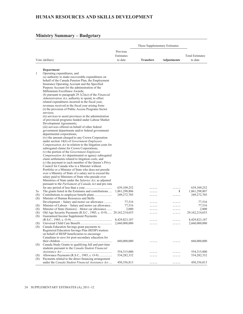## **HUMAN RESOURCES AND SKILLS DEVELOPMENT**

|              |                                                                                                              | These Supplementary Estimates    |                  |             |                                   |
|--------------|--------------------------------------------------------------------------------------------------------------|----------------------------------|------------------|-------------|-----------------------------------|
|              | Vote (dollars)                                                                                               | Previous<br>Estimates<br>to date | <b>Transfers</b> | Adjustments | <b>Total Estimates</b><br>to date |
|              |                                                                                                              |                                  |                  |             |                                   |
|              | Department                                                                                                   |                                  |                  |             |                                   |
| $\mathbf{1}$ | Operating expenditures, and                                                                                  |                                  |                  |             |                                   |
|              | $(a)$ authority to make recoverable expenditures on                                                          |                                  |                  |             |                                   |
|              | behalf of the Canada Pension Plan, the Employment                                                            |                                  |                  |             |                                   |
|              | Insurance Operating Account and the Specified<br>Purpose Account for the administration of the               |                                  |                  |             |                                   |
|              | Millennium Excellence Awards;                                                                                |                                  |                  |             |                                   |
|              | (b) pursuant to paragraph $29.1(2)(a)$ of the <i>Financial</i>                                               |                                  |                  |             |                                   |
|              | Administration Act, authority to spend, to offset                                                            |                                  |                  |             |                                   |
|              | related expenditures incurred in the fiscal year,                                                            |                                  |                  |             |                                   |
|              | revenues received in the fiscal year arising from:                                                           |                                  |                  |             |                                   |
|              | (i) the provision of Public Access Programs Sector                                                           |                                  |                  |             |                                   |
|              | services;                                                                                                    |                                  |                  |             |                                   |
|              | (ii) services to assist provinces in the administration<br>of provincial programs funded under Labour Market |                                  |                  |             |                                   |
|              | Development Agreements;                                                                                      |                                  |                  |             |                                   |
|              | (iii) services offered on behalf of other federal                                                            |                                  |                  |             |                                   |
|              | government departments and/or federal government                                                             |                                  |                  |             |                                   |
|              | departmental corporations;                                                                                   |                                  |                  |             |                                   |
|              | (iv) the amount charged to any Crown Corporation<br>under section $14(b)$ of Government Employees            |                                  |                  |             |                                   |
|              | Compensation Act in relation to the litigation costs for                                                     |                                  |                  |             |                                   |
|              | subrogated claims for Crown Corporations;                                                                    |                                  |                  |             |                                   |
|              | (v) the portion of the Government Employees                                                                  |                                  |                  |             |                                   |
|              | Compensation Act departmental or agency subrogated                                                           |                                  |                  |             |                                   |
|              | claim settlements related to litigation costs; and                                                           |                                  |                  |             |                                   |
|              | $(c)$ the payment to each member of the Queen's Privy<br>Council for Canada who is a Minister without        |                                  |                  |             |                                   |
|              | Portfolio or a Minister of State who does not preside                                                        |                                  |                  |             |                                   |
|              | over a Ministry of State of a salary not to exceed the                                                       |                                  |                  |             |                                   |
|              | salary paid to Ministers of State who preside over                                                           |                                  |                  |             |                                   |
|              | Ministries of State under the Salaries Act, as adjusted                                                      |                                  |                  |             |                                   |
|              | pursuant to the Parliament of Canada Act and pro rata                                                        |                                  |                  |             |                                   |
|              | The grants listed in the Estimates and contributions                                                         | 639,109,252<br>1,861,298,806     |                  | .<br>1      | 639,109,252<br>1,861,298,807      |
| 5a<br>(S)    |                                                                                                              | 249,272,705                      | .<br>.           | .           | 249,272,705                       |
| (S)          | Minister of Human Resources and Skills                                                                       |                                  |                  |             |                                   |
|              | Development – Salary and motor car allowance                                                                 | 77,516                           |                  |             | 77,516                            |
| (S)          | Minister of Labour - Salary and motor car allowance.                                                         | 77,516                           | .                | .           | 77,516                            |
| (S)          | Minister of State (Seniors) – Motor car allowance                                                            | 2,000                            | .                |             | 2,000                             |
| (S)          | Old Age Security Payments (R.S.C., 1985, c. O-9) 29,162,214,653<br>Guaranteed Income Supplement Payments     |                                  | .                | .           | 29, 162, 214, 653                 |
| (S)          |                                                                                                              | 8,429,823,187                    |                  |             | 8,429,823,187                     |
| (S)          |                                                                                                              | 2,660,000,000                    |                  |             | 2,660,000,000                     |
| (S)          | Canada Education Savings grant payments to                                                                   |                                  |                  |             |                                   |
|              | Registered Education Savings Plan (RESP) trustees                                                            |                                  |                  |             |                                   |
|              | on behalf of RESP beneficiaries to encourage                                                                 |                                  |                  |             |                                   |
|              | Canadians to save for post-secondary education for                                                           |                                  |                  |             | 660,000,000                       |
| (S)          | Canada Study Grants to qualifying full and part-time                                                         | 660,000,000                      | .                |             |                                   |
|              | students pursuant to the Canada Student Financial                                                            |                                  |                  |             |                                   |
|              |                                                                                                              | 554,315,000                      |                  |             | 554,315,000                       |
| (S)          | Allowance Payments (R.S.C., 1985, c. O-9)                                                                    | 534,282,332                      | .                | .           | 534,282,332                       |
| (S)          | Payments related to the direct financing arrangement                                                         |                                  |                  |             |                                   |
|              | under the Canada Student Financial Assistance Act                                                            | 450, 356, 813                    | .                | .           | 450,356,813                       |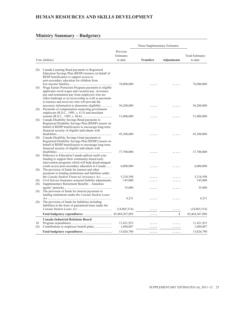## **HUMAN RESOURCES AND SKILLS DEVELOPMENT**

|     |                                                                                                                                                                                                                                                                        |                                  | These Supplementary Estimates |                    |                                   |
|-----|------------------------------------------------------------------------------------------------------------------------------------------------------------------------------------------------------------------------------------------------------------------------|----------------------------------|-------------------------------|--------------------|-----------------------------------|
|     | Vote (dollars)                                                                                                                                                                                                                                                         | Previous<br>Estimates<br>to date | <b>Transfers</b>              | <b>Adjustments</b> | <b>Total Estimates</b><br>to date |
| (S) | Canada Learning Bond payments to Registered<br>Education Savings Plan (RESP) trustees on behalf of<br>RESP beneficiaries to support access to<br>post-secondary education for children from                                                                            |                                  |                               |                    |                                   |
| (S) | Wage Earner Protection Program payments to eligible<br>applicants owed wages and vacation pay, severance<br>pay and termination pay from employers who are<br>either bankrupt or in receivership as well as payments<br>to trustees and receivers who will provide the | 76,000,000                       |                               |                    | 76,000,000                        |
| (S) | necessary information to determine eligibility<br>Payments of compensation respecting government<br>employees (R.S.C., 1985, c. G-5) and merchant                                                                                                                      | 56,200,000                       |                               |                    | 56,200,000                        |
| (S) | Canada Disability Savings Bond payments to<br>Registered Disability Savings Plan (RDSP) issuers on<br>behalf of RDSP beneficiaries to encourage long-term                                                                                                              | 51,000,000                       |                               |                    | 51,000,000                        |
| (S) | financial security of eligible individuals with<br>Canada Disability Savings Grant payments to<br>Registered Disability Savings Plan (RDSP) issuers on<br>behalf of RDSP beneficiaries to encourage long-term                                                          | 45,300,000                       |                               |                    | 45,300,000                        |
| (S) | financial security of eligible individuals with<br>Pathways to Education Canada upfront multi-year<br>funding to support their community-based early<br>intervention programs which will help disadvantaged                                                            | 37,700,000                       |                               |                    | 37,700,000                        |
| (S) | youth access post-secondary education in Canada<br>The provision of funds for interest and other<br>payments to lending institutions and liabilities under                                                                                                             | 6,000,000                        | .                             | .                  | 6,000,000                         |
|     | the Canada Student Financial Assistance Act                                                                                                                                                                                                                            | 5,218,598                        |                               |                    | 5,218,598                         |
| (S) | Civil Service Insurance actuarial liability adjustments.                                                                                                                                                                                                               | 145,000                          |                               |                    | 145,000                           |
| (S) | Supplementary Retirement Benefits - Annuities                                                                                                                                                                                                                          |                                  |                               |                    |                                   |
| (S) | The provision of funds for interest payments to<br>lending institutions under the Canada Student Loans                                                                                                                                                                 | 35,000                           |                               |                    | 35,000                            |
| (S) | The provision of funds for liabilities including<br>liabilities in the form of guaranteed loans under the                                                                                                                                                              | 4,231                            | .                             |                    | 4,231                             |
|     |                                                                                                                                                                                                                                                                        | (14,065,514)                     | .                             | .                  | (14,065,514)                      |
|     |                                                                                                                                                                                                                                                                        |                                  | .                             | $\mathbf{1}$       | 45,464,367,096                    |
|     | <b>Canada Industrial Relations Board</b>                                                                                                                                                                                                                               |                                  |                               |                    |                                   |
| 10  |                                                                                                                                                                                                                                                                        | 11,421,923                       |                               |                    | 11,421,923                        |
| (S) |                                                                                                                                                                                                                                                                        | 1,604,867                        |                               |                    | 1,604,867                         |
|     |                                                                                                                                                                                                                                                                        | 13,026,790                       | .                             | .                  | 13,026,790                        |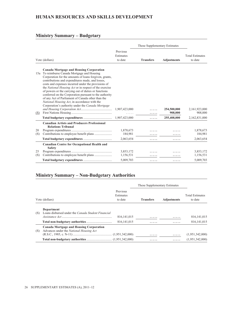## <span id="page-23-0"></span>**HUMAN RESOURCES AND SKILLS DEVELOPMENT**

|           |                                                                                                                                                                                                                                                                                                                                                                                                                                                                                                                                                                                                                  |                                  | These Supplementary Estimates |                        |                                   |
|-----------|------------------------------------------------------------------------------------------------------------------------------------------------------------------------------------------------------------------------------------------------------------------------------------------------------------------------------------------------------------------------------------------------------------------------------------------------------------------------------------------------------------------------------------------------------------------------------------------------------------------|----------------------------------|-------------------------------|------------------------|-----------------------------------|
|           | Vote (dollars)                                                                                                                                                                                                                                                                                                                                                                                                                                                                                                                                                                                                   | Previous<br>Estimates<br>to date | <b>Transfers</b>              | <b>Adjustments</b>     | <b>Total Estimates</b><br>to date |
| (S)       | <b>Canada Mortgage and Housing Corporation</b><br>15a To reimburse Canada Mortgage and Housing<br>Corporation for the amounts of loans forgiven, grants,<br>contributions and expenditures made, and losses,<br>costs and expenses incurred under the provisions of<br>the <i>National Housing Act</i> or in respect of the exercise<br>of powers or the carrying out of duties or functions<br>conferred on the Corporation pursuant to the authority<br>of any Act of Parliament of Canada other than the<br>National Housing Act, in accordance with the<br>Corporation's authority under the Canada Mortgage | 1,907,423,000                    | .                             | 254,500,000<br>908,000 | 2,161,923,000<br>908,000          |
|           |                                                                                                                                                                                                                                                                                                                                                                                                                                                                                                                                                                                                                  | 1,907,423,000                    | .                             | 255,408,000            | 2,162,831,000                     |
| 20<br>(S) | <b>Canadian Artists and Producers Professional</b><br><b>Relations Tribunal</b>                                                                                                                                                                                                                                                                                                                                                                                                                                                                                                                                  | 1,878,673<br>184,981             | .                             |                        | 1,878,673<br>184,981              |
|           |                                                                                                                                                                                                                                                                                                                                                                                                                                                                                                                                                                                                                  | 2,063,654                        | .                             | .                      | 2,063,654                         |
| 25<br>(S) | <b>Canadian Centre for Occupational Health and</b><br><b>Safety</b>                                                                                                                                                                                                                                                                                                                                                                                                                                                                                                                                              | 3,853,172<br>1,156,531           | .                             |                        | 3,853,172<br>1,156,531            |
|           |                                                                                                                                                                                                                                                                                                                                                                                                                                                                                                                                                                                                                  | 5,009,703                        | .                             | .                      | 5,009,703                         |

## **Ministry Summary – Budgetary**

## **Ministry Summary – Non-Budgetary Authorities**

|     |                                                                                           |                                  | These Supplementary Estimates |                    |                                   |
|-----|-------------------------------------------------------------------------------------------|----------------------------------|-------------------------------|--------------------|-----------------------------------|
|     | Vote (dollars)                                                                            | Previous<br>Estimates<br>to date | <b>Transfers</b>              | <b>Adjustments</b> | <b>Total Estimates</b><br>to date |
| (S) | Department<br>Loans disbursed under the Canada Student Financial                          | 816, 141, 015                    | .                             | .                  | 816, 141, 015                     |
|     |                                                                                           | 816, 141, 015                    | .                             | .                  | 816, 141, 015                     |
| (S) | <b>Canada Mortgage and Housing Corporation</b><br>Advances under the National Housing Act |                                  | .                             | .                  | (1,951,342,000)                   |
|     |                                                                                           |                                  | .                             | .                  | (1.951.342.000)                   |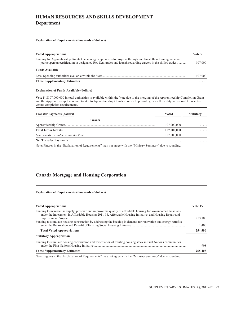## <span id="page-24-0"></span>**HUMAN RESOURCES AND SKILLS DEVELOPMENT Department**

#### **Explanation of Requirements (thousands of dollars)**

| <b>Voted Appropriations</b>                                                                                                                                                                                                       | Vote 5  |
|-----------------------------------------------------------------------------------------------------------------------------------------------------------------------------------------------------------------------------------|---------|
| Funding for Apprenticeship Grants to encourage apprentices to progress through and finish their training, receive<br>journeyperson certification in designated Red Seal trades and launch rewarding careers in the skilled trades | 107,000 |
| <b>Funds Available</b>                                                                                                                                                                                                            |         |
|                                                                                                                                                                                                                                   | 107,000 |
| <b>These Supplementary Estimates</b>                                                                                                                                                                                              | .       |

#### **Explanation of Funds Available (dollars)**

**Vote 5**: \$107,000,000 in total authorities is available within the Vote due to the merging of the Apprenticeship Completion Grant and the Apprenticeship Incentive Grant into Apprenticeship Grants in order to provide greater flexibility to respond to incentive versus completion requirements.

| <b>Transfer Payments (dollars)</b> | Voted       | <b>Statutory</b> |
|------------------------------------|-------------|------------------|
| Grants                             |             |                  |
|                                    | 107,000,000 | .                |
| <b>Total Gross Grants</b>          | 107,000,000 | .                |
|                                    | 107,000,000 | .                |
| <b>Net Transfer Payments</b>       | .           | .                |

Note: Figures in the "Explanation of Requirements" may not agree with the "Ministry Summary" due to rounding.

#### **Canada Mortgage and Housing Corporation**

#### **Explanation of Requirements (thousands of dollars)**

| <b>Voted Appropriations</b>                                                                                                                                                                                                  | Vote 15 |
|------------------------------------------------------------------------------------------------------------------------------------------------------------------------------------------------------------------------------|---------|
| Funding to increase the supply, preserve and improve the quality of affordable housing for low-income Canadians<br>under the Investment in Affordable Housing 2011-14, Affordable Housing Initiative, and Housing Repair and | 253,100 |
| Funding to stimulate housing construction by addressing the backlog in demand for renovation and energy retrofits                                                                                                            | 1,400   |
| <b>Total Voted Appropriations</b>                                                                                                                                                                                            | 254,500 |
| <b>Statutory Appropriation</b>                                                                                                                                                                                               |         |
| Funding to stimulate housing construction and remediation of existing housing stock in First Nations communities                                                                                                             | 908     |
| <b>These Supplementary Estimates</b>                                                                                                                                                                                         | 255,408 |

Note: Figures in the "Explanation of Requirements" may not agree with the "Ministry Summary" due to rounding.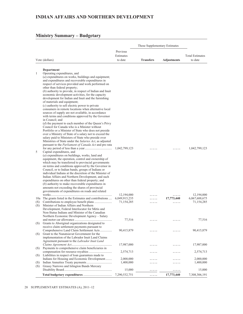|              |                                                                                                              | These Supplementary Estimates |                  |                    |                        |
|--------------|--------------------------------------------------------------------------------------------------------------|-------------------------------|------------------|--------------------|------------------------|
|              |                                                                                                              | Previous                      |                  |                    |                        |
|              |                                                                                                              | Estimates                     |                  |                    | <b>Total Estimates</b> |
|              | Vote (dollars)                                                                                               | to date                       | <b>Transfers</b> | <b>Adjustments</b> | to date                |
|              | Department                                                                                                   |                               |                  |                    |                        |
| $\mathbf{1}$ | Operating expenditures, and                                                                                  |                               |                  |                    |                        |
|              | $(a)$ expenditures on works, buildings and equipment;                                                        |                               |                  |                    |                        |
|              | and expenditures and recoverable expenditures in                                                             |                               |                  |                    |                        |
|              | respect of services provided and work performed on<br>other than federal property;                           |                               |                  |                    |                        |
|              | $(b)$ authority to provide, in respect of Indian and Inuit                                                   |                               |                  |                    |                        |
|              | economic development activities, for the capacity                                                            |                               |                  |                    |                        |
|              | development for Indian and Inuit and the furnishing<br>of materials and equipment;                           |                               |                  |                    |                        |
|              | $(c)$ authority to sell electric power to private                                                            |                               |                  |                    |                        |
|              | consumers in remote locations when alternative local                                                         |                               |                  |                    |                        |
|              | sources of supply are not available, in accordance                                                           |                               |                  |                    |                        |
|              | with terms and conditions approved by the Governor<br>in Council; and                                        |                               |                  |                    |                        |
|              | (d) the payment to each member of the Queen's Privy                                                          |                               |                  |                    |                        |
|              | Council for Canada who is a Minister without                                                                 |                               |                  |                    |                        |
|              | Portfolio or a Minister of State who does not preside                                                        |                               |                  |                    |                        |
|              | over a Ministry of State of a salary not to exceed the<br>salary paid to Ministers of State who preside over |                               |                  |                    |                        |
|              | Ministries of State under the Salaries Act, as adjusted                                                      |                               |                  |                    |                        |
|              | pursuant to the Parliament of Canada Act and pro rata                                                        |                               |                  |                    |                        |
|              |                                                                                                              | 1,042,799,123                 |                  |                    | 1,042,799,123          |
| 5            | Capital expenditures, and<br>$(a)$ expenditures on buildings, works, land and                                |                               |                  |                    |                        |
|              | equipment, the operation, control and ownership of                                                           |                               |                  |                    |                        |
|              | which may be transferred to provincial governments                                                           |                               |                  |                    |                        |
|              | on terms and conditions approved by the Governor in<br>Council, or to Indian bands, groups of Indians or     |                               |                  |                    |                        |
|              | individual Indians at the discretion of the Minister of                                                      |                               |                  |                    |                        |
|              | Indian Affairs and Northern Development, and such                                                            |                               |                  |                    |                        |
|              | expenditures on other than federal property; and                                                             |                               |                  |                    |                        |
|              | $(b)$ authority to make recoverable expenditures in<br>amounts not exceeding the shares of provincial        |                               |                  |                    |                        |
|              | governments of expenditures on roads and related                                                             |                               |                  |                    |                        |
|              |                                                                                                              | 12,194,000                    |                  | .                  | 12,194,000             |
|              | 10a The grants listed in the Estimates and contributions                                                     | 6,049,915,235                 |                  | 17,773,440         | 6,067,688,675          |
| (S)<br>(S)   | Minister of Indian Affairs and Northern                                                                      | 71,154,285                    | .                | .                  | 71,154,285             |
|              | Development, Federal Interlocutor for Métis and                                                              |                               |                  |                    |                        |
|              | Non-Status Indians and Minister of the Canadian                                                              |                               |                  |                    |                        |
|              | Northern Economic Development Agency - Salary                                                                |                               |                  |                    |                        |
| (S)          | Grants to Aboriginal organizations designated to                                                             | 77,516                        |                  |                    | 77,516                 |
|              | receive claim settlement payments pursuant to                                                                |                               |                  |                    |                        |
|              | Comprehensive Land Claim Settlement Acts                                                                     | 90,415,879                    |                  |                    | 90,415,879             |
| (S)          | Grant to the Nunatsiavut Government for the<br>implementation of the Labrador Inuit Land Claims              |                               |                  |                    |                        |
|              | Agreement pursuant to the Labrador Inuit Land                                                                |                               |                  |                    |                        |
|              |                                                                                                              | 17,987,000                    |                  |                    | 17,987,000             |
| (S)          | Payments to comprehensive claim beneficiaries in                                                             |                               |                  |                    |                        |
| (S)          | Liabilities in respect of loan guarantees made to                                                            | 2,574,713                     |                  | .                  | 2,574,713              |
|              | Indians for Housing and Economic Development                                                                 | 2,000,000                     |                  |                    | 2,000,000              |
| (S)          |                                                                                                              | 1,400,000                     |                  |                    | 1,400,000              |
| (S)          | Grassy Narrows and Islington Bands Mercury                                                                   | 15,000                        |                  |                    | 15,000                 |
|              |                                                                                                              |                               |                  |                    |                        |
|              |                                                                                                              | 7,290,532,751                 | .                | 17,773,440         | 7,308,306,191          |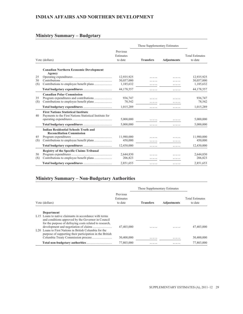## <span id="page-26-0"></span>**INDIAN AFFAIRS AND NORTHERN DEVELOPMENT**

|                 |                                                                                                       |                                       | These Supplementary Estimates |                    |                                       |
|-----------------|-------------------------------------------------------------------------------------------------------|---------------------------------------|-------------------------------|--------------------|---------------------------------------|
|                 | Vote (dollars)                                                                                        | Previous<br>Estimates<br>to date      | <b>Transfers</b>              | <b>Adjustments</b> | <b>Total Estimates</b><br>to date     |
|                 | <b>Canadian Northern Economic Development</b><br>Agency                                               |                                       |                               |                    |                                       |
| 25<br>30<br>(S) |                                                                                                       | 12,935,925<br>30,057,000<br>1,185,632 |                               | .                  | 12,935,925<br>30,057,000<br>1,185,632 |
|                 |                                                                                                       | 44,178,557                            | .                             | .                  | 44,178,557                            |
| 35<br>(S)       | <b>Canadian Polar Commission</b>                                                                      | 936,747<br>78,542                     | .<br>.                        | .                  | 936,747<br>78,542                     |
| 40              | <b>First Nations Statistical Institute</b><br>Payments to the First Nations Statistical Institute for | 1,015,289<br>5,000,000                | .                             | .                  | 1,015,289<br>5,000,000                |
|                 |                                                                                                       | 5,000,000                             | .                             | .                  | 5,000,000                             |
| 45<br>(S)       | <b>Indian Residential Schools Truth and</b><br><b>Reconciliation Commission</b>                       | 11,980,000<br>450,000                 |                               |                    | 11,980,000<br>450,000                 |
|                 |                                                                                                       | 12,430,000                            | .                             | .                  | 12,430,000                            |
| 50<br>(S)       | <b>Registry of the Specific Claims Tribunal</b><br>Contributions to employee benefit plans            | 2,644,830<br>206,823                  |                               |                    | 2,644,830<br>206,823                  |
|                 |                                                                                                       | 2,851,653                             | .                             | .                  | 2,851,653                             |

## **Ministry Summary – Budgetary**

## **Ministry Summary – Non-Budgetary Authorities**

|                |                                                                                                                                                                                     |                  | These Supplementary Estimates |                                   |            |
|----------------|-------------------------------------------------------------------------------------------------------------------------------------------------------------------------------------|------------------|-------------------------------|-----------------------------------|------------|
| Vote (dollars) | Previous<br>Estimates<br>to date                                                                                                                                                    | <b>Transfers</b> | <b>Adjustments</b>            | <b>Total Estimates</b><br>to date |            |
|                | Department                                                                                                                                                                          |                  |                               |                                   |            |
|                | L <sub>15</sub> Loans to native claimants in accordance with terms<br>and conditions approved by the Governor in Council<br>for the purpose of defraying costs related to research, | 47,403,000       | .                             | .                                 | 47,403,000 |
|                | L <sub>20</sub> Loans to First Nations in British Columbia for the<br>purpose of supporting their participation in the British                                                      | 30,400,000       | .                             | .                                 | 30,400,000 |
|                |                                                                                                                                                                                     | 77,803,000       | .                             | .                                 | 77,803,000 |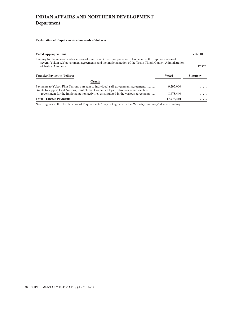## <span id="page-27-0"></span>**INDIAN AFFAIRS AND NORTHERN DEVELOPMENT Department**

#### **Explanation of Requirements (thousands of dollars)**

| <b>Voted Appropriations</b>                                                                                                                                                                                                  |            |                  |  |  |
|------------------------------------------------------------------------------------------------------------------------------------------------------------------------------------------------------------------------------|------------|------------------|--|--|
| Funding for the renewal and extension of a series of Yukon comprehensive land claims, the implementation of<br>several Yukon self-government agreements, and the implementation of the Teslin Tlingit Council Administration |            |                  |  |  |
| <b>Transfer Payments (dollars)</b>                                                                                                                                                                                           | Voted      | <b>Statutory</b> |  |  |
| <b>Grants</b>                                                                                                                                                                                                                |            |                  |  |  |
| Payments to Yukon First Nations pursuant to individual self-government agreements<br>Grants to support First Nations, Inuit, Tribal Councils, Organizations or other levels of                                               | 9,295,000  | .                |  |  |
| government for the implementation activities as stipulated in the various agreements                                                                                                                                         | 8,478,440  | .                |  |  |
| <b>Total Transfer Payments</b>                                                                                                                                                                                               | 17,773,440 | .                |  |  |

Note: Figures in the "Explanation of Requirements" may not agree with the "Ministry Summary" due to rounding.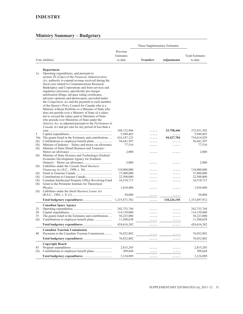| Vote (dollars) |                                                                                                      |                                  | These Supplementary Estimates |                    |                                   |
|----------------|------------------------------------------------------------------------------------------------------|----------------------------------|-------------------------------|--------------------|-----------------------------------|
|                |                                                                                                      | Previous<br>Estimates<br>to date | <b>Transfers</b>              | <b>Adjustments</b> | <b>Total Estimates</b><br>to date |
|                |                                                                                                      |                                  |                               |                    |                                   |
|                | Department                                                                                           |                                  |                               |                    |                                   |
| 1a             | Operating expenditures, and pursuant to                                                              |                                  |                               |                    |                                   |
|                | section $29.1(2)(a)$ of the <i>Financial Administration</i>                                          |                                  |                               |                    |                                   |
|                | Act, authority to expend revenue received during the                                                 |                                  |                               |                    |                                   |
|                | fiscal year related to Communications Research,<br>Bankruptcy and Corporations and from services and |                                  |                               |                    |                                   |
|                | regulatory processes, specifically pre-merger                                                        |                                  |                               |                    |                                   |
|                | notification filings, advance ruling certificates,                                                   |                                  |                               |                    |                                   |
|                | advisory opinions and photocopies, provided under                                                    |                                  |                               |                    |                                   |
|                | the <i>Competition Act</i> and the payment to each member                                            |                                  |                               |                    |                                   |
|                | of the Queen's Privy Council for Canada who is a                                                     |                                  |                               |                    |                                   |
|                | Minister without Portfolio or a Minister of State who                                                |                                  |                               |                    |                                   |
|                | does not preside over a Ministry of State of a salary                                                |                                  |                               |                    |                                   |
|                | not to exceed the salary paid to Ministers of State                                                  |                                  |                               |                    |                                   |
|                | who preside over Ministries of State under the                                                       |                                  |                               |                    |                                   |
|                | Salaries Act, as adjusted pursuant to the Parliament of                                              |                                  |                               |                    |                                   |
|                | Canada Act and pro rata for any period of less than a                                                |                                  |                               |                    |                                   |
|                |                                                                                                      | 349,132,946                      |                               | 23,798,446         | 372,931,392                       |
| 5              |                                                                                                      | 5,949,465                        |                               |                    | 5,949,465                         |
| 10a            | The grants listed in the Estimates and contributions                                                 | 616, 187, 125                    |                               | 94,427,704         | 710,614,829                       |
| (S)            |                                                                                                      | 56,641,597                       |                               |                    | 56,641,597                        |
| (S)            | Minister of Industry - Salary and motor car allowance                                                | 77,516                           |                               |                    | 77,516                            |
| (S)            | Minister of State (Small Business and Tourism) –                                                     |                                  |                               |                    |                                   |
| (S)            | Minister of State (Science and Technology) (Federal                                                  | 2,000                            |                               | .                  | 2,000                             |
|                | Economic Development Agency for Southern                                                             |                                  |                               |                    |                                   |
|                |                                                                                                      | 2,000                            |                               |                    | 2,000                             |
| (S)            | Liabilities under the Canada Small Business                                                          |                                  |                               |                    |                                   |

#### **Ministry Summary – Budgetary**

(S) Grant to Genome Canada.............................................. 37,400,000 **..... .....** 37,400,000 (S) Contributions to Genome Canada................................. 22,500,000 **..... .....** 22,500,000 (S) Canadian Intellectual Property Office Revolving Fund 16,518,713 **..... .....** 16,518,713 (S) Grant to the Perimeter Institute for Theoretical Physics .......................................................................... 1,010,400 **..... .....** 1,010,400 (S) Liabilities under the *Small Business Loans Act* (R.S.C., 1985, c. S-11).................................................. 50,000 **..... .....** 50,000 **Total budgetary expenditures** .................................... 1,215,471,762 **..... 118,226,150** 1,333,697,912 **Canadian Space Agency** 25 Operating expenditures ................................................. 242,733,744 **..... .....** 242,733,744 30 Capital expenditures...................................................... 114,159,000 **..... .....** 114,159,000 35 The grants listed in the Estimates and contributions .... 56,223,000 **..... .....** 56,223,000 (S) Contributions to employee benefit plans ...................... 11,500,638 **..... .....** 11,500,638 **Total budgetary expenditures** .................................... 424,616,382 **..... .....** 424,616,382 **Canadian Tourism Commission** 40 Payments to the Canadian Tourism Commission ......... 76,032,802 **..... .....** 76,032,802 **Total budgetary expenditures** .................................... 76,032,802 **..... .....** 76,032,802 **Copyright Board** 45 Program expenditures ................................................... 2,815,245 **..... .....** 2,815,245 (S) Contributions to employee benefit plans ...................... 309,644 **..... .....** 309,644 **Total budgetary expenditures** .................................... 3,124,889 **..... .....** 3,124,889

*Financing Act* (S.C., 1998, c. 36) ................................. 110,000,000 **..... .....** 110,000,000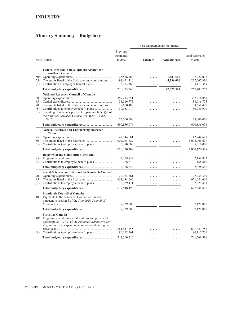|            | Vote (dollars)                                                                                                                                                                                               | Previous<br>Estimates<br>to date | <b>Transfers</b> | <b>Adjustments</b> | <b>Total Estimates</b><br>to date |
|------------|--------------------------------------------------------------------------------------------------------------------------------------------------------------------------------------------------------------|----------------------------------|------------------|--------------------|-----------------------------------|
|            |                                                                                                                                                                                                              |                                  |                  |                    |                                   |
|            | <b>Federal Economic Development Agency for</b><br><b>Southern Ontario</b>                                                                                                                                    |                                  |                  |                    |                                   |
|            |                                                                                                                                                                                                              | 25,538,566                       | .                | 1,683,507          | 27,222,073                        |
|            | 55a The grants listed in the Estimates and contributions                                                                                                                                                     | 191,671,310                      | .                | 45,396,000         | 237,067,310                       |
| (S)        |                                                                                                                                                                                                              | 3,113,369                        | .                | .                  | 3,113,369                         |
|            |                                                                                                                                                                                                              | 220, 323, 245                    | .                | 47,079,507         | 267, 402, 752                     |
|            | <b>National Research Council of Canada</b>                                                                                                                                                                   |                                  |                  |                    |                                   |
| 60         |                                                                                                                                                                                                              | 387, 214, 851                    | .                | .                  | 387,214,851                       |
| 65         |                                                                                                                                                                                                              | 38,016,775                       | .                | .                  | 38,016,775                        |
| 70         | The grants listed in the Estimates and contributions                                                                                                                                                         | 139,650,480                      | .                | .                  | 139,650,480                       |
| (S)<br>(S) | Spending of revenues pursuant to paragraph $5(1)(e)$ of<br>the National Research Council Act (R.S.C., 1985,                                                                                                  | 50,953,970                       | .                | .                  | 50,953,970                        |
|            |                                                                                                                                                                                                              | 75,000,000                       | .                | .                  | 75,000,000                        |
|            |                                                                                                                                                                                                              | 690,836,076                      | .                | .                  | 690,836,076                       |
|            | <b>Natural Sciences and Engineering Research</b>                                                                                                                                                             |                                  |                  |                    |                                   |
| 75         | Council                                                                                                                                                                                                      | 42,744,681                       |                  |                    | 42,744,681                        |
| 80         |                                                                                                                                                                                                              | 1,002,065,627                    | .<br>.           | .<br>.             | 1,002,065,627                     |
| (S)        |                                                                                                                                                                                                              | 5,310,000                        | .                | .                  | 5,310,000                         |
|            |                                                                                                                                                                                                              | 1,050,120,308                    | .                | .                  | 1,050,120,308                     |
|            | <b>Registry of the Competition Tribunal</b>                                                                                                                                                                  |                                  |                  |                    |                                   |
| 85         |                                                                                                                                                                                                              | 2,159,832                        | .                | .                  | 2,159,832                         |
| (S)        |                                                                                                                                                                                                              | 168,810                          | .                | .                  | 168,810                           |
|            |                                                                                                                                                                                                              | 2,328,642                        | .                | .                  | 2,328,642                         |
|            | <b>Social Sciences and Humanities Research Council</b>                                                                                                                                                       |                                  |                  |                    |                                   |
| 90         |                                                                                                                                                                                                              | 22,934,361                       | .                | .                  | 22,934,361                        |
| 95         |                                                                                                                                                                                                              | 651,684,666                      | .                | .                  | 651,684,666                       |
| (S)        |                                                                                                                                                                                                              | 2,929,471                        | .                | .                  | 2,929,471                         |
|            |                                                                                                                                                                                                              | 677,548,498                      | .                | .                  | 677,548,498                       |
|            | <b>Standards Council of Canada</b>                                                                                                                                                                           |                                  |                  |                    |                                   |
|            | 100 Payments to the Standards Council of Canada                                                                                                                                                              |                                  |                  |                    |                                   |
|            | pursuant to section 5 of the Standards Council of                                                                                                                                                            |                                  |                  |                    |                                   |
|            |                                                                                                                                                                                                              | 7,129,000                        | .                | .                  | 7,129,000                         |
|            |                                                                                                                                                                                                              | 7,129,000                        | .                | .                  | 7,129,000                         |
|            | <b>Statistics Canada</b><br>105 Program expenditures, contributions and pursuant to<br>paragraph $29.1(2)(a)$ of the <i>Financial Administration</i><br>Act, authority to expend revenue received during the |                                  |                  |                    |                                   |
|            |                                                                                                                                                                                                              | 661, 447, 755                    | .                | .                  | 661, 447, 755                     |
| (S)        |                                                                                                                                                                                                              | 80,112,761                       | .                | .                  | 80,112,761                        |
|            |                                                                                                                                                                                                              | 741,560,516                      | .                | .                  | 741,560,516                       |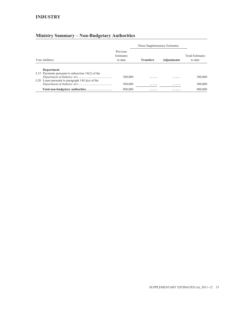## <span id="page-30-0"></span>**INDUSTRY**

# **Ministry Summary – Non-Budgetary Authorities**

| Vote (dollars) |                                                                                                         |                                  | These Supplementary Estimates |                    |                                   |
|----------------|---------------------------------------------------------------------------------------------------------|----------------------------------|-------------------------------|--------------------|-----------------------------------|
|                |                                                                                                         | Previous<br>Estimates<br>to date | <b>Transfers</b>              | <b>Adjustments</b> | <b>Total Estimates</b><br>to date |
|                | Department                                                                                              |                                  |                               |                    |                                   |
|                | L15 Payments pursuant to subsection $14(2)$ of the<br>L20 Loans pursuant to paragraph $14(1)(a)$ of the | 300,000                          | .                             | .                  | 300,000                           |
|                |                                                                                                         | 500,000                          | .                             | .                  | 500,000                           |
|                |                                                                                                         | 800,000                          | .                             | .                  | 800,000                           |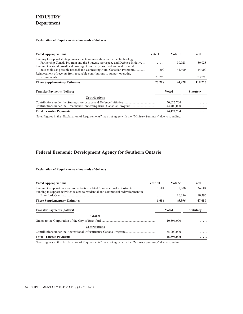<span id="page-31-0"></span>**Explanation of Requirements (thousands of dollars)**

| <b>Voted Appropriations</b>                                                                                                                                  | Vote 1 | Vote 10                  | Total            |
|--------------------------------------------------------------------------------------------------------------------------------------------------------------|--------|--------------------------|------------------|
| Funding to support strategic investments in innovation under the Technology<br>Partnership Canada Program and the Strategic Aerospace and Defence Initiative |        | 50,028                   | 50,028           |
| Funding to extend broadband coverage to as many unserved and underserved<br>households as possible (Broadband Connecting Rural Canadian Program)             | 500    | 44,400                   | 44,900           |
| Reinvestment of receipts from repayable contributions to support operating                                                                                   | 23,298 | .                        | 23,298           |
| <b>These Supplementary Estimates</b>                                                                                                                         | 23,798 | 94,428                   | 118,226          |
| <b>Transfer Payments (dollars)</b>                                                                                                                           |        | <b>Voted</b>             | <b>Statutory</b> |
| <b>Contributions</b>                                                                                                                                         |        |                          |                  |
| Contributions under the Broadband Connecting Rural Canadian Program                                                                                          |        | 50,027,704<br>44,400,000 | .                |
| <b>Total Transfer Payments</b>                                                                                                                               |        | 94,427,704               | .                |
| Note: Figures in the "Evalenction of Dequirements" may not gare with the "Ministry Cummers" due to reunding                                                  |        |                          |                  |

Note: Figures in the "Explanation of Requirements" may not agree with the "Ministry Summary" due to rounding.

## **Federal Economic Development Agency for Southern Ontario**

#### **Explanation of Requirements (thousands of dollars)**

| <b>Voted Appropriations</b>                                                                                                                                               | Vote 50 | Vote 55      | Total            |
|---------------------------------------------------------------------------------------------------------------------------------------------------------------------------|---------|--------------|------------------|
| Funding to support construction activities related to recreational infrastructure<br>Funding to support activities related to residential and commercial redevelopment in | 1.684   | 35,000       | 36,684           |
|                                                                                                                                                                           | .       | 10,396       | 10,396           |
| <b>These Supplementary Estimates</b>                                                                                                                                      | 1.684   | 45,396       | 47,080           |
| <b>Transfer Payments (dollars)</b>                                                                                                                                        |         | <b>Voted</b> | <b>Statutory</b> |
| Grants                                                                                                                                                                    |         |              |                  |
|                                                                                                                                                                           |         | 10,396,000   | .                |
| <b>Contributions</b>                                                                                                                                                      |         |              |                  |
|                                                                                                                                                                           |         | 35,000,000   | .                |
| <b>Total Transfer Payments</b>                                                                                                                                            |         | 45,396,000   | .                |

Note: Figures in the "Explanation of Requirements" may not agree with the "Ministry Summary" due to rounding.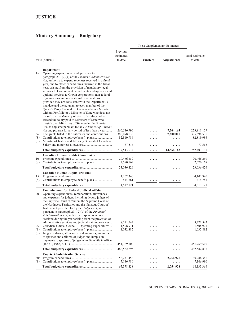|                        |                                                                                                                                                                                                                                                                                                                                                                                                                                                                                                                                                                                                                                                                                                                                                                                                                                                                                                                                                                                                                                     | Previous                                                          |                  |                        |                                                                   |
|------------------------|-------------------------------------------------------------------------------------------------------------------------------------------------------------------------------------------------------------------------------------------------------------------------------------------------------------------------------------------------------------------------------------------------------------------------------------------------------------------------------------------------------------------------------------------------------------------------------------------------------------------------------------------------------------------------------------------------------------------------------------------------------------------------------------------------------------------------------------------------------------------------------------------------------------------------------------------------------------------------------------------------------------------------------------|-------------------------------------------------------------------|------------------|------------------------|-------------------------------------------------------------------|
|                        | Vote (dollars)                                                                                                                                                                                                                                                                                                                                                                                                                                                                                                                                                                                                                                                                                                                                                                                                                                                                                                                                                                                                                      | Estimates<br>to date                                              | <b>Transfers</b> | <b>Adjustments</b>     | <b>Total Estimates</b><br>to date                                 |
|                        |                                                                                                                                                                                                                                                                                                                                                                                                                                                                                                                                                                                                                                                                                                                                                                                                                                                                                                                                                                                                                                     |                                                                   |                  |                        |                                                                   |
| 1a<br>5a<br>(S)        | Department<br>Operating expenditures, and, pursuant to<br>paragraph $29.1(2)(a)$ of the <i>Financial Administration</i><br>Act, authority to expend revenues received in a fiscal<br>year, and to offset expenditures incurred in the fiscal<br>year, arising from the provision of mandatory legal<br>services to Government departments and agencies and<br>optional services to Crown corporations, non-federal<br>organizations and international organizations<br>provided they are consistent with the Department's<br>mandate and the payment to each member of the<br>Queen's Privy Council for Canada who is a Minister<br>without Portfolio or a Minister of State who does not<br>preside over a Ministry of State of a salary not to<br>exceed the salary paid to Ministers of State who<br>preside over Ministries of State under the Salaries<br>Act, as adjusted pursuant to the Parliament of Canada<br>Act and pro rata for any period of less than a year<br>The grants listed in the Estimates and contributions | 266,546,996<br>388,098,536<br>82,819,986                          | .                | 7,264,163<br>7,600,000 | 273,811,159<br>395,698,536<br>82,819,986                          |
| (S)                    | Minister of Justice and Attorney General of Canada -                                                                                                                                                                                                                                                                                                                                                                                                                                                                                                                                                                                                                                                                                                                                                                                                                                                                                                                                                                                | 77,516                                                            | .                | .<br>.                 | 77,516                                                            |
|                        |                                                                                                                                                                                                                                                                                                                                                                                                                                                                                                                                                                                                                                                                                                                                                                                                                                                                                                                                                                                                                                     | 737,543,034                                                       | .                | 14,864,163             | 752,407,197                                                       |
|                        | <b>Canadian Human Rights Commission</b>                                                                                                                                                                                                                                                                                                                                                                                                                                                                                                                                                                                                                                                                                                                                                                                                                                                                                                                                                                                             |                                                                   |                  |                        |                                                                   |
| 10<br>(S)              |                                                                                                                                                                                                                                                                                                                                                                                                                                                                                                                                                                                                                                                                                                                                                                                                                                                                                                                                                                                                                                     | 20,466,259<br>2,570,167                                           | .<br>.           | .<br>.                 | 20,466,259<br>2,570,167                                           |
|                        |                                                                                                                                                                                                                                                                                                                                                                                                                                                                                                                                                                                                                                                                                                                                                                                                                                                                                                                                                                                                                                     | 23,036,426                                                        | .                | .                      | 23,036,426                                                        |
| 15                     | <b>Canadian Human Rights Tribunal</b>                                                                                                                                                                                                                                                                                                                                                                                                                                                                                                                                                                                                                                                                                                                                                                                                                                                                                                                                                                                               | 4,102,340                                                         |                  |                        |                                                                   |
| (S)                    |                                                                                                                                                                                                                                                                                                                                                                                                                                                                                                                                                                                                                                                                                                                                                                                                                                                                                                                                                                                                                                     | 414,781                                                           | .                | .                      | 4,102,340<br>414,781                                              |
|                        |                                                                                                                                                                                                                                                                                                                                                                                                                                                                                                                                                                                                                                                                                                                                                                                                                                                                                                                                                                                                                                     | 4,517,121                                                         | .                | .                      | 4,517,121                                                         |
| 20<br>25<br>(S)<br>(S) | <b>Commissioner for Federal Judicial Affairs</b><br>Operating expenditures, remuneration, allowances<br>and expenses for judges, including deputy judges of<br>the Supreme Court of Yukon, the Supreme Court of<br>the Northwest Territories and the Nunavut Court of<br>Justice, not provided for by the <i>Judges Act</i> , and<br>pursuant to paragraph $29.1(2)(a)$ of the <i>Financial</i><br>Administration Act, authority to spend revenues<br>received during the year arising from the provision of<br>administrative services and judicial training services<br>Canadian Judicial Council - Operating expenditures<br>Judges' salaries, allowances and annuities, annuities<br>to spouses and children of judges and lump sum<br>payments to spouses of judges who die while in office                                                                                                                                                                                                                                    | 8,271,542<br>1,508,971<br>1,032,882<br>451,769,500<br>462,582,895 | .<br>.<br>.      | .<br>.<br>.            | 8,271,542<br>1,508,971<br>1,032,882<br>451,769,500<br>462,582,895 |
|                        | <b>Courts Administration Service</b>                                                                                                                                                                                                                                                                                                                                                                                                                                                                                                                                                                                                                                                                                                                                                                                                                                                                                                                                                                                                |                                                                   |                  |                        |                                                                   |
| 30a<br>(S)             |                                                                                                                                                                                                                                                                                                                                                                                                                                                                                                                                                                                                                                                                                                                                                                                                                                                                                                                                                                                                                                     | 58,231,458<br>7,146,980                                           | .<br>.           | 2,754,928<br>.         | 60,986,386<br>7,146,980                                           |
|                        |                                                                                                                                                                                                                                                                                                                                                                                                                                                                                                                                                                                                                                                                                                                                                                                                                                                                                                                                                                                                                                     | 65,378,438                                                        | .                | 2,754,928              | 68,133,366                                                        |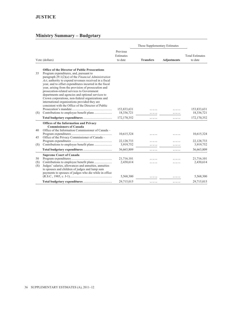| Vote (dollars) |                                                                                                                   |                                  | These Supplementary Estimates |                    |                                   |
|----------------|-------------------------------------------------------------------------------------------------------------------|----------------------------------|-------------------------------|--------------------|-----------------------------------|
|                |                                                                                                                   | Previous<br>Estimates<br>to date | <b>Transfers</b>              | <b>Adjustments</b> | <b>Total Estimates</b><br>to date |
|                | <b>Office of the Director of Public Prosecutions</b>                                                              |                                  |                               |                    |                                   |
| 35             | Program expenditures, and, pursuant to<br>paragraph $29.1(2)(a)$ of the <i>Financial Administration</i>           |                                  |                               |                    |                                   |
|                | Act, authority to expend revenues received in a fiscal<br>year, and to offset expenditures incurred in the fiscal |                                  |                               |                    |                                   |
|                | year, arising from the provision of prosecution and                                                               |                                  |                               |                    |                                   |
|                | prosecution-related services to Government<br>departments and agencies and optional services to                   |                                  |                               |                    |                                   |
|                | Crown corporations, non-federal organizations and<br>international organizations provided they are                |                                  |                               |                    |                                   |
|                | consistent with the Office of the Director of Public                                                              |                                  |                               |                    |                                   |
| (S)            |                                                                                                                   | 153,833,631<br>18,336,721        |                               |                    | 153,833,631<br>18,336,721         |
|                |                                                                                                                   | 172,170,352                      | .                             | .                  | 172,170,352                       |
|                | <b>Offices of the Information and Privacy</b>                                                                     |                                  |                               |                    |                                   |
| 40             | <b>Commissioners of Canada</b><br>Office of the Information Commissioner of Canada –                              |                                  |                               |                    |                                   |
|                |                                                                                                                   | 10,615,324                       | .                             |                    | 10,615,324                        |
| 45             | Office of the Privacy Commissioner of Canada -                                                                    | 22,128,733                       |                               |                    | 22,128,733                        |
| (S)            |                                                                                                                   | 3,919,752                        | .                             | .                  | 3,919,752                         |
|                |                                                                                                                   | 36,663,809                       | .                             | .                  | 36,663,809                        |
|                | <b>Supreme Court of Canada</b>                                                                                    |                                  |                               |                    |                                   |
| 50             |                                                                                                                   | 21,716,101                       |                               |                    | 21,716,101                        |
| (S)<br>(S)     | Judges' salaries, allowances and annuities, annuities                                                             | 2,430,614                        |                               |                    | 2,430,614                         |
|                | to spouses and children of judges and lump sum                                                                    |                                  |                               |                    |                                   |
|                | payments to spouses of judges who die while in office                                                             | 5,568,300                        |                               |                    | 5,568,300                         |
|                |                                                                                                                   |                                  |                               |                    |                                   |
|                |                                                                                                                   | 29,715,015                       | .                             | .                  | 29,715,015                        |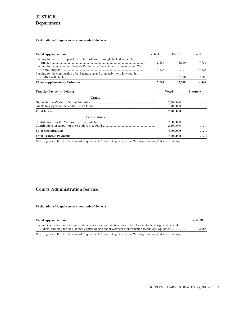<span id="page-34-0"></span>**Explanation of Requirements (thousands of dollars)**

| <b>Voted Appropriations</b><br>Vote 1                                            |       | Vote 5                 | Total            |
|----------------------------------------------------------------------------------|-------|------------------------|------------------|
| Funding for increased support for victims of crime through the Federal Victims   | 2,636 | 5,100                  | 7,736            |
| Funding for the renewal of Canada's Program on Crime Against Humanity and War    | 4,628 | .                      | 4,628            |
| Funding for the continuation of anti-gang, gun and drug activities with youth in | .     | 2,500                  | 2,500            |
| <b>These Supplementary Estimates</b>                                             | 7,264 | 7,600                  | 14,864           |
| <b>Transfer Payments (dollars)</b>                                               |       | <b>Voted</b>           | <b>Statutory</b> |
| Grants                                                                           |       |                        |                  |
|                                                                                  |       | 2,500,000<br>400,000   |                  |
| <b>Total Grants</b>                                                              |       | 2,900,000              |                  |
| <b>Contributions</b>                                                             |       |                        |                  |
|                                                                                  |       | 2,600,000<br>2,100,000 |                  |
| <b>Total Contributions</b>                                                       |       | 4,700,000              |                  |
| <b>Total Transfer Payments</b>                                                   |       | 7,600,000              | .                |

Note: Figures in the "Explanation of Requirements" may not agree with the "Ministry Summary" due to rounding.

#### **Courts Administration Service**

#### **Explanation of Requirements (thousands of dollars)**

| <b>Voted Appropriations</b>                                                                                     | Vote 30 |
|-----------------------------------------------------------------------------------------------------------------|---------|
| Funding to enable Courts Administration Service's corporate functions to be relocated to the designated Federal | 2.755   |
| Matar Figures in the "Funlangtion of Deguinements" move not gones with the "Minister Cumman", due to nounding   |         |

Note: Figures in the "Explanation of Requirements" may not agree with the "Ministry Summary" due to rounding.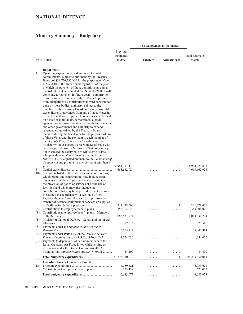## **NATIONAL DEFENCE**

|  | <b>Ministry Summary - Budgetary</b> |  |
|--|-------------------------------------|--|
|--|-------------------------------------|--|

|              |                                                                                                                                                                                                                                                                                                                                                                                                                                                                                                                                                                                                                                                                                                                                                                                                                                                                                                                                                                                                                                                                                                                                                                                                                                                                                                                                                           | These Supplementary Estimates |                  |                    |                                 |
|--------------|-----------------------------------------------------------------------------------------------------------------------------------------------------------------------------------------------------------------------------------------------------------------------------------------------------------------------------------------------------------------------------------------------------------------------------------------------------------------------------------------------------------------------------------------------------------------------------------------------------------------------------------------------------------------------------------------------------------------------------------------------------------------------------------------------------------------------------------------------------------------------------------------------------------------------------------------------------------------------------------------------------------------------------------------------------------------------------------------------------------------------------------------------------------------------------------------------------------------------------------------------------------------------------------------------------------------------------------------------------------|-------------------------------|------------------|--------------------|---------------------------------|
|              |                                                                                                                                                                                                                                                                                                                                                                                                                                                                                                                                                                                                                                                                                                                                                                                                                                                                                                                                                                                                                                                                                                                                                                                                                                                                                                                                                           | Previous<br>Estimates         |                  |                    | <b>Total Estimates</b>          |
|              | Vote (dollars)                                                                                                                                                                                                                                                                                                                                                                                                                                                                                                                                                                                                                                                                                                                                                                                                                                                                                                                                                                                                                                                                                                                                                                                                                                                                                                                                            | to date                       | <b>Transfers</b> | <b>Adjustments</b> | to date                         |
| $\mathbf{1}$ | Department<br>Operating expenditures and authority for total<br>commitments, subject to allotment by the Treasury<br>Board, of \$29,736,337,360 for the purposes of Votes<br>1, 5 and 10 of the Department regardless of the year<br>in which the payment of those commitments comes<br>due (of which it is estimated that \$9,430,224,000 will<br>come due for payment in future years), authority to<br>make payments from any of those Votes to provinces<br>or municipalities as contributions toward construction<br>done by those bodies, authority, subject to the<br>direction of the Treasury Board, to make recoverable<br>expenditures or advances from any of those Votes in<br>respect of materials supplied to or services performed<br>on behalf of individuals, corporations, outside<br>agencies, other government departments and agencies<br>and other governments and authority to expend<br>revenue, as authorized by the Treasury Board,<br>received during the fiscal year for the purposes of any<br>of those Votes and the payment to each member of<br>the Queen's Privy Council for Canada who is a<br>Minister without Portfolio or a Minister of State who<br>does not preside over a Ministry of State of a salary<br>not to exceed the salary paid to Ministers of State<br>who preside over Ministries of State under the |                               |                  |                    |                                 |
| 5            | Salaries Act, as adjusted pursuant to the Parliament of<br>Canada Act and pro rata for any period of less than a<br>10a The grants listed in the Estimates and contributions,<br>which grants and contributions may include cash<br>payments or, in lieu of payment made to a recipient,<br>the provision of goods or services or of the use of<br>facilities, and which may also include the<br>contributions that may be approved by the Governor<br>in Council in accordance with section 3 of The                                                                                                                                                                                                                                                                                                                                                                                                                                                                                                                                                                                                                                                                                                                                                                                                                                                     | 4,663,662,924                 |                  | .                  | 14,964,971,433<br>4,663,662,924 |
|              | Defence Appropriation Act, 1950, for provision or<br>transfer of defence equipment or services or supplies                                                                                                                                                                                                                                                                                                                                                                                                                                                                                                                                                                                                                                                                                                                                                                                                                                                                                                                                                                                                                                                                                                                                                                                                                                                |                               |                  |                    |                                 |
|              |                                                                                                                                                                                                                                                                                                                                                                                                                                                                                                                                                                                                                                                                                                                                                                                                                                                                                                                                                                                                                                                                                                                                                                                                                                                                                                                                                           | 241,678,000                   |                  | 1                  | 241,678,001                     |
| (S)          |                                                                                                                                                                                                                                                                                                                                                                                                                                                                                                                                                                                                                                                                                                                                                                                                                                                                                                                                                                                                                                                                                                                                                                                                                                                                                                                                                           | 353,304,026                   |                  |                    | 353,304,026                     |
| (S)          | Contributions to employee benefit plans – Members                                                                                                                                                                                                                                                                                                                                                                                                                                                                                                                                                                                                                                                                                                                                                                                                                                                                                                                                                                                                                                                                                                                                                                                                                                                                                                         | 1,063,531,774                 | .                | .                  | 1,063,531,774                   |
| (S)          | Minister of National Defence - Salary and motor car                                                                                                                                                                                                                                                                                                                                                                                                                                                                                                                                                                                                                                                                                                                                                                                                                                                                                                                                                                                                                                                                                                                                                                                                                                                                                                       | 77,516                        |                  |                    | 77,516                          |
| (S)          | Payments under the Supplementary Retirement                                                                                                                                                                                                                                                                                                                                                                                                                                                                                                                                                                                                                                                                                                                                                                                                                                                                                                                                                                                                                                                                                                                                                                                                                                                                                                               | 5,005,914                     |                  |                    | 5,005,914                       |
| (S)          | Payments under Parts I-IV of the Defence Services                                                                                                                                                                                                                                                                                                                                                                                                                                                                                                                                                                                                                                                                                                                                                                                                                                                                                                                                                                                                                                                                                                                                                                                                                                                                                                         |                               |                  |                    |                                 |
| (S)          | Pension Continuation Act (R.S.C., 1970, c. D-3)<br>Payments to dependants of certain members of the<br>Royal Canadian Air Force killed while serving as<br>instructors under the British Commonwealth Air<br>Training Plan (Appropriation Act No. 4, 1968)                                                                                                                                                                                                                                                                                                                                                                                                                                                                                                                                                                                                                                                                                                                                                                                                                                                                                                                                                                                                                                                                                                | 1,054,026<br>44,400           |                  | .                  | 1,054,026<br>44,400             |
|              |                                                                                                                                                                                                                                                                                                                                                                                                                                                                                                                                                                                                                                                                                                                                                                                                                                                                                                                                                                                                                                                                                                                                                                                                                                                                                                                                                           |                               | .                | 1                  | 21,293,330,014                  |
|              | <b>Canadian Forces Grievance Board</b>                                                                                                                                                                                                                                                                                                                                                                                                                                                                                                                                                                                                                                                                                                                                                                                                                                                                                                                                                                                                                                                                                                                                                                                                                                                                                                                    |                               |                  |                    |                                 |
| 15           |                                                                                                                                                                                                                                                                                                                                                                                                                                                                                                                                                                                                                                                                                                                                                                                                                                                                                                                                                                                                                                                                                                                                                                                                                                                                                                                                                           | 6,059,621<br>623,452          |                  |                    | 6,059,621                       |
| (S)          |                                                                                                                                                                                                                                                                                                                                                                                                                                                                                                                                                                                                                                                                                                                                                                                                                                                                                                                                                                                                                                                                                                                                                                                                                                                                                                                                                           |                               |                  | .                  | 623,452                         |
|              |                                                                                                                                                                                                                                                                                                                                                                                                                                                                                                                                                                                                                                                                                                                                                                                                                                                                                                                                                                                                                                                                                                                                                                                                                                                                                                                                                           | 6,683,073                     | .                | .                  | 6,683,073                       |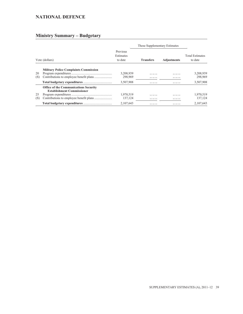# **NATIONAL DEFENCE**

|           |                                                                                   |                                  | These Supplementary Estimates |                    |                                   |  |
|-----------|-----------------------------------------------------------------------------------|----------------------------------|-------------------------------|--------------------|-----------------------------------|--|
|           | Vote (dollars)                                                                    | Previous<br>Estimates<br>to date | <b>Transfers</b>              | <b>Adjustments</b> | <b>Total Estimates</b><br>to date |  |
| 20<br>(S) | <b>Military Police Complaints Commission</b>                                      | 3,208,939<br>298,969             | .<br>.                        | .<br>.             | 3,208,939<br>298,969              |  |
|           |                                                                                   | 3,507,908                        | .                             | .                  | 3,507,908                         |  |
| 25<br>(S) | <b>Office of the Communications Security</b><br><b>Establishment Commissioner</b> | 1,970,519<br>137,124             | .<br>.                        | .<br>.             | 1,970,519<br>137,124              |  |
|           |                                                                                   | 2.107.643                        | .                             | .                  | 2.107.643                         |  |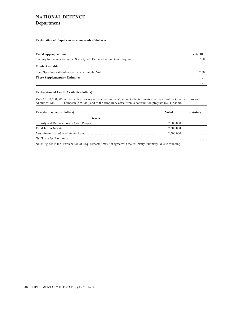# **NATIONAL DEFENCE Department**

### **Explanation of Requirements (thousands of dollars)**

| <b>Voted Appropriations</b>          | Vote 10 |
|--------------------------------------|---------|
|                                      | 2.500   |
| <b>Funds Available</b>               |         |
|                                      | 2.500   |
| <b>These Supplementary Estimates</b> | .       |
|                                      | .       |

### **Explanation of Funds Available (dollars)**

**Vote 10**: \$2,500,000 in total authorities is available within the Vote due to the termination of the Grant for Civil Pensions and Annuities: Mr. R.P. Thompson (\$25,000) and to the temporary offset from a contribution program (\$2,475,000).

| <b>Transfer Payments (dollars)</b> | Voted     | <b>Statutory</b> |  |
|------------------------------------|-----------|------------------|--|
| <b>Grants</b>                      |           |                  |  |
|                                    | 2.500,000 | .                |  |
| <b>Total Gross Grants</b>          | 2,500,000 | .                |  |
|                                    | 2.500,000 | .                |  |
| <b>Net Transfer Payments</b>       | .         | .                |  |

Note: Figures in the "Explanation of Requirements" may not agree with the "Ministry Summary" due to rounding.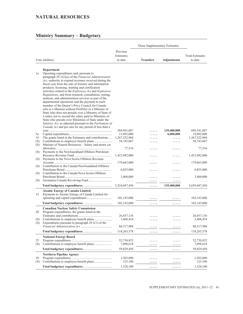## **NATURAL RESOURCES**

|  | <b>Ministry Summary - Budgetary</b> |  |
|--|-------------------------------------|--|
|--|-------------------------------------|--|

|     |                                                                                                                                                                                                                                                                                                                                                                                                                                                                                                                                                                                                                                                                                                                                                                                                                                                                       |                                  | These Supplementary Estimates |                    |                                   |
|-----|-----------------------------------------------------------------------------------------------------------------------------------------------------------------------------------------------------------------------------------------------------------------------------------------------------------------------------------------------------------------------------------------------------------------------------------------------------------------------------------------------------------------------------------------------------------------------------------------------------------------------------------------------------------------------------------------------------------------------------------------------------------------------------------------------------------------------------------------------------------------------|----------------------------------|-------------------------------|--------------------|-----------------------------------|
|     | Vote (dollars)                                                                                                                                                                                                                                                                                                                                                                                                                                                                                                                                                                                                                                                                                                                                                                                                                                                        | Previous<br>Estimates<br>to date | <b>Transfers</b>              | <b>Adjustments</b> | <b>Total Estimates</b><br>to date |
|     |                                                                                                                                                                                                                                                                                                                                                                                                                                                                                                                                                                                                                                                                                                                                                                                                                                                                       |                                  |                               |                    |                                   |
| 1a  | Department<br>Operating expenditures and, pursuant to<br>paragraph $29.1(2)(a)$ of the Financial Administration<br>Act, authority to expend revenues received during the<br>fiscal year from the sale of forestry and information<br>products; licensing, training and certification<br>activities related to the Explosives Act and Explosives<br>Regulations; and from research, consultation, testing,<br>analysis, and administration services as part of the<br>departmental operations and the payment to each<br>member of the Queen's Privy Council for Canada<br>who is a Minister without Portfolio or a Minister of<br>State who does not preside over a Ministry of State of<br>a salary not to exceed the salary paid to Ministers of<br>State who preside over Ministries of State under the<br>Salaries Act, as adjusted pursuant to the Parliament of |                                  |                               |                    |                                   |
|     | Canada Act and pro rata for any period of less than a                                                                                                                                                                                                                                                                                                                                                                                                                                                                                                                                                                                                                                                                                                                                                                                                                 | 569,941,887                      |                               | 129,400,000        | 699, 341, 887                     |
| 5a  |                                                                                                                                                                                                                                                                                                                                                                                                                                                                                                                                                                                                                                                                                                                                                                                                                                                                       | 13,892,000                       |                               | 6,000,000          | 19,892,000                        |
| 10  | The grants listed in the Estimates and contributions                                                                                                                                                                                                                                                                                                                                                                                                                                                                                                                                                                                                                                                                                                                                                                                                                  | 1,267,522,960                    |                               | .                  | 1,267,522,960                     |
| (S) |                                                                                                                                                                                                                                                                                                                                                                                                                                                                                                                                                                                                                                                                                                                                                                                                                                                                       | 58,743,067                       |                               |                    | 58,743,067                        |
| (S) | Minister of Natural Resources - Salary and motor car                                                                                                                                                                                                                                                                                                                                                                                                                                                                                                                                                                                                                                                                                                                                                                                                                  | 77,516                           | .                             | .                  | 77,516                            |
| (S) | Payments to the Newfoundland Offshore Petroleum                                                                                                                                                                                                                                                                                                                                                                                                                                                                                                                                                                                                                                                                                                                                                                                                                       |                                  |                               |                    |                                   |
|     |                                                                                                                                                                                                                                                                                                                                                                                                                                                                                                                                                                                                                                                                                                                                                                                                                                                                       | 1,423,982,000                    | .                             | .                  | 1,423,982,000                     |
| (S) | Payments to the Nova Scotia Offshore Revenue                                                                                                                                                                                                                                                                                                                                                                                                                                                                                                                                                                                                                                                                                                                                                                                                                          |                                  |                               |                    |                                   |
|     |                                                                                                                                                                                                                                                                                                                                                                                                                                                                                                                                                                                                                                                                                                                                                                                                                                                                       | 179,663,000                      | .                             | .                  | 179,663,000                       |
| (S) | Contribution to the Canada/Newfoundland Offshore<br>Contribution to the Canada/Nova Scotia Offshore                                                                                                                                                                                                                                                                                                                                                                                                                                                                                                                                                                                                                                                                                                                                                                   | 6,825,000                        | .                             | .                  | 6,825,000                         |
| (S) |                                                                                                                                                                                                                                                                                                                                                                                                                                                                                                                                                                                                                                                                                                                                                                                                                                                                       | 3,400,000                        | .                             |                    | 3,400,000                         |
| (S) |                                                                                                                                                                                                                                                                                                                                                                                                                                                                                                                                                                                                                                                                                                                                                                                                                                                                       |                                  | .                             | .                  |                                   |
|     |                                                                                                                                                                                                                                                                                                                                                                                                                                                                                                                                                                                                                                                                                                                                                                                                                                                                       | 3,524,047,430                    | .                             | 135,400,000        | 3,659,447,430                     |
|     | <b>Atomic Energy of Canada Limited</b>                                                                                                                                                                                                                                                                                                                                                                                                                                                                                                                                                                                                                                                                                                                                                                                                                                |                                  |                               |                    |                                   |
| 15  | Payments to Atomic Energy of Canada Limited for                                                                                                                                                                                                                                                                                                                                                                                                                                                                                                                                                                                                                                                                                                                                                                                                                       |                                  |                               |                    |                                   |
|     |                                                                                                                                                                                                                                                                                                                                                                                                                                                                                                                                                                                                                                                                                                                                                                                                                                                                       | 102,143,000                      |                               | .                  | 102,143,000                       |
|     |                                                                                                                                                                                                                                                                                                                                                                                                                                                                                                                                                                                                                                                                                                                                                                                                                                                                       | 102,143,000                      | .                             | .                  | 102,143,000                       |
|     | <b>Canadian Nuclear Safety Commission</b>                                                                                                                                                                                                                                                                                                                                                                                                                                                                                                                                                                                                                                                                                                                                                                                                                             |                                  |                               |                    |                                   |
| 20  | Program expenditures, the grants listed in the                                                                                                                                                                                                                                                                                                                                                                                                                                                                                                                                                                                                                                                                                                                                                                                                                        |                                  |                               |                    |                                   |
|     |                                                                                                                                                                                                                                                                                                                                                                                                                                                                                                                                                                                                                                                                                                                                                                                                                                                                       | 26,457,136                       | .                             |                    | 26,457,136                        |
| (S) | Contributions to employee benefit plans<br>(S) Expenditures pursuant to paragraph 29.1(1) of the                                                                                                                                                                                                                                                                                                                                                                                                                                                                                                                                                                                                                                                                                                                                                                      | 3,488,454                        |                               |                    | 3,488,454                         |
|     |                                                                                                                                                                                                                                                                                                                                                                                                                                                                                                                                                                                                                                                                                                                                                                                                                                                                       | 88,317,988                       | .                             | .                  | 88, 317, 988                      |
|     |                                                                                                                                                                                                                                                                                                                                                                                                                                                                                                                                                                                                                                                                                                                                                                                                                                                                       | 118,263,578                      | .                             | .                  | 118,263,578                       |
|     | <b>National Energy Board</b>                                                                                                                                                                                                                                                                                                                                                                                                                                                                                                                                                                                                                                                                                                                                                                                                                                          |                                  |                               |                    |                                   |
| 25  |                                                                                                                                                                                                                                                                                                                                                                                                                                                                                                                                                                                                                                                                                                                                                                                                                                                                       | 52,730,832                       | .                             | .                  | 52,730,832                        |
| (S) |                                                                                                                                                                                                                                                                                                                                                                                                                                                                                                                                                                                                                                                                                                                                                                                                                                                                       | 7,098,618                        | .                             | .                  | 7,098,618                         |
|     |                                                                                                                                                                                                                                                                                                                                                                                                                                                                                                                                                                                                                                                                                                                                                                                                                                                                       | 59,829,450                       | .                             | .                  | 59,829,450                        |
|     | <b>Northern Pipeline Agency</b>                                                                                                                                                                                                                                                                                                                                                                                                                                                                                                                                                                                                                                                                                                                                                                                                                                       |                                  |                               |                    |                                   |
| 30  |                                                                                                                                                                                                                                                                                                                                                                                                                                                                                                                                                                                                                                                                                                                                                                                                                                                                       | 1,203,000                        | .                             | .                  | 1,203,000                         |
| (S) |                                                                                                                                                                                                                                                                                                                                                                                                                                                                                                                                                                                                                                                                                                                                                                                                                                                                       | 125,100                          | .                             | .                  | 125,100                           |
|     |                                                                                                                                                                                                                                                                                                                                                                                                                                                                                                                                                                                                                                                                                                                                                                                                                                                                       | 1,328,100                        | .                             | .                  | 1,328,100                         |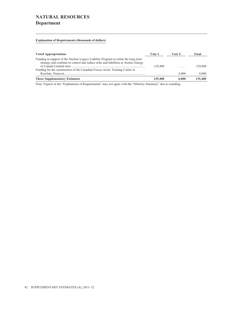# **NATURAL RESOURCES Department**

**Explanation of Requirements (thousands of dollars)**

| <b>Voted Appropriations</b>                                                                                                                                              | Vote 1  | Vote 5 | Total   |
|--------------------------------------------------------------------------------------------------------------------------------------------------------------------------|---------|--------|---------|
| Funding in support of the Nuclear Legacy Liability Program to refine the long-term<br>strategy and continue to control and reduce risks and liabilities at Atomic Energy | 129,400 | .      | 129,400 |
| Funding for the construction of the Canadian Forces Arctic Training Centre in                                                                                            | .       | 6.000  | 6.000   |
| <b>These Supplementary Estimates</b>                                                                                                                                     | 129,400 | 6.000  | 135.400 |

Note: Figures in the "Explanation of Requirements" may not agree with the "Ministry Summary" due to rounding.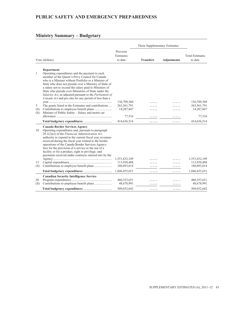## **PUBLIC SAFETY AND EMERGENCY PREPAREDNESS**

|                      |                                                                                                                                                                                                                                                                                                                                                                                                                                                                                                                                                                                    |                                             | These Supplementary Estimates |                    |                                             |
|----------------------|------------------------------------------------------------------------------------------------------------------------------------------------------------------------------------------------------------------------------------------------------------------------------------------------------------------------------------------------------------------------------------------------------------------------------------------------------------------------------------------------------------------------------------------------------------------------------------|---------------------------------------------|-------------------------------|--------------------|---------------------------------------------|
|                      | Vote (dollars)                                                                                                                                                                                                                                                                                                                                                                                                                                                                                                                                                                     | Previous<br>Estimates<br>to date            | <b>Transfers</b>              | <b>Adjustments</b> | <b>Total Estimates</b><br>to date           |
| 1<br>5<br>(S)<br>(S) | Department<br>Operating expenditures and the payment to each<br>member of the Queen's Privy Council for Canada<br>who is a Minister without Portfolio or a Minister of<br>State who does not preside over a Ministry of State of<br>a salary not to exceed the salary paid to Ministers of<br>State who preside over Ministries of State under the<br>Salaries Act, as adjusted pursuant to the Parliament of<br>Canada Act and pro rata for any period of less than a<br>The grants listed in the Estimates and contributions<br>Minister of Public Safety – Salary and motor car | 136,709,360<br>263,561,791<br>14,287,847    |                               |                    | 136,709,360<br>263,561,791<br>14,287,847    |
|                      |                                                                                                                                                                                                                                                                                                                                                                                                                                                                                                                                                                                    | 77,516<br>414,636,514                       | .                             | .                  | 77,516<br>414,636,514                       |
| 10<br>15<br>(S)      | <b>Canada Border Services Agency</b><br>Operating expenditures and, pursuant to paragraph<br>$29.1(2)(a)$ of the Financial Administration Act,<br>authority to expend in the current fiscal year revenues<br>received during the fiscal year related to the border<br>operations of the Canada Border Services Agency:<br>fees for the provision of a service or the use of a<br>facility or for a product, right or privilege; and<br>payments received under contracts entered into by the                                                                                       | 1,551,632,149<br>113,930,488<br>180,893,014 |                               |                    | 1,551,632,149<br>113,930,488<br>180,893,014 |
|                      |                                                                                                                                                                                                                                                                                                                                                                                                                                                                                                                                                                                    | 1,846,455,651                               | .                             | .                  | 1,846,455,651                               |
| 20<br>(S)            | <b>Canadian Security Intelligence Service</b><br>Contributions to employee benefit plans                                                                                                                                                                                                                                                                                                                                                                                                                                                                                           | 460, 353, 651<br>48,678,991<br>509,032,642  | .<br>.                        | .<br>.             | 460, 353, 651<br>48,678,991<br>509,032,642  |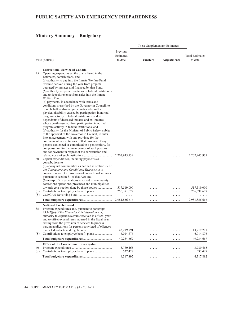## **PUBLIC SAFETY AND EMERGENCY PREPAREDNESS**

|            |                                                                                                                                                                                                                                                                                                                                                                                                                                                                                                                                                                                                                                                                                                                                                                                                                                                                                                                                                                                                                                                                                                                                                                                                                                                                                                  | These Supplementary Estimates          |                  |                    |                                   |
|------------|--------------------------------------------------------------------------------------------------------------------------------------------------------------------------------------------------------------------------------------------------------------------------------------------------------------------------------------------------------------------------------------------------------------------------------------------------------------------------------------------------------------------------------------------------------------------------------------------------------------------------------------------------------------------------------------------------------------------------------------------------------------------------------------------------------------------------------------------------------------------------------------------------------------------------------------------------------------------------------------------------------------------------------------------------------------------------------------------------------------------------------------------------------------------------------------------------------------------------------------------------------------------------------------------------|----------------------------------------|------------------|--------------------|-----------------------------------|
|            | Vote (dollars)                                                                                                                                                                                                                                                                                                                                                                                                                                                                                                                                                                                                                                                                                                                                                                                                                                                                                                                                                                                                                                                                                                                                                                                                                                                                                   | Previous<br>Estimates<br>to date       | <b>Transfers</b> | <b>Adjustments</b> | <b>Total Estimates</b><br>to date |
| 25<br>30   | <b>Correctional Service of Canada</b><br>Operating expenditures, the grants listed in the<br>Estimates, contributions, and<br>(a) authority to pay into the Inmate Welfare Fund<br>revenue derived during the year from projects<br>operated by inmates and financed by that Fund;<br>$(b)$ authority to operate canteens in federal institutions<br>and to deposit revenue from sales into the Inmate<br>Welfare Fund:<br>$(c)$ payments, in accordance with terms and<br>conditions prescribed by the Governor in Council, to<br>or on behalf of discharged inmates who suffer<br>physical disability caused by participation in normal<br>program activity in federal institutions, and to<br>dependants of deceased inmates and ex-inmates<br>whose death resulted from participation in normal<br>program activity in federal institutions; and<br>(d) authority for the Minister of Public Safety, subject<br>to the approval of the Governor in Council, to enter<br>into an agreement with any province for the<br>confinement in institutions of that province of any<br>persons sentenced or committed to a penitentiary, for<br>compensation for the maintenance of such persons<br>and for payment in respect of the construction and<br>Capital expenditures, including payments as | 2,207,945,939                          | .                |                    | 2,207,945,939                     |
| (S)<br>(S) | contributions to<br>$(a)$ aboriginal communities as defined in section 79 of<br>the Corrections and Conditional Release Act in<br>connection with the provision of correctional services<br>pursuant to section 81 of that Act; and<br>$(b)$ non-profit organizations involved in community<br>corrections operations, provinces and municipalities<br>towards construction done by those bodies                                                                                                                                                                                                                                                                                                                                                                                                                                                                                                                                                                                                                                                                                                                                                                                                                                                                                                 | 517,519,000<br>256,391,677<br>$\cdots$ | .                | .                  | 517,519,000<br>256,391,677        |
|            |                                                                                                                                                                                                                                                                                                                                                                                                                                                                                                                                                                                                                                                                                                                                                                                                                                                                                                                                                                                                                                                                                                                                                                                                                                                                                                  | 2,981,856,616                          | .                | .                  | 2,981,856,616                     |
| 35         | <b>National Parole Board</b><br>Program expenditures and, pursuant to paragraph<br>$29.1(2)(a)$ of the Financial Administration Act,<br>authority to expend revenues received in a fiscal year,<br>and to offset expenditures incurred in the fiscal year<br>arising from the provision of services to process<br>pardon applications for persons convicted of offences                                                                                                                                                                                                                                                                                                                                                                                                                                                                                                                                                                                                                                                                                                                                                                                                                                                                                                                          | 43,219,791                             | .                | .                  | 43,219,791                        |
| (S)        |                                                                                                                                                                                                                                                                                                                                                                                                                                                                                                                                                                                                                                                                                                                                                                                                                                                                                                                                                                                                                                                                                                                                                                                                                                                                                                  | 6,014,876                              | .                | .                  | 6,014,876                         |
|            |                                                                                                                                                                                                                                                                                                                                                                                                                                                                                                                                                                                                                                                                                                                                                                                                                                                                                                                                                                                                                                                                                                                                                                                                                                                                                                  | 49,234,667                             | .                | .                  | 49,234,667                        |
| 40<br>(S)  | Office of the Correctional Investigator                                                                                                                                                                                                                                                                                                                                                                                                                                                                                                                                                                                                                                                                                                                                                                                                                                                                                                                                                                                                                                                                                                                                                                                                                                                          | 3,780,465<br>537,427                   | .<br>.           | .<br>.             | 3,780,465<br>537,427              |
|            |                                                                                                                                                                                                                                                                                                                                                                                                                                                                                                                                                                                                                                                                                                                                                                                                                                                                                                                                                                                                                                                                                                                                                                                                                                                                                                  | 4,317,892                              | .                | .                  | 4,317,892                         |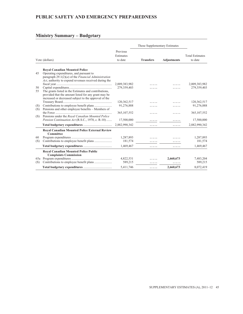## **PUBLIC SAFETY AND EMERGENCY PREPAREDNESS**

|     |                                                                                                                                                                        |                                  | These Supplementary Estimates |                    |                                   |
|-----|------------------------------------------------------------------------------------------------------------------------------------------------------------------------|----------------------------------|-------------------------------|--------------------|-----------------------------------|
|     | Vote (dollars)                                                                                                                                                         | Previous<br>Estimates<br>to date | <b>Transfers</b>              | <b>Adjustments</b> | <b>Total Estimates</b><br>to date |
|     | <b>Royal Canadian Mounted Police</b>                                                                                                                                   |                                  |                               |                    |                                   |
| 45  | Operating expenditures, and pursuant to<br>paragraph $29.1(2)(a)$ of the <i>Financial Administration</i><br>Act, authority to expend revenues received during the      |                                  |                               |                    |                                   |
|     |                                                                                                                                                                        | 2,009,383,982                    |                               |                    | 2,009,383,982                     |
| 50  |                                                                                                                                                                        | 279,359,403                      |                               |                    | 279,359,403                       |
| 55  | The grants listed in the Estimates and contributions,<br>provided that the amount listed for any grant may be<br>increased or decreased subject to the approval of the |                                  |                               |                    |                                   |
|     |                                                                                                                                                                        | 120,362,517                      |                               |                    | 120, 362, 517                     |
| (S) |                                                                                                                                                                        | 91,276,888                       |                               |                    | 91,276,888                        |
| (S) | Pensions and other employee benefits – Members of                                                                                                                      |                                  |                               |                    |                                   |
|     |                                                                                                                                                                        | 365, 107, 552                    |                               |                    | 365, 107, 552                     |
| (S) | Pensions under the Royal Canadian Mounted Police<br>Pension Continuation Act (R.S.C., 1970, c. R-10)                                                                   | 17,500,000                       |                               |                    | 17,500,000                        |
|     |                                                                                                                                                                        | 2,882,990,342                    | .                             | .                  | 2,882,990,342                     |
|     | <b>Royal Canadian Mounted Police External Review</b><br>Committee                                                                                                      |                                  |                               |                    |                                   |
| 60  |                                                                                                                                                                        | 1,287,893                        |                               |                    | 1,287,893                         |
| (S) |                                                                                                                                                                        | 181,574                          |                               |                    | 181,574                           |
|     |                                                                                                                                                                        | 1,469,467                        | .                             | .                  | 1,469,467                         |
|     | <b>Royal Canadian Mounted Police Public</b><br><b>Complaints Commission</b>                                                                                            |                                  |                               |                    |                                   |
|     |                                                                                                                                                                        | 4,822,531                        |                               | 2,660,673          | 7,483,204                         |
| (S) |                                                                                                                                                                        | 589,215                          |                               |                    | 589,215                           |
|     |                                                                                                                                                                        | 5,411,746                        | .                             | 2,660,673          | 8,072,419                         |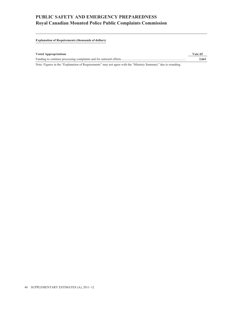# **PUBLIC SAFETY AND EMERGENCY PREPAREDNESS Royal Canadian Mounted Police Public Complaints Commission**

**Explanation of Requirements (thousands of dollars)**

| <b>Voted Appropriations</b> | Vote 65 |
|-----------------------------|---------|
|                             | 2.661   |

Note: Figures in the "Explanation of Requirements" may not agree with the "Ministry Summary" due to rounding.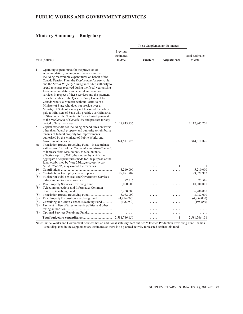## **PUBLIC WORKS AND GOVERNMENT SERVICES**

|            |                                                                                                                                                                                                                                                                                                                                                                                                                                                                                                                                                                                                                                                                                                                                                                                                                                                                                   |                                  | These Supplementary Estimates |                    |                                   |
|------------|-----------------------------------------------------------------------------------------------------------------------------------------------------------------------------------------------------------------------------------------------------------------------------------------------------------------------------------------------------------------------------------------------------------------------------------------------------------------------------------------------------------------------------------------------------------------------------------------------------------------------------------------------------------------------------------------------------------------------------------------------------------------------------------------------------------------------------------------------------------------------------------|----------------------------------|-------------------------------|--------------------|-----------------------------------|
|            | Vote (dollars)                                                                                                                                                                                                                                                                                                                                                                                                                                                                                                                                                                                                                                                                                                                                                                                                                                                                    | Previous<br>Estimates<br>to date | <b>Transfers</b>              | <b>Adjustments</b> | <b>Total Estimates</b><br>to date |
| 1<br>5     | Operating expenditures for the provision of<br>accommodation, common and central services<br>including recoverable expenditures on behalf of the<br>Canada Pension Plan, the Employment Insurance Act<br>and the Seized Property Management Act; authority to<br>spend revenues received during the fiscal year arising<br>from accommodation and central and common<br>services in respect of these services and the payment<br>to each member of the Queen's Privy Council for<br>Canada who is a Minister without Portfolio or a<br>Minister of State who does not preside over a<br>Ministry of State of a salary not to exceed the salary<br>paid to Ministers of State who preside over Ministries<br>of State under the Salaries Act, as adjusted pursuant<br>to the Parliament of Canada Act and pro rata for any<br>Capital expenditures including expenditures on works | 2,117,845,756                    |                               |                    | 2,117,845,756                     |
|            | other than federal property and authority to reimburse<br>tenants of federal property for improvements<br>authorized by the Minister of Public Works and                                                                                                                                                                                                                                                                                                                                                                                                                                                                                                                                                                                                                                                                                                                          |                                  |                               |                    |                                   |
| 6a         | Translation Bureau Revolving Fund - In accordance<br>with section 29.1 of the Financial Administration Act,<br>to increase from \$10,000,000 to \$20,000,000,<br>effective April 1, 2011, the amount by which the<br>aggregate of expenditures made for the purpose of the<br>fund, established by Vote 23d, Appropriation Act                                                                                                                                                                                                                                                                                                                                                                                                                                                                                                                                                    | 344,511,826                      | .                             |                    | 344,511,826                       |
|            | <i>No. 4, 1994–95, may exceed the revenues</i>                                                                                                                                                                                                                                                                                                                                                                                                                                                                                                                                                                                                                                                                                                                                                                                                                                    | $\alpha$ , $\alpha$ , $\alpha$   |                               | 1                  | 1                                 |
| 10         |                                                                                                                                                                                                                                                                                                                                                                                                                                                                                                                                                                                                                                                                                                                                                                                                                                                                                   | 5,210,000                        |                               |                    | 5.210.000                         |
| (S)<br>(S) | Contributions to employee benefit plans<br>Minister of Public Works and Government Services -                                                                                                                                                                                                                                                                                                                                                                                                                                                                                                                                                                                                                                                                                                                                                                                     | 99,871,902                       | .                             | .                  | 99,871,902                        |
|            |                                                                                                                                                                                                                                                                                                                                                                                                                                                                                                                                                                                                                                                                                                                                                                                                                                                                                   | 77,516                           |                               |                    | 77,516                            |
| (S)<br>(S) | Telecommunications and Informatics Common                                                                                                                                                                                                                                                                                                                                                                                                                                                                                                                                                                                                                                                                                                                                                                                                                                         | 10,000,000                       | .                             | .                  | 10,000,000                        |
|            |                                                                                                                                                                                                                                                                                                                                                                                                                                                                                                                                                                                                                                                                                                                                                                                                                                                                                   | 6,200,000                        |                               |                    | 6,200,000                         |
| (S)        |                                                                                                                                                                                                                                                                                                                                                                                                                                                                                                                                                                                                                                                                                                                                                                                                                                                                                   | 3,082,000                        |                               |                    | 3,082,000                         |
| (S)        | Real Property Disposition Revolving Fund                                                                                                                                                                                                                                                                                                                                                                                                                                                                                                                                                                                                                                                                                                                                                                                                                                          | (4,854,000)                      | .                             | .                  | (4,854,000)                       |
| (S)<br>(S) | Consulting and Audit Canada Revolving Fund<br>Payment in lieu of taxes to municipalities and other                                                                                                                                                                                                                                                                                                                                                                                                                                                                                                                                                                                                                                                                                                                                                                                | (198, 850)                       | .                             | .                  | (198, 850)                        |
|            |                                                                                                                                                                                                                                                                                                                                                                                                                                                                                                                                                                                                                                                                                                                                                                                                                                                                                   |                                  |                               |                    |                                   |
| (S)        |                                                                                                                                                                                                                                                                                                                                                                                                                                                                                                                                                                                                                                                                                                                                                                                                                                                                                   |                                  | .                             |                    |                                   |
|            |                                                                                                                                                                                                                                                                                                                                                                                                                                                                                                                                                                                                                                                                                                                                                                                                                                                                                   | 2,581,746,150                    | .                             | 1                  | 2,581,746,151                     |

# **Ministry Summary – Budgetary**

Note: Public Works and Government Services has an additional statutory item entitled "Defence Production Revolving Fund'' which is not displayed in the Supplementary Estimates as there is no planned activity forecasted against this fund.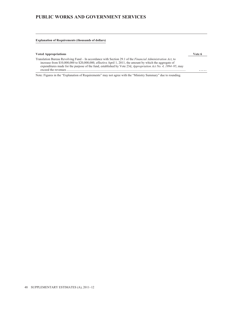## **PUBLIC WORKS AND GOVERNMENT SERVICES**

#### **Explanation of Requirements (thousands of dollars)**

### **Voted Appropriations Vote 6**

Translation Bureau Revolving Fund – In accordance with Section 29.1 of the *Financial Administration Act*, to increase from \$10,000,000 to \$20,000,000, effective April 1, 2011, the amount by which the aggregate of expenditures made for the purpose of the fund, established by Vote 23d, *Appropriation Act No. 4, 1994–95*, may exceed the revenues ...................................................................................................................................................... **.....**

Note: Figures in the "Explanation of Requirements" may not agree with the "Ministry Summary" due to rounding.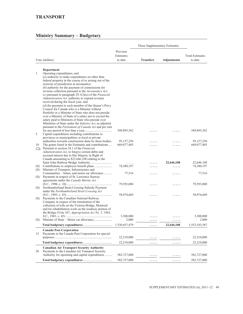|  | <b>Ministry Summary - Budgetary</b> |  |
|--|-------------------------------------|--|
|--|-------------------------------------|--|

|              |                                                                                                                  | These Supplementary Estimates    |                  |                    |                                   |
|--------------|------------------------------------------------------------------------------------------------------------------|----------------------------------|------------------|--------------------|-----------------------------------|
|              | Vote (dollars)                                                                                                   | Previous<br>Estimates<br>to date | <b>Transfers</b> | <b>Adjustments</b> | <b>Total Estimates</b><br>to date |
|              |                                                                                                                  |                                  |                  |                    |                                   |
|              | Department                                                                                                       |                                  |                  |                    |                                   |
| $\mathbf{1}$ | Operating expenditures, and<br>$(a)$ authority to make expenditures on other than                                |                                  |                  |                    |                                   |
|              | federal property in the course of or arising out of the                                                          |                                  |                  |                    |                                   |
|              | exercise of jurisdiction in aeronautics;                                                                         |                                  |                  |                    |                                   |
|              | $(b)$ authority for the payment of commissions for                                                               |                                  |                  |                    |                                   |
|              | revenue collection pursuant to the Aeronautics Act;                                                              |                                  |                  |                    |                                   |
|              | (c) pursuant to paragraph $29.1(2)(a)$ of the <i>Financial</i>                                                   |                                  |                  |                    |                                   |
|              | Administration Act, authority to expend revenue                                                                  |                                  |                  |                    |                                   |
|              | received during the fiscal year; and<br>(d) the payment to each member of the Queen's Privy                      |                                  |                  |                    |                                   |
|              | Council for Canada who is a Minister without                                                                     |                                  |                  |                    |                                   |
|              | Portfolio or a Minister of State who does not preside                                                            |                                  |                  |                    |                                   |
|              | over a Ministry of State of a salary not to exceed the                                                           |                                  |                  |                    |                                   |
|              | salary paid to Ministers of State who preside over                                                               |                                  |                  |                    |                                   |
|              | Ministries of State under the Salaries Act, as adjusted<br>pursuant to the Parliament of Canada Act and pro rata |                                  |                  |                    |                                   |
|              |                                                                                                                  | 549,895,362                      |                  |                    | 549,895,362                       |
| 5            | Capital expenditures including contributions to                                                                  |                                  |                  |                    |                                   |
|              | provinces or municipalities or local or private                                                                  |                                  |                  |                    |                                   |
|              | authorities towards construction done by those bodies.                                                           | 95, 157, 250                     |                  |                    | 95,157,250                        |
| 10           | The grants listed in the Estimates and contributions                                                             | 669,077,485                      | .                | .                  | 669,077,485                       |
|              | 17a Pursuant to section 24.1 of the Financial<br>Administration Act, to forgive certain debts and                |                                  |                  |                    |                                   |
|              | accrued interest due to Her Majesty in Right of                                                                  |                                  |                  |                    |                                   |
|              | Canada amounting to \$22,646,108 relating to the                                                                 |                                  |                  |                    |                                   |
|              |                                                                                                                  | .                                |                  | 22,646,108         | 22,646,108                        |
| (S)          |                                                                                                                  | 74,380,197                       |                  | .                  | 74,380,197                        |
| (S)          | Minister of Transport, Infrastructure and                                                                        |                                  |                  |                    |                                   |
| (S)          | Communities - Salary and motor car allowance<br>Payments in respect of St. Lawrence Seaway                       | 77,516                           |                  | .                  | 77,516                            |
|              | agreements under the Canada Marine Act                                                                           |                                  |                  |                    |                                   |
|              |                                                                                                                  | 79,593,000                       |                  | .                  | 79,593,000                        |
| (S)          | Northumberland Strait Crossing Subsidy Payment                                                                   |                                  |                  |                    |                                   |
|              | under the Northumberland Strait Crossing Act                                                                     |                                  |                  |                    |                                   |
|              |                                                                                                                  | 58,974,669                       |                  |                    | 58,974,669                        |
| (S)          | Payments to the Canadian National Railway<br>Company in respect of the termination of the                        |                                  |                  |                    |                                   |
|              | collection of tolls on the Victoria Bridge, Montreal                                                             |                                  |                  |                    |                                   |
|              | and for rehabilitation work on the roadway portion of                                                            |                                  |                  |                    |                                   |
|              | the Bridge (Vote 107, Appropriation Act No. 5, 1963,                                                             |                                  |                  |                    |                                   |
|              |                                                                                                                  | 3,300,000                        | .                | .                  | 3,300,000                         |
| (S)          |                                                                                                                  | 2,000                            | .                | $\cdots\cdots$     | 2,000                             |
|              |                                                                                                                  |                                  | .                | 22,646,108         | 1,553,103,587                     |
|              | <b>Canada Post Corporation</b>                                                                                   |                                  |                  |                    |                                   |
| 15           | Payments to the Canada Post Corporation for special                                                              | 22,210,000                       |                  |                    | 22,210,000                        |
|              |                                                                                                                  |                                  | .                | $\cdots\cdots$     |                                   |
|              |                                                                                                                  | 22,210,000                       | .                | .                  | 22,210,000                        |
| 20           | <b>Canadian Air Transport Security Authority</b><br>Payments to the Canadian Air Transport Security              |                                  |                  |                    |                                   |
|              | Authority for operating and capital expenditures                                                                 | 582,727,000                      |                  |                    | 582,727,000                       |
|              |                                                                                                                  | 582,727,000                      |                  |                    | 582,727,000                       |
|              |                                                                                                                  |                                  | .                | .                  |                                   |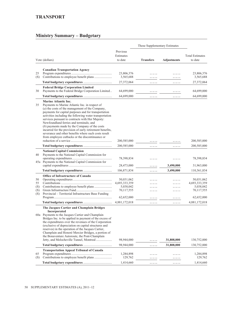|            |                                                                                                                                                                                                                                                                                                                                                                                                                                                                                                                                                                     |                                  | These Supplementary Estimates |                          |                                   |
|------------|---------------------------------------------------------------------------------------------------------------------------------------------------------------------------------------------------------------------------------------------------------------------------------------------------------------------------------------------------------------------------------------------------------------------------------------------------------------------------------------------------------------------------------------------------------------------|----------------------------------|-------------------------------|--------------------------|-----------------------------------|
|            | Vote (dollars)                                                                                                                                                                                                                                                                                                                                                                                                                                                                                                                                                      | Previous<br>Estimates<br>to date | <b>Transfers</b>              | <b>Adjustments</b>       | <b>Total Estimates</b><br>to date |
|            |                                                                                                                                                                                                                                                                                                                                                                                                                                                                                                                                                                     |                                  |                               |                          |                                   |
| 25         | <b>Canadian Transportation Agency</b>                                                                                                                                                                                                                                                                                                                                                                                                                                                                                                                               | 23,806,376                       |                               |                          | 23,806,376                        |
| (S)        |                                                                                                                                                                                                                                                                                                                                                                                                                                                                                                                                                                     | 3,565,688                        |                               |                          | 3,565,688                         |
|            |                                                                                                                                                                                                                                                                                                                                                                                                                                                                                                                                                                     | 27,372,064                       | .                             | .                        | 27,372,064                        |
| 30         | <b>Federal Bridge Corporation Limited</b><br>Payments to the Federal Bridge Corporation Limited                                                                                                                                                                                                                                                                                                                                                                                                                                                                     | 64,699,000                       |                               |                          | 64,699,000                        |
|            |                                                                                                                                                                                                                                                                                                                                                                                                                                                                                                                                                                     | 64,699,000                       | .                             | .                        | 64,699,000                        |
| 35         | Marine Atlantic Inc.<br>Payments to Marine Atlantic Inc. in respect of<br>(a) the costs of the management of the Company,<br>payments for capital purposes and for transportation<br>activities including the following water transportation<br>services pursuant to contracts with Her Majesty:<br>Newfoundland ferries and terminals; and<br>(b) payments made by the Company of the costs<br>incurred for the provision of early retirement benefits,<br>severance and other benefits where such costs result<br>from employee cutbacks or the discontinuance or |                                  |                               |                          |                                   |
|            |                                                                                                                                                                                                                                                                                                                                                                                                                                                                                                                                                                     | 200,585,000                      | .                             | .                        | 200,585,000                       |
|            |                                                                                                                                                                                                                                                                                                                                                                                                                                                                                                                                                                     | 200,585,000                      | .                             | .                        | 200,585,000                       |
| 40         | <b>National Capital Commission</b><br>Payments to the National Capital Commission for<br>45a Payments to the National Capital Commission for                                                                                                                                                                                                                                                                                                                                                                                                                        | 78,398,834<br>28,473,000         | .<br>.                        | .<br>3,490,000           | 78,398,834<br>31,963,000          |
|            |                                                                                                                                                                                                                                                                                                                                                                                                                                                                                                                                                                     | 106,871,834                      | .                             | 3,490,000                | 110,361,834                       |
|            | <b>Office of Infrastructure of Canada</b>                                                                                                                                                                                                                                                                                                                                                                                                                                                                                                                           |                                  |                               |                          |                                   |
| 50         |                                                                                                                                                                                                                                                                                                                                                                                                                                                                                                                                                                     | 50,031,062                       |                               | .                        | 50,031,062                        |
| 55         |                                                                                                                                                                                                                                                                                                                                                                                                                                                                                                                                                                     | 4,693,333,359                    | .                             | .                        | 4,693,333,359                     |
| (S)        |                                                                                                                                                                                                                                                                                                                                                                                                                                                                                                                                                                     | 5,038,042                        | .                             | .                        | 5,038,042                         |
| (S)<br>(S) | Provincial – Territorial Infrastructure Base Funding                                                                                                                                                                                                                                                                                                                                                                                                                                                                                                                | 70,117,555                       | .                             | .                        | 70,117,555                        |
|            |                                                                                                                                                                                                                                                                                                                                                                                                                                                                                                                                                                     | 62,652,000                       | .                             | .                        | 62,652,000                        |
|            |                                                                                                                                                                                                                                                                                                                                                                                                                                                                                                                                                                     | 4,881,172,018                    | .                             | .                        | 4,881,172,018                     |
|            | The Jacques Cartier and Champlain Bridges<br>Incorporated<br>60a Payments to the Jacques Cartier and Champlain<br>Bridges Inc. to be applied in payment of the excess of<br>the expenditures over the revenues of the Corporation<br>(exclusive of depreciation on capital structures and<br>reserves) in the operation of the Jacques Cartier,<br>Champlain and Honoré Mercier Bridges, a portion of<br>the Bonaventure Autoroute, the Pont-Champlain<br>Jetty, and Melocheville Tunnel, Montreal                                                                  | 98,944,000<br>98,944,000         | .<br>.                        | 31,808,000<br>31,808,000 | 130,752,000<br>130,752,000        |
|            | <b>Transportation Appeal Tribunal of Canada</b>                                                                                                                                                                                                                                                                                                                                                                                                                                                                                                                     |                                  |                               |                          |                                   |
| 65         |                                                                                                                                                                                                                                                                                                                                                                                                                                                                                                                                                                     | 1,284,898                        |                               |                          | 1,284,898                         |
| (S)        |                                                                                                                                                                                                                                                                                                                                                                                                                                                                                                                                                                     | 129,762                          | .                             | .                        | 129,762                           |
|            |                                                                                                                                                                                                                                                                                                                                                                                                                                                                                                                                                                     | 1,414,660                        | .                             | .                        | 1,414,660                         |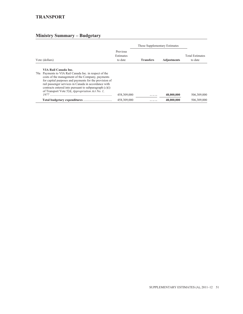# **TRANSPORT**

|     |                                                                                                                                                                                                                                                                                                                                                                         |                                  | These Supplementary Estimates |                    |                                   |  |
|-----|-------------------------------------------------------------------------------------------------------------------------------------------------------------------------------------------------------------------------------------------------------------------------------------------------------------------------------------------------------------------------|----------------------------------|-------------------------------|--------------------|-----------------------------------|--|
|     | Vote (dollars)                                                                                                                                                                                                                                                                                                                                                          | Previous<br>Estimates<br>to date | <b>Transfers</b>              | <b>Adjustments</b> | <b>Total Estimates</b><br>to date |  |
| 70a | VIA Rail Canada Inc.<br>Payments to VIA Rail Canada Inc. in respect of the<br>costs of the management of the Company, payments<br>for capital purposes and payments for the provision of<br>rail passenger services in Canada in accordance with<br>contracts entered into pursuant to subparagraph $(c)(i)$<br>of Transport Vote 52d, <i>Appropriation Act No. 1</i> , | 458,309,000                      | .                             | 48,000,000         | 506,309,000                       |  |
|     |                                                                                                                                                                                                                                                                                                                                                                         | 458,309,000                      | .                             | 48,000,000         | 506,309,000                       |  |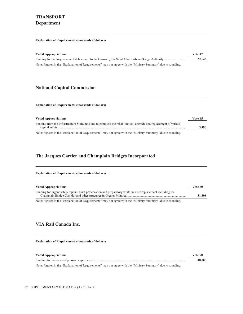### **Explanation of Requirements (thousands of dollars)**

| <b>Voted Appropriations</b>                                                                                   | Vote 17 |
|---------------------------------------------------------------------------------------------------------------|---------|
|                                                                                                               | 22,646  |
| Note: Figures in the "Explanation of Requirements" may not agree with the "Ministry Summary" due to rounding. |         |

## **National Capital Commission**

### **Explanation of Requirements (thousands of dollars)**

| <b>Voted Appropriations</b>                                                                                      | Vote 45 |
|------------------------------------------------------------------------------------------------------------------|---------|
| Funding from the Infrastructure Stimulus Fund to complete the rehabilitation, upgrade and replacement of various | 3.490   |
| Note: Figures in the "Explanation of Requirements" may not agree with the "Ministry Summary" due to rounding.    |         |

## **The Jacques Cartier and Champlain Bridges Incorporated**

| <b>Explanation of Requirements (thousands of dollars)</b>                                                     |         |
|---------------------------------------------------------------------------------------------------------------|---------|
| <b>Voted Appropriations</b>                                                                                   | Vote 60 |
| Funding for urgent safety repairs, asset preservation and preparatory work on asset replacement including the | 31,808  |

Note: Figures in the "Explanation of Requirements" may not agree with the "Ministry Summary" due to rounding.

## **VIA Rail Canada Inc.**

### **Explanation of Requirements (thousands of dollars)**

| <b>Voted Appropriations</b>                                                                                   | Vote 70 |
|---------------------------------------------------------------------------------------------------------------|---------|
|                                                                                                               | 48,000  |
| Note: Figures in the "Explanation of Requirements" may not agree with the "Ministry Summary" due to rounding. |         |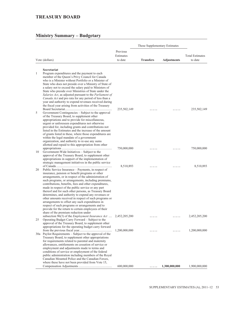## **TREASURY BOARD**

|              |                                                                                                                                                                                                                                                                                                                                                                                                                                                                                                                                                                                                                                                                                                                   |                                  | These Supplementary Estimates |                    |                                   |
|--------------|-------------------------------------------------------------------------------------------------------------------------------------------------------------------------------------------------------------------------------------------------------------------------------------------------------------------------------------------------------------------------------------------------------------------------------------------------------------------------------------------------------------------------------------------------------------------------------------------------------------------------------------------------------------------------------------------------------------------|----------------------------------|-------------------------------|--------------------|-----------------------------------|
|              | Vote (dollars)                                                                                                                                                                                                                                                                                                                                                                                                                                                                                                                                                                                                                                                                                                    | Previous<br>Estimates<br>to date | <b>Transfers</b>              | <b>Adjustments</b> | <b>Total Estimates</b><br>to date |
| $\mathbf{1}$ | Secretariat<br>Program expenditures and the payment to each<br>member of the Queen's Privy Council for Canada<br>who is a Minister without Portfolio or a Minister of<br>State who does not preside over a Ministry of State of                                                                                                                                                                                                                                                                                                                                                                                                                                                                                   |                                  |                               |                    |                                   |
|              | a salary not to exceed the salary paid to Ministers of<br>State who preside over Ministries of State under the<br>Salaries Act, as adjusted pursuant to the Parliament of<br>Canada Act and pro rata for any period of less than a<br>year and authority to expend revenues received during<br>the fiscal year arising from activities of the Treasury                                                                                                                                                                                                                                                                                                                                                            | 235,502,149                      |                               |                    | 235,502,149                       |
| 5            | Government Contingencies - Subject to the approval<br>of the Treasury Board, to supplement other<br>appropriations and to provide for miscellaneous,<br>urgent or unforeseen expenditures not otherwise<br>provided for, including grants and contributions not<br>listed in the Estimates and the increase of the amount<br>of grants listed in these, where those expenditures are<br>within the legal mandate of a government<br>organization, and authority to re-use any sums<br>allotted and repaid to this appropriation from other                                                                                                                                                                        |                                  |                               |                    |                                   |
| 10           | Government-Wide Initiatives – Subject to the<br>approval of the Treasury Board, to supplement other<br>appropriations in support of the implementation of<br>strategic management initiatives in the public service                                                                                                                                                                                                                                                                                                                                                                                                                                                                                               | 750,000,000                      |                               |                    | 750,000,000                       |
| 20           | Public Service Insurance – Payments, in respect of<br>insurance, pension or benefit programs or other<br>arrangements, or in respect of the administration of<br>such programs, or arrangements, including premiums,<br>contributions, benefits, fees and other expenditures,<br>made in respect of the public service or any part<br>thereof and for such other persons, as Treasury Board<br>determines, and authority to expend any revenues or<br>other amounts received in respect of such programs or<br>arrangements to offset any such expenditures in<br>respect of such programs or arrangements and to<br>provide for the return to certain employees of their<br>share of the premium reduction under | 8,510,893                        |                               |                    | 8,510,893                         |
| 25           | subsection 96(3) of the <i>Employment Insurance Act</i> 2,452,205,200<br>Operating Budget Carry Forward - Subject to the<br>approval of the Treasury Board, to supplement other<br>appropriations for the operating budget carry forward                                                                                                                                                                                                                                                                                                                                                                                                                                                                          |                                  | .                             |                    | 2,452,205,200                     |
|              | 30a Paylist Requirements – Subject to the approval of the<br>Treasury Board, to supplement other appropriations<br>for requirements related to parental and maternity<br>allowances, entitlements on cessation of service or<br>employment and adjustments made to terms and<br>conditions of service or employment of the federal<br>public administration including members of the Royal<br>Canadian Mounted Police and the Canadian Forces,<br>where these have not been provided from Vote 15,                                                                                                                                                                                                                | 1,200,000,000                    |                               |                    | 1,200,000,000                     |
|              |                                                                                                                                                                                                                                                                                                                                                                                                                                                                                                                                                                                                                                                                                                                   | 600,000,000                      |                               | 1,300,000,000      | 1,900,000,000                     |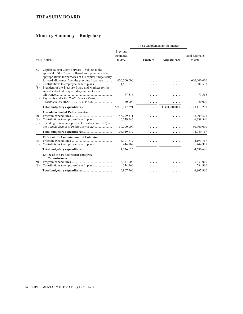## **TREASURY BOARD**

|                  |                                                                                                                                                                                                                    |                                       | These Supplementary Estimates |                    |                                       |  |
|------------------|--------------------------------------------------------------------------------------------------------------------------------------------------------------------------------------------------------------------|---------------------------------------|-------------------------------|--------------------|---------------------------------------|--|
|                  | Vote (dollars)                                                                                                                                                                                                     | Previous<br>Estimates<br>to date      | <b>Transfers</b>              | <b>Adjustments</b> | <b>Total Estimates</b><br>to date     |  |
| 33               | Capital Budget Carry Forward – Subject to the<br>approval of the Treasury Board, to supplement other<br>appropriations for purposes of the capital budget carry<br>forward allowance from the previous fiscal year | 600,000,000                           |                               |                    | 600,000,000                           |  |
| (S)<br>(S)       | Contributions to employee benefit plans<br>President of the Treasury Board and Minister for the<br>Asia-Pacific Gateway – Salary and motor car                                                                     | 31,801,533                            |                               |                    | 31,801,533                            |  |
| (S)              | Payments under the Public Service Pension                                                                                                                                                                          | 77,516<br>20,000                      |                               |                    | 77,516<br>20,000                      |  |
|                  |                                                                                                                                                                                                                    | 5,878,117,291                         | .                             | 1,300,000,000      | 7,178,117,291                         |  |
| 40<br>(S)<br>(S) | <b>Canada School of Public Service</b><br>Spending of revenues pursuant to subsection $18(2)$ of<br>the Canada School of Public Service Act                                                                        | 48,209,571<br>6,739,546<br>50,000,000 | .                             | .                  | 48,209,571<br>6,739,546<br>50,000,000 |  |
|                  |                                                                                                                                                                                                                    | 104,949,117                           | .                             | .                  | 104,949,117                           |  |
| 45<br>(S)        | <b>Office of the Commissioner of Lobbying</b><br>Contributions to employee benefit plans                                                                                                                           | 4,191,717<br>444,909                  |                               |                    | 4, 191, 717<br>444,909                |  |
|                  |                                                                                                                                                                                                                    | 4,636,626                             | .                             | .                  | 4,636,626                             |  |
| 50<br>(S)        | <b>Office of the Public Sector Integrity</b><br>Commissioner<br>Contributions to employee benefit plans                                                                                                            | 6,333,000<br>534,960                  |                               |                    | 6,333,000<br>534,960                  |  |
|                  |                                                                                                                                                                                                                    | 6,867,960                             | .                             | .                  | 6,867,960                             |  |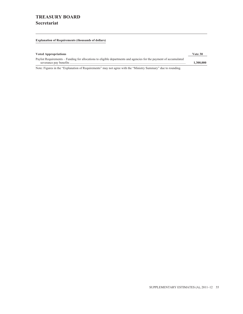# **TREASURY BOARD Secretariat**

## **Explanation of Requirements (thousands of dollars)**

| <b>Voted Appropriations</b>                                                                                        | Vote 30   |
|--------------------------------------------------------------------------------------------------------------------|-----------|
| Paylist Requirements – Funding for allocations to eligible departments and agencies for the payment of accumulated |           |
|                                                                                                                    | 1.300.000 |

Note: Figures in the "Explanation of Requirements" may not agree with the "Ministry Summary" due to rounding.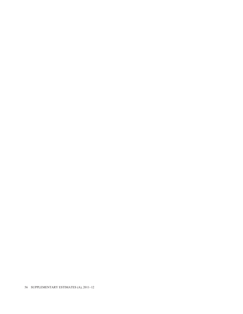56 SUPPLEMENTARY ESTIMATES (A), 2011–12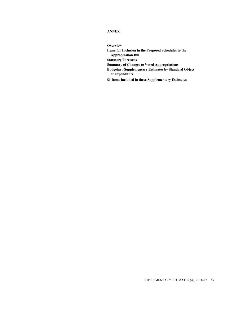## **ANNEX**

**Overview Items for Inclusion in the Proposed Schedules to the Appropriation Bill Statutory Forecasts Summary of Changes to Voted Appropriations Budgetary Supplementary Estimates by Standard Object of Expenditure \$1 Items included in these Supplementary Estimates**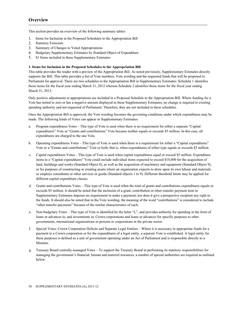## **Overview**

This section provides an overview of the following summary tables:

- 1. Items for Inclusion in the Proposed Schedules to the Appropriation Bill
- 2. Statutory Forecasts
- 3. Summary of Changes to Voted Appropriations
- 4. Budgetary Supplementary Estimates by Standard Object of Expenditure
- 5. \$1 Items included in these Supplementary Estimates

### **1. Items for Inclusion in the Proposed Schedules to the Appropriation Bill**

This table provides the reader with a preview of the Appropriation Bill. As noted previously, Supplementary Estimates directly supports the Bill. This table provides a list of Vote numbers, Vote wording and the requested funds that will be proposed to Parliament for approval. There are two schedules to the Appropriation Bill in Supplementary Estimates: Schedule 1 identifies those items for the fiscal year ending March 31, 2012 whereas Schedule 2 identifies those items for the fiscal year ending March 31, 2013.

Only positive adjustments to appropriations are included in a Proposed Schedule to the Appropriation Bill. Where funding for a Vote has netted to zero or has a negative amount displayed in these Supplementary Estimates, no change is required to existing spending authority and not requested of Parliament. Therefore, they are not included in these schedules.

Once the Appropriation Bill is approved, the Vote wording becomes the governing conditions under which expenditures may be made. The following kinds of Votes can appear in Supplementary Estimates:

- a. Program expenditures Votes This type of Vote is used when there is no requirement for either a separate "Capital expenditures" Vote or "Grants and contributions" Vote because neither equals or exceeds \$5 million. In this case, all expenditures are charged to the one Vote.
- b. Operating expenditures Votes This type of Vote is used when there is a requirement for either a "Capital expenditures" Vote or a "Grants and contributions" Vote or both; that is, when expenditures of either type equals or exceeds \$5 million.
- c. Capital expenditures Votes This type of Vote is used when capital expenditures equal or exceed \$5 million. Expenditure items in a "Capital expenditures" Vote could include individual items expected to exceed \$10,000 for the acquisition of land, buildings and works (Standard Object 8), as well as the acquisition of machinery and equipment (Standard Object 9), or for purposes of constructing or creating assets where an organization expects to draw upon its own labour and materials or employs consultants or other services or goods (Standard objects 1 to 9). Different threshold limits may be applied for different capital expenditure classes.
- d. Grants and contributions Votes This type of Vote is used when the total of grants and contributions expenditures equals or exceeds \$5 million. It should be noted that the inclusion of a grant, contribution or other transfer payment item in Supplementary Estimates imposes no requirement to make a payment, nor does it give a prospective recipient any right to the funds. It should also be noted that in the Vote wording, the meaning of the word "contributions" is considered to include "other transfer payments" because of the similar characteristics of each.
- e. Non-budgetary Votes This type of Vote is identified by the letter "L", and provides authority for spending in the form of loans or advances to, and investments in, Crown corporations and loans or advances for specific purposes to other governments, international organizations or persons or corporations in the private sector.
- f. Special Votes: Crown Corporation Deficits and Separate Legal Entities Where it is necessary to appropriate funds for a payment to a Crown corporation or for the expenditures of a legal entity, a separate Vote is established. A legal entity for these purposes is defined as a unit of government operating under an Act of Parliament and is responsible directly to a Minister.
- g. Treasury Board centrally-managed Votes To support the Treasury Board in performing its statutory responsibilities for managing the government's financial, human and materiel resources, a number of special authorities are required as outlined below.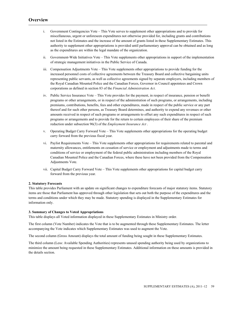- i. Government Contingencies Vote This Vote serves to supplement other appropriations and to provide for miscellaneous, urgent or unforeseen expenditures not otherwise provided for, including grants and contributions not listed in the Estimates and the increase of the amount of grants listed in these Supplementary Estimates. This authority to supplement other appropriations is provided until parliamentary approval can be obtained and as long as the expenditures are within the legal mandate of the organization.
- ii. Government-Wide Initiatives Vote This Vote supplements other appropriations in support of the implementation of strategic management initiatives in the Public Service of Canada.
- iii. Compensation Adjustments Vote This Vote supplements other appropriations to provide funding for the increased personnel costs of collective agreements between the Treasury Board and collective bargaining units representing public servants, as well as collective agreements signed by separate employers, including members of the Royal Canadian Mounted Police and the Canadian Forces, Governor in Council appointees and Crown corporations as defined in section 83 of the *Financial Administration Act*.
- iv. Public Service Insurance Vote This Vote provides for the payment, in respect of insurance, pension or benefit programs or other arrangements, or in respect of the administration of such programs, or arrangements, including premiums, contributions, benefits, fees and other expenditures, made in respect of the public service or any part thereof and for such other persons, as Treasury Board determines, and authority to expend any revenues or other amounts received in respect of such programs or arrangements to offset any such expenditures in respect of such programs or arrangements and to provide for the return to certain employees of their share of the premium reduction under subsection 96(3) of the *Employment Insurance Act* .
- v. Operating Budget Carry Forward Vote This Vote supplements other appropriations for the operating budget carry forward from the previous fiscal year.
- vi. Paylist Requirements Vote This Vote supplements other appropriations for requirements related to parental and maternity allowances, entitlements on cessation of service or employment and adjustments made to terms and conditions of service or employment of the federal public administration including members of the Royal Canadian Mounted Police and the Canadian Forces, where these have not been provided from the Compensation Adjustments Vote.
- vii. Capital Budget Carry Forward Vote This Vote supplements other appropriations for capital budget carry forward from the previous year.

### **2. Statutory Forecasts**

This table provides Parliament with an update on significant changes to expenditure forecasts of major statutory items. Statutory items are those that Parliament has approved through other legislation that sets out both the purpose of the expenditures and the terms and conditions under which they may be made. Statutory spending is displayed in the Supplementary Estimates for information only.

#### **3. Summary of Changes to Voted Appropriations**

This table displays all Voted information displayed in these Supplementary Estimates in Ministry order.

The first column (Vote Number) indicates the Vote that is to be augmented through these Supplementary Estimates. The letter accompanying the Vote indicates which Supplementary Estimates was used to augment the Vote.

The second column (Gross Amount) displays the total amount of funding being sought in these Supplementary Estimates.

The third column (Less: Available Spending Authorities) represents unused spending authority being used by organizations to minimize the amount being requested in these Supplementary Estimates. Additional information on these amounts is provided in the details section.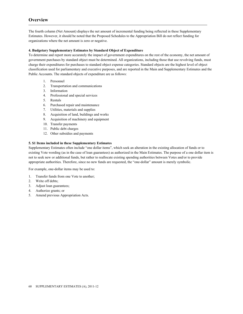## **Overview**

The fourth column (Net Amount) displays the net amount of incremental funding being reflected in these Supplementary Estimates. However, it should be noted that the Proposed Schedules to the Appropriation Bill do not reflect funding for organizations where the net amount is zero or negative.

### **4. Budgetary Supplementary Estimates by Standard Object of Expenditure**

To determine and report more accurately the impact of government expenditures on the rest of the economy, the net amount of government purchases by standard object must be determined. All organizations, including those that use revolving funds, must charge their expenditures for purchases to standard object expense categories. Standard objects are the highest level of object classification used for parliamentary and executive purposes, and are reported in the Main and Supplementary Estimates and the Public Accounts. The standard objects of expenditure are as follows:

- 1. Personnel
- 2. Transportation and communications
- 3. Information
- 4. Professional and special services
- 5. Rentals
- 6. Purchased repair and maintenance
- 7. Utilities, materials and supplies
- 8. Acquisition of land, buildings and works
- 9. Acquisition of machinery and equipment
- 10. Transfer payments
- 11. Public debt charges
- 12. Other subsidies and payments

#### **5. \$1 Items included in these Supplementary Estimates**

Supplementary Estimates often include "one dollar items", which seek an alteration in the existing allocation of funds or to existing Vote wording (as in the case of loan guarantees) as authorized in the Main Estimates. The purpose of a one dollar item is not to seek new or additional funds, but rather to reallocate existing spending authorities between Votes and/or to provide appropriate authorities. Therefore, since no new funds are requested, the "one-dollar" amount is merely symbolic.

For example, one-dollar items may be used to:

- 1. Transfer funds from one Vote to another;
- 2. Write off debts;
- 3. Adjust loan guarantees;
- 4. Authorize grants; or
- 5. Amend previous Appropriation Acts.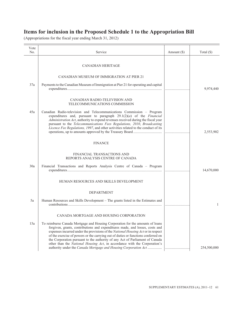| Vote |                                                                                                                                                                                                                                                                                                                                                                                                                                                                                                                                                                        |               |              |
|------|------------------------------------------------------------------------------------------------------------------------------------------------------------------------------------------------------------------------------------------------------------------------------------------------------------------------------------------------------------------------------------------------------------------------------------------------------------------------------------------------------------------------------------------------------------------------|---------------|--------------|
| No.  | Service                                                                                                                                                                                                                                                                                                                                                                                                                                                                                                                                                                | Amount $(\$)$ | Total $(\$)$ |
|      | <b>CANADIAN HERITAGE</b>                                                                                                                                                                                                                                                                                                                                                                                                                                                                                                                                               |               |              |
|      | CANADIAN MUSEUM OF IMMIGRATION AT PIER 21                                                                                                                                                                                                                                                                                                                                                                                                                                                                                                                              |               |              |
| 37a  | Payments to the Canadian Museum of Immigration at Pier 21 for operating and capital                                                                                                                                                                                                                                                                                                                                                                                                                                                                                    |               | 9,974,440    |
|      | CANADIAN RADIO-TELEVISION AND<br>TELECOMMUNICATIONS COMMISSION                                                                                                                                                                                                                                                                                                                                                                                                                                                                                                         |               |              |
| 45a  | Canadian Radio-television and Telecommunications Commission – Program<br>expenditures and, pursuant to paragraph $29.1(2)(a)$ of the <i>Financial</i><br>Administration Act, authority to expend revenues received during the fiscal year<br>pursuant to the Telecommunications Fees Regulations, 2010, Broadcasting<br>Licence Fee Regulations, 1997, and other activities related to the conduct of its                                                                                                                                                              |               | 2,553,902    |
|      | <b>FINANCE</b>                                                                                                                                                                                                                                                                                                                                                                                                                                                                                                                                                         |               |              |
|      | FINANCIAL TRANSACTIONS AND<br>REPORTS ANALYSIS CENTRE OF CANADA                                                                                                                                                                                                                                                                                                                                                                                                                                                                                                        |               |              |
| 30a  | Financial Transactions and Reports Analysis Centre of Canada - Program                                                                                                                                                                                                                                                                                                                                                                                                                                                                                                 |               | 14,670,000   |
|      | HUMAN RESOURCES AND SKILLS DEVELOPMENT                                                                                                                                                                                                                                                                                                                                                                                                                                                                                                                                 |               |              |
|      | <b>DEPARTMENT</b>                                                                                                                                                                                                                                                                                                                                                                                                                                                                                                                                                      |               |              |
| 5a   | Human Resources and Skills Development – The grants listed in the Estimates and<br>$contribution$ $\ldots$ $\ldots$ $\ldots$ $\ldots$ $\ldots$ $\ldots$ $\ldots$ $\ldots$ $\ldots$ $\ldots$ $\ldots$ $\ldots$ $\ldots$ $\ldots$ $\ldots$ $\ldots$ $\ldots$ $\ldots$ $\ldots$ $\ldots$ $\ldots$ $\ldots$ $\ldots$ $\ldots$ $\ldots$ $\ldots$ $\ldots$ $\ldots$ $\ldots$ $\ldots$ $\ldots$ $\ldots$ $\ldots$ $\ldots$ $\ldots$ $\ldots$                                                                                                                                  |               | 1            |
|      | CANADA MORTGAGE AND HOUSING CORPORATION                                                                                                                                                                                                                                                                                                                                                                                                                                                                                                                                |               |              |
| 15a  | To reimburse Canada Mortgage and Housing Corporation for the amounts of loans<br>forgiven, grants, contributions and expenditures made, and losses, costs and<br>expenses incurred under the provisions of the National Housing Act or in respect<br>of the exercise of powers or the carrying out of duties or functions conferred on<br>the Corporation pursuant to the authority of any Act of Parliament of Canada<br>other than the National Housing Act, in accordance with the Corporation's<br>authority under the Canada Mortgage and Housing Corporation Act |               | 254,500,000  |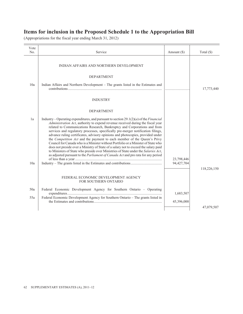| Vote<br>No. | Service                                                                                                                                                                                                                                                                                                                                                                                                                                                                                                                                                                                                                                                                                                                                                                                                                                                                             | Amount (\$)              | Total $(\$)$ |
|-------------|-------------------------------------------------------------------------------------------------------------------------------------------------------------------------------------------------------------------------------------------------------------------------------------------------------------------------------------------------------------------------------------------------------------------------------------------------------------------------------------------------------------------------------------------------------------------------------------------------------------------------------------------------------------------------------------------------------------------------------------------------------------------------------------------------------------------------------------------------------------------------------------|--------------------------|--------------|
|             | INDIAN AFFAIRS AND NORTHERN DEVELOPMENT                                                                                                                                                                                                                                                                                                                                                                                                                                                                                                                                                                                                                                                                                                                                                                                                                                             |                          |              |
|             | <b>DEPARTMENT</b>                                                                                                                                                                                                                                                                                                                                                                                                                                                                                                                                                                                                                                                                                                                                                                                                                                                                   |                          |              |
| 10a         | Indian Affairs and Northern Development – The grants listed in the Estimates and                                                                                                                                                                                                                                                                                                                                                                                                                                                                                                                                                                                                                                                                                                                                                                                                    |                          | 17,773,440   |
|             | <b>INDUSTRY</b>                                                                                                                                                                                                                                                                                                                                                                                                                                                                                                                                                                                                                                                                                                                                                                                                                                                                     |                          |              |
|             | <b>DEPARTMENT</b>                                                                                                                                                                                                                                                                                                                                                                                                                                                                                                                                                                                                                                                                                                                                                                                                                                                                   |                          |              |
| 1a<br>10a   | Industry – Operating expenditures, and pursuant to section 29.1(2)( <i>a</i> ) of the <i>Financial</i><br>Administration Act, authority to expend revenue received during the fiscal year<br>related to Communications Research, Bankruptcy and Corporations and from<br>services and regulatory processes, specifically pre-merger notification filings,<br>advance ruling certificates, advisory opinions and photocopies, provided under<br>the Competition Act and the payment to each member of the Queen's Privy<br>Council for Canada who is a Minister without Portfolio or a Minister of State who<br>does not preside over a Ministry of State of a salary not to exceed the salary paid<br>to Ministers of State who preside over Ministries of State under the Salaries Act,<br>as adjusted pursuant to the <i>Parliament of Canada Act</i> and pro rata for any period | 23,798,446<br>94,427,704 |              |
|             |                                                                                                                                                                                                                                                                                                                                                                                                                                                                                                                                                                                                                                                                                                                                                                                                                                                                                     |                          | 118,226,150  |
|             | FEDERAL ECONOMIC DEVELOPMENT AGENCY<br><b>FOR SOUTHERN ONTARIO</b>                                                                                                                                                                                                                                                                                                                                                                                                                                                                                                                                                                                                                                                                                                                                                                                                                  |                          |              |
| 50a         | Federal Economic Development Agency for Southern Ontario - Operating                                                                                                                                                                                                                                                                                                                                                                                                                                                                                                                                                                                                                                                                                                                                                                                                                | 1,683,507                |              |
| 55a         | Federal Economic Development Agency for Southern Ontario - The grants listed in                                                                                                                                                                                                                                                                                                                                                                                                                                                                                                                                                                                                                                                                                                                                                                                                     | 45,396,000               |              |
|             |                                                                                                                                                                                                                                                                                                                                                                                                                                                                                                                                                                                                                                                                                                                                                                                                                                                                                     |                          | 47,079,507   |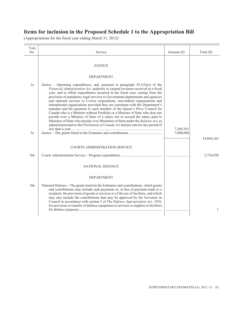| Vote<br>No. | Service                                                                                                                                                                                                                                                                                                                                                                                                                                                                                                                                                                                                                                                                                                                                                                                                                                                                                                                       | Amount $(\$)$          | Total $(\$)$ |
|-------------|-------------------------------------------------------------------------------------------------------------------------------------------------------------------------------------------------------------------------------------------------------------------------------------------------------------------------------------------------------------------------------------------------------------------------------------------------------------------------------------------------------------------------------------------------------------------------------------------------------------------------------------------------------------------------------------------------------------------------------------------------------------------------------------------------------------------------------------------------------------------------------------------------------------------------------|------------------------|--------------|
|             | <b>JUSTICE</b>                                                                                                                                                                                                                                                                                                                                                                                                                                                                                                                                                                                                                                                                                                                                                                                                                                                                                                                |                        |              |
|             | <b>DEPARTMENT</b>                                                                                                                                                                                                                                                                                                                                                                                                                                                                                                                                                                                                                                                                                                                                                                                                                                                                                                             |                        |              |
| 1a<br>5a    | Justice – Operating expenditures, and, pursuant to paragraph $29.1(2)(a)$ of the<br>Financial Administration Act, authority to expend revenues received in a fiscal<br>year, and to offset expenditures incurred in the fiscal year, arising from the<br>provision of mandatory legal services to Government departments and agencies<br>and optional services to Crown corporations, non-federal organizations and<br>international organizations provided they are consistent with the Department's<br>mandate and the payment to each member of the Queen's Privy Council for<br>Canada who is a Minister without Portfolio or a Minister of State who does not<br>preside over a Ministry of State of a salary not to exceed the salary paid to<br>Ministers of State who preside over Ministries of State under the Salaries Act, as<br>adjusted pursuant to the Parliament of Canada Act and pro rata for any period of | 7,264,163<br>7,600,000 |              |
|             | COURTS ADMINISTRATION SERVICE                                                                                                                                                                                                                                                                                                                                                                                                                                                                                                                                                                                                                                                                                                                                                                                                                                                                                                 |                        | 14,864,163   |
| 30a         |                                                                                                                                                                                                                                                                                                                                                                                                                                                                                                                                                                                                                                                                                                                                                                                                                                                                                                                               |                        | 2,754,928    |
|             | <b>NATIONAL DEFENCE</b>                                                                                                                                                                                                                                                                                                                                                                                                                                                                                                                                                                                                                                                                                                                                                                                                                                                                                                       |                        |              |
|             | <b>DEPARTMENT</b>                                                                                                                                                                                                                                                                                                                                                                                                                                                                                                                                                                                                                                                                                                                                                                                                                                                                                                             |                        |              |
| 10a         | National Defence - The grants listed in the Estimates and contributions, which grants<br>and contributions may include cash payments or, in lieu of payment made to a<br>recipient, the provision of goods or services or of the use of facilities, and which<br>may also include the contributions that may be approved by the Governor in<br>Council in accordance with section 3 of The Defence Appropriation Act, 1950,<br>for provision or transfer of defence equipment or services or supplies or facilities                                                                                                                                                                                                                                                                                                                                                                                                           |                        | 1            |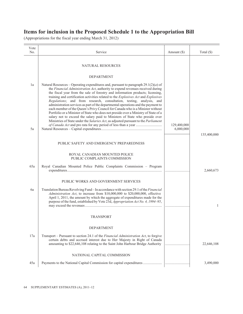| Vote |                                                                                                                                                                                                                                                                                                                                                                                                                                                                                                                                                                                                                                                                                                                                                                                                                                                           |                          |              |
|------|-----------------------------------------------------------------------------------------------------------------------------------------------------------------------------------------------------------------------------------------------------------------------------------------------------------------------------------------------------------------------------------------------------------------------------------------------------------------------------------------------------------------------------------------------------------------------------------------------------------------------------------------------------------------------------------------------------------------------------------------------------------------------------------------------------------------------------------------------------------|--------------------------|--------------|
| No.  | Service                                                                                                                                                                                                                                                                                                                                                                                                                                                                                                                                                                                                                                                                                                                                                                                                                                                   | Amount (\$)              | Total $(\$)$ |
|      | <b>NATURAL RESOURCES</b>                                                                                                                                                                                                                                                                                                                                                                                                                                                                                                                                                                                                                                                                                                                                                                                                                                  |                          |              |
|      | <b>DEPARTMENT</b>                                                                                                                                                                                                                                                                                                                                                                                                                                                                                                                                                                                                                                                                                                                                                                                                                                         |                          |              |
| 1a   | Natural Resources – Operating expenditures and, pursuant to paragraph $29.1(2)(a)$ of<br>the Financial Administration Act, authority to expend revenues received during<br>the fiscal year from the sale of forestry and information products; licensing,<br>training and certification activities related to the Explosives Act and Explosives<br>Regulations; and from research, consultation, testing, analysis, and<br>administration services as part of the departmental operations and the payment to<br>each member of the Queen's Privy Council for Canada who is a Minister without<br>Portfolio or a Minister of State who does not preside over a Ministry of State of a<br>salary not to exceed the salary paid to Ministers of State who preside over<br>Ministries of State under the Salaries Act, as adjusted pursuant to the Parliament |                          |              |
| 5a   |                                                                                                                                                                                                                                                                                                                                                                                                                                                                                                                                                                                                                                                                                                                                                                                                                                                           | 129,400,000<br>6,000,000 |              |
|      |                                                                                                                                                                                                                                                                                                                                                                                                                                                                                                                                                                                                                                                                                                                                                                                                                                                           |                          | 135,400,000  |
|      | PUBLIC SAFETY AND EMERGENCY PREPAREDNESS                                                                                                                                                                                                                                                                                                                                                                                                                                                                                                                                                                                                                                                                                                                                                                                                                  |                          |              |
|      | ROYAL CANADIAN MOUNTED POLICE<br>PUBLIC COMPLAINTS COMMISSION                                                                                                                                                                                                                                                                                                                                                                                                                                                                                                                                                                                                                                                                                                                                                                                             |                          |              |
| 65a  | Royal Canadian Mounted Police Public Complaints Commission - Program                                                                                                                                                                                                                                                                                                                                                                                                                                                                                                                                                                                                                                                                                                                                                                                      |                          | 2,660,673    |
|      | PUBLIC WORKS AND GOVERNMENT SERVICES                                                                                                                                                                                                                                                                                                                                                                                                                                                                                                                                                                                                                                                                                                                                                                                                                      |                          |              |
| 6a   | Translation Bureau Revolving Fund - In accordance with section 29.1 of the Financial<br>Administration Act, to increase from \$10,000,000 to \$20,000,000, effective<br>April 1, 2011, the amount by which the aggregate of expenditures made for the<br>purpose of the fund, established by Vote 23d, Appropriation Act No. 4, 1994-95,                                                                                                                                                                                                                                                                                                                                                                                                                                                                                                                  |                          | 1            |
|      | <b>TRANSPORT</b>                                                                                                                                                                                                                                                                                                                                                                                                                                                                                                                                                                                                                                                                                                                                                                                                                                          |                          |              |
|      | DEPARTMENT                                                                                                                                                                                                                                                                                                                                                                                                                                                                                                                                                                                                                                                                                                                                                                                                                                                |                          |              |
| 17a  | Transport - Pursuant to section 24.1 of the Financial Administration Act, to forgive<br>certain debts and accrued interest due to Her Majesty in Right of Canada<br>amounting to \$22,646,108 relating to the Saint John Harbour Bridge Authority                                                                                                                                                                                                                                                                                                                                                                                                                                                                                                                                                                                                         |                          | 22,646,108   |
|      | NATIONAL CAPITAL COMMISSION                                                                                                                                                                                                                                                                                                                                                                                                                                                                                                                                                                                                                                                                                                                                                                                                                               |                          |              |
| 45a  |                                                                                                                                                                                                                                                                                                                                                                                                                                                                                                                                                                                                                                                                                                                                                                                                                                                           |                          | 3,490,000    |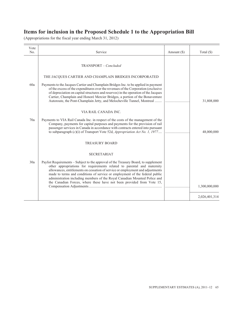| Vote<br>No. | Service                                                                                                                                                                                                                                                                                                                                                                                                                                                                               | Amount (\$) | Total $(\$)$  |
|-------------|---------------------------------------------------------------------------------------------------------------------------------------------------------------------------------------------------------------------------------------------------------------------------------------------------------------------------------------------------------------------------------------------------------------------------------------------------------------------------------------|-------------|---------------|
|             | TRANSPORT - Concluded                                                                                                                                                                                                                                                                                                                                                                                                                                                                 |             |               |
| 60a         | THE JACQUES CARTIER AND CHAMPLAIN BRIDGES INCORPORATED<br>Payments to the Jacques Cartier and Champlain Bridges Inc. to be applied in payment<br>of the excess of the expenditures over the revenues of the Corporation (exclusive<br>of depreciation on capital structures and reserves) in the operation of the Jacques<br>Cartier, Champlain and Honoré Mercier Bridges, a portion of the Bonaventure                                                                              |             |               |
|             | Autoroute, the Pont-Champlain Jetty, and Melocheville Tunnel, Montreal<br>VIA RAIL CANADA INC.                                                                                                                                                                                                                                                                                                                                                                                        |             | 31,808,000    |
| 70a         | Payments to VIA Rail Canada Inc. in respect of the costs of the management of the<br>Company, payments for capital purposes and payments for the provision of rail<br>passenger services in Canada in accordance with contracts entered into pursuant<br>to subparagraph (c)(i) of Transport Vote 52d, Appropriation Act No. 1, 1977                                                                                                                                                  |             | 48,000,000    |
|             | <b>TREASURY BOARD</b>                                                                                                                                                                                                                                                                                                                                                                                                                                                                 |             |               |
|             | <b>SECRETARIAT</b>                                                                                                                                                                                                                                                                                                                                                                                                                                                                    |             |               |
| 30a         | Paylist Requirements – Subject to the approval of the Treasury Board, to supplement<br>other appropriations for requirements related to parental and maternity<br>allowances, entitlements on cessation of service or employment and adjustments<br>made to terms and conditions of service or employment of the federal public<br>administration including members of the Royal Canadian Mounted Police and<br>the Canadian Forces, where these have not been provided from Vote 15, |             |               |
|             |                                                                                                                                                                                                                                                                                                                                                                                                                                                                                       |             | 1,300,000,000 |
|             |                                                                                                                                                                                                                                                                                                                                                                                                                                                                                       |             | 2,026,401,314 |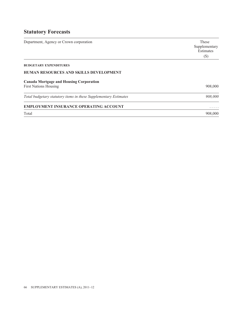# **Statutory Forecasts**

| Department, Agency or Crown corporation                                        | These<br>Supplementary<br>Estimates<br>$(\$\)$ |
|--------------------------------------------------------------------------------|------------------------------------------------|
| <b>BUDGETARY EXPENDITURES</b>                                                  |                                                |
| <b>HUMAN RESOURCES AND SKILLS DEVELOPMENT</b>                                  |                                                |
| <b>Canada Mortgage and Housing Corporation</b><br><b>First Nations Housing</b> | 908,000                                        |
| Total budgetary statutory items in these Supplementary Estimates               | 908,000                                        |
| <b>EMPLOYMENT INSURANCE OPERATING ACCOUNT</b>                                  | .                                              |
| Total                                                                          | 908,000                                        |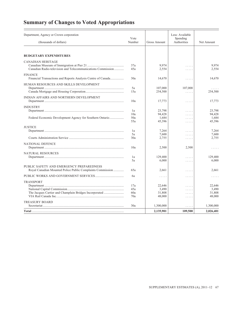# **Summary of Changes to Voted Appropriations**

| Department, Agency or Crown corporation                                                 |                   |                           | Less: Available<br>Spending               |                                        |  |
|-----------------------------------------------------------------------------------------|-------------------|---------------------------|-------------------------------------------|----------------------------------------|--|
| (thousands of dollars)                                                                  | Number            | <b>Gross Amount</b>       | Authorities                               | Net Amount                             |  |
|                                                                                         |                   |                           |                                           |                                        |  |
| <b>BUDGETARY EXPENDITURES</b>                                                           |                   |                           |                                           |                                        |  |
| <b>CANADIAN HERITAGE</b><br>Canadian Radio-television and Telecommunications Commission | 37a<br>45a        | 9,974<br>2,554            | .<br>.                                    | 9,974<br>2,554                         |  |
| <b>FINANCE</b>                                                                          | 30a               | 14,670                    | $\alpha$ , $\alpha$ , $\alpha$ , $\alpha$ | 14,670                                 |  |
| HUMAN RESOURCES AND SKILLS DEVELOPMENT                                                  | 5a<br>15a         | 107,000<br>254,500        | 107,000<br>.                              | 254,500                                |  |
| INDIAN AFFAIRS AND NORTHERN DEVELOPMENT                                                 | 10a               | 17,773                    | $\ldots$                                  | 17,773                                 |  |
| <b>INDUSTRY</b>                                                                         | 1a                | 23,798                    | .                                         | 23,798                                 |  |
|                                                                                         | 10a<br>50a<br>55a | 94,428<br>1,684<br>45,396 | .<br>.<br>.                               | 94,428<br>1.684<br>45,396              |  |
| <b>JUSTICE</b>                                                                          |                   |                           |                                           |                                        |  |
|                                                                                         | 1a<br>5a          | 7,264<br>7,600            | .<br>.                                    | 7.264<br>7,600                         |  |
|                                                                                         | 30a               | 2,755                     | .                                         | 2,755                                  |  |
| <b>NATIONAL DEFENCE</b>                                                                 | 10a               | 2,500                     | 2,500                                     | .                                      |  |
| NATURAL RESOURCES                                                                       |                   |                           |                                           |                                        |  |
|                                                                                         | 1a<br>5a          | 129,400<br>6,000          | .<br>.                                    | 129,400<br>6,000                       |  |
| PUBLIC SAFETY AND EMERGENCY PREPAREDNESS                                                |                   |                           |                                           |                                        |  |
| Royal Canadian Mounted Police Public Complaints Commission                              | 65a               | 2,661                     | .                                         | 2,661                                  |  |
|                                                                                         | 6a                | .                         | $\mathbb{Z}^n$ . In the $\mathbb{Z}^n$    | $\mathbb{Z}^n$ . In the $\mathbb{Z}^n$ |  |
| <b>TRANSPORT</b>                                                                        |                   |                           |                                           |                                        |  |
|                                                                                         | 17a               | 22,646                    | .                                         | 22,646                                 |  |
|                                                                                         | 45a<br>60a        | 3,490<br>31,808           | .                                         | 3,490<br>31,808                        |  |
|                                                                                         | 70a               | 48,000                    | $\ldots$<br>.                             | 48,000                                 |  |
| <b>TREASURY BOARD</b>                                                                   |                   |                           |                                           |                                        |  |
|                                                                                         | 30a               | 1,300,000                 | .                                         | 1,300,000                              |  |
|                                                                                         |                   | 2,135,901                 | 109,500                                   | 2,026,401                              |  |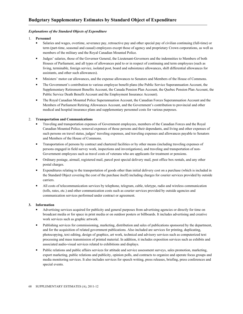### *Explanations of the Standard Objects of Expenditure*

## 1. **Personnel**

- Salaries and wages, overtime, severance pay, retroactive pay and other special pay of civilian continuing (full-time) or term (part-time, seasonal and casual) employees except those of agency and proprietary Crown corporations, as well as members of the military and the Royal Canadian Mounted Police.
- Judges' salaries, those of the Governor General, the Lieutenant-Governors and the indemnities to Members of both Houses of Parliament, and all types of allowances paid to or in respect of continuing and term employees (such as living, terminable, foreign service, isolated post, board and subsistence allowances, shift differential allowances for assistants, and other such allowances).
- Ministers' motor car allowances, and the expense allowances to Senators and Members of the House of Commons.
- The Government's contribution to various employee benefit plans (the Public Service Superannuation Account, the Supplementary Retirement Benefits Account, the Canada Pension Plan Account, the Quebec Pension Plan Account, the Public Service Death Benefit Account and the Employment Insurance Account).
- The Royal Canadian Mounted Police Superannuation Account, the Canadian Forces Superannuation Account and the Members of Parliament Retiring Allowances Account, and the Government's contribution to provincial and other medical and hospital insurance plans and supplementary personnel costs for various purposes.

## 2. **Transportation and Communications**

- Traveling and transportation expenses of Government employees, members of the Canadian Forces and the Royal Canadian Mounted Police, removal expenses of those persons and their dependants, and living and other expenses of such persons on travel status, judges' traveling expenses, and traveling expenses and allowances payable to Senators and Members of the House of Commons.
- Transportation of persons by contract and chartered facilities or by other means (including traveling expenses of persons engaged in field survey work, inspections and investigations), and traveling and transportation of non-Government employees such as travel costs of veterans who are applicants for treatment or pensions.
- Ordinary postage, airmail, registered mail, parcel post special delivery mail, post office box rentals, and any other postal charges.
- Expenditures relating to the transportation of goods other than initial delivery cost on a purchase (which is included in the Standard Object covering the cost of the purchase itself) including charges for courier services provided by outside carriers.
- All costs of telecommunication services by telephone, telegram, cable, teletype, radio and wireless communication (tolls, rates, etc.) and other communication costs such as courier services provided by outside agencies and communication services performed under contract or agreement.

## **3. Information**

- Advertising services acquired for publicity and general purposes from advertising agencies or directly for time on broadcast media or for space in print media or on outdoor posters or billboards. It includes advertising and creative work services such as graphic artwork.
- Publishing services for commissioning, marketing, distribution and sales of publications sponsored by the department, and for the acquisition of related government publications. Also included are services for printing, duplicating, photocopying, text editing, design of graphics, art work, technical and advisory services such as computerized text processing and mass transmission of printed material. In addition, it includes exposition services such as exhibits and associated audio-visual services related to exhibitions and displays.
- Public relations and public affairs services for attitude and service assessment surveys, sales promotion, marketing, export marketing, public relations and publicity, opinion polls, and contracts to organize and operate focus groups and media monitoring services. It also includes services for speech writing, press releases, briefing, press conferences and special events.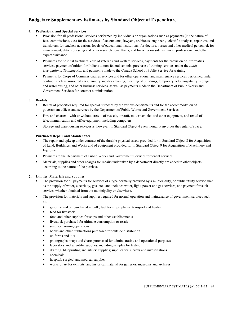## **4. Professional and Special Services**

- Provision for all professional services performed by individuals or organizations such as payments (in the nature of fees, commissions, etc.) for the services of accountants, lawyers, architects, engineers, scientific analysts, reporters, and translators; for teachers at various levels of educational institutions; for doctors, nurses and other medical personnel; for management, data processing and other research consultants; and for other outside technical, professional and other expert assistance.
- Payments for hospital treatment, care of veterans and welfare services, payments for the provision of informatics services, payment of tuition for Indians at non-federal schools, purchase of training services under the *Adult Occupational Training Act*, and payments made to the Canada School of Public Service for training.
- Payments for Corps of Commissionaires services and for other operational and maintenance services performed under contract, such as armoured cars, laundry and dry cleaning, cleaning of buildings, temporary help, hospitality, storage and warehousing, and other business services, as well as payments made to the Department of Public Works and Government Services for contract administration.

## **5. Rentals**

- **Rental of properties required for special purposes by the various departments and for the accommodation of** government offices and services by the Department of Public Works and Government Services.
- $\blacksquare$  Hire and charter with or without crew of vessels, aircraft, motor vehicles and other equipment, and rental of telecommunication and office equipment including computers.
- Storage and warehousing services is, however, in Standard Object 4 even though it involves the rental of space.

## **6. Purchased Repair and Maintenance**

- The repair and upkeep under contract of the durable physical assets provided for in Standard Object 8 for Acquisition of Land, Buildings, and Works and of equipment provided for in Standard Object 9 for Acquisition of Machinery and Equipment.
- Payments to the Department of Public Works and Government Services for tenant services.
- Materials, supplies and other charges for repairs undertaken by a department directly are coded to other objects, according to the nature of the purchase.

## **7. Utilities, Materials and Supplies**

- The provision for all payments for services of a type normally provided by a municipality, or public utility service such as the supply of water, electricity, gas, etc., and includes water, light, power and gas services, and payment for such services whether obtained from the municipality or elsewhere.
- The provision for materials and supplies required for normal operation and maintenance of government services such as:
	- gasoline and oil purchased in bulk; fuel for ships, planes, transport and heating
	- **feed for livestock**
	- food and other supplies for ships and other establishments
	- **I** livestock purchased for ultimate consumption or resale
	- seed for farming operations
	- **books and other publications purchased for outside distribution**
	- **uniforms and kits**
	- photographs, maps and charts purchased for administrative and operational purposes
	- laboratory and scientific supplies, including samples for testing
	- drafting, blueprinting and artists' supplies; supplies for surveys and investigations
	- **n** chemicals
	- hospital, surgical and medical supplies
	- works of art for exhibits, and historical material for galleries, museums and archives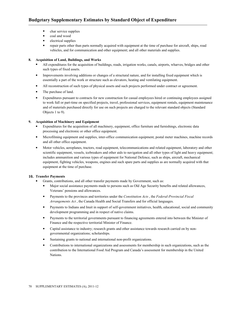- **•** char service supplies
- coal and wood
- $\blacksquare$  electrical supplies
- repair parts other than parts normally acquired with equipment at the time of purchase for aircraft, ships, road vehicles, and for communication and other equipment; and all other materials and supplies.

## **8. Acquisition of Land, Buildings, and Works**

- All expenditures for the acquisition of buildings, roads, irrigation works, canals, airports, wharves, bridges and other such types of fixed assets.
- **IMPROVERGENT:** Improvements involving additions or changes of a structural nature, and for installing fixed equipment which is essentially a part of the work or structure such as elevators, heating and ventilating equipment.
- If All reconstruction of such types of physical assets and such projects performed under contract or agreement.
- The purchase of land.
- Expenditures pursuant to contracts for new construction for casual employees hired or continuing employees assigned to work full or part-time on specified projects, travel, professional services, equipment rentals, equipment maintenance and of materials purchased directly for use on such projects are charged to the relevant standard objects (Standard Objects 1 to 9).

## **9. Acquisition of Machinery and Equipment**

- Expenditures for the acquisition of all machinery, equipment, office furniture and furnishings, electronic data processing and electronic or other office equipment.
- Microfilming equipment and supplies, inter-office communication equipment, postal meter machines, machine records and all other office equipment.
- Motor vehicles, aeroplanes, tractors, road equipment, telecommunications and related equipment, laboratory and other scientific equipment, vessels, icebreakers and other aids to navigation and all other types of light and heavy equipment; includes ammunition and various types of equipment for National Defence, such as ships, aircraft, mechanical equipment, fighting vehicles, weapons, engines and such spare parts and supplies as are normally acquired with that equipment at the time of purchase.

## **10. Transfer Payments**

- Grants, contributions, and all other transfer payments made by Government, such as:
	- Major social assistance payments made to persons such as Old Age Security benefits and related allowances, Veterans' pensions and allowances.
	- Payments to the provinces and territories under the *Constitution Acts* , the *Federal-Provincial Fiscal Arrangements Act* , the Canada Health and Social Transfers and for official languages.
	- Payments to Indians and Inuit in support of self-government initiatives, health, educational, social and community development programming and in respect of native claims.
	- **Payments to the territorial governments pursuant to financing agreements entered into between the Minister of** Finance and the respective territorial Minister of Finance.
	- Capital assistance to industry; research grants and other assistance towards research carried on by nongovernmental organizations; scholarships.
	- Sustaining grants to national and international non-profit organizations.
	- Contributions to international organizations and assessments for membership in such organizations, such as the contribution to the International Food Aid Program and Canada's assessment for membership in the United Nations.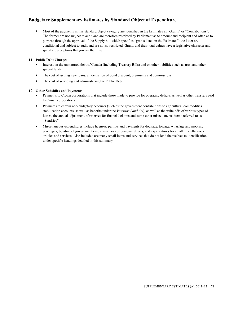Most of the payments in this standard object category are identified in the Estimates as "Grants" or "Contributions". The former are not subject to audit and are therefore restricted by Parliament as to amount and recipient and often as to purpose through the approval of the Supply bill which specifies "grants listed in the Estimates"; the latter are conditional and subject to audit and are not so restricted. Grants and their total values have a legislative character and specific descriptions that govern their use.

## **11. Public Debt Charges**

- Interest on the unmatured debt of Canada (including Treasury Bills) and on other liabilities such as trust and other special funds.
- The cost of issuing new loans, amortization of bond discount, premiums and commissions.
- The cost of servicing and administering the Public Debt.

## **12. Other Subsidies and Payments**

- Payments to Crown corporations that include those made to provide for operating deficits as well as other transfers paid to Crown corporations.
- Payments to certain non-budgetary accounts (such as the government contributions to agricultural commodities stabilization accounts, as well as benefits under the *Veterans Land Act*), as well as the write-offs of various types of losses, the annual adjustment of reserves for financial claims and some other miscellaneous items referred to as "Sundries".
- Miscellaneous expenditures include licenses, permits and payments for dockage, towage, wharfage and mooring privileges; bonding of government employees, loss of personal effects, and expenditures for small miscellaneous articles and services. Also included are many small items and services that do not lend themselves to identification under specific headings detailed in this summary.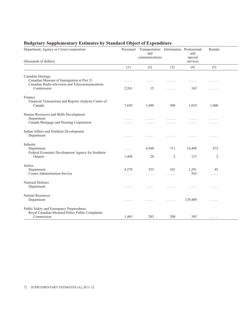| Department, Agency or Crown corporation                                                       | Personnel     | Transportation Information Professional<br>and<br>communications |                                        | and<br>special | Rentals        |
|-----------------------------------------------------------------------------------------------|---------------|------------------------------------------------------------------|----------------------------------------|----------------|----------------|
| (thousands of dollars)                                                                        |               |                                                                  |                                        | services       |                |
|                                                                                               | (1)           | (2)                                                              | (3)                                    | (4)            | (5)            |
| Canadian Heritage                                                                             |               |                                                                  |                                        |                |                |
| Canadian Museum of Immigration at Pier 21<br>Canadian Radio-television and Telecommunications | .             | $\cdots$                                                         | .                                      | .              | .              |
| Commission                                                                                    | 2,261         | 15                                                               | $\cdots$                               | 162            | .              |
| Finance<br>Financial Transactions and Reports Analysis Centre of<br>Canada                    | 7,650         | 1,690                                                            | 500                                    | 1,010          | 1,000          |
|                                                                                               |               |                                                                  |                                        |                |                |
| Human Resources and Skills Development                                                        |               |                                                                  |                                        |                |                |
| Department<br>Canada Mortgage and Housing Corporation                                         | .<br>$\cdots$ | .<br>.                                                           | .<br>.                                 | .<br>.         | .<br>.         |
|                                                                                               |               |                                                                  |                                        |                |                |
| Indian Affairs and Northern Development<br>Department                                         | .             | .                                                                | .                                      | .              | .              |
| Industry                                                                                      |               |                                                                  |                                        |                |                |
| Department                                                                                    | $\cdots$      | 4,948                                                            | 711                                    | 14,498         | 472            |
| Federal Economic Development Agency for Southern<br>Ontario                                   | 1,494         | 28                                                               | $\overline{2}$                         | 137            | $\overline{2}$ |
| Justice                                                                                       |               |                                                                  |                                        |                |                |
| Department                                                                                    | 4,579         | 555                                                              | 101                                    | 1,291          | 45             |
| <b>Courts Administration Service</b>                                                          | .             | 1.1.1.1                                                          | 1.1.1.1                                | 563            | .              |
| National Defence                                                                              |               |                                                                  |                                        |                |                |
| Department                                                                                    | .             | $\cdots$                                                         | .                                      | .              | .              |
| <b>Natural Resources</b>                                                                      |               |                                                                  |                                        |                |                |
| Department                                                                                    | .             | $\cdots$                                                         | $\mathbb{Z}^n$ . In the $\mathbb{Z}^n$ | 129,400        | $\cdots$       |
| Public Safety and Emergency Preparedness                                                      |               |                                                                  |                                        |                |                |
| Royal Canadian Mounted Police Public Complaints                                               |               |                                                                  |                                        |                |                |
| Commission                                                                                    | 1,465         | 283                                                              | 200                                    | 345            | $\cdots$       |

# **Budgetary Supplementary Estimates by Standard Object of Expenditure**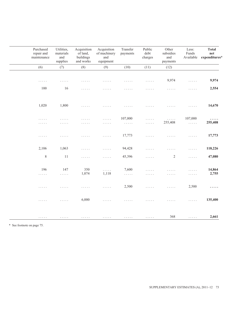| <b>Total</b><br>$_{\rm net}$<br>expenditures* | Less:<br>Funds<br>Available                                 | Other<br>subsidies<br>and<br>payments      | Public<br>debt<br>charges          | Transfer<br>payments               | Acquisition<br>of machinery<br>and<br>equipment    | Acquisition<br>of land,<br>buildings<br>and works | Utilities,<br>materials<br>and<br>supplies | Purchased<br>repair and<br>maintenance             |
|-----------------------------------------------|-------------------------------------------------------------|--------------------------------------------|------------------------------------|------------------------------------|----------------------------------------------------|---------------------------------------------------|--------------------------------------------|----------------------------------------------------|
|                                               |                                                             | (12)                                       | (11)                               | (10)                               | (9)                                                | (8)                                               | (7)                                        | (6)                                                |
| 9,974                                         | .                                                           | 9,974                                      | $\ldots$                           | 1.1.1.1                            | $\mathbb{Z}^n$ . $\mathbb{Z}^n$ , $\mathbb{Z}^n$ , | $\cdots$                                          | $\sim$ $\sim$ $\sim$ $\sim$ $\sim$         | $\sim$ $\sim$ $\sim$ $\sim$ $\sim$                 |
| 2,554                                         | $\cdots$                                                    | $\ldots$                                   | .                                  | .                                  | $\ldots$                                           | $\ldots$                                          | $16\,$                                     | $100\,$                                            |
| 14,670                                        | $\sim$ $\sim$ $\sim$ $\sim$ $\sim$                          | .                                          | .                                  | .                                  | $\cdots$                                           | 1.1.1.1                                           | 1,800                                      | 1,020                                              |
| .<br>255,408                                  | 107,000<br>$\mathbb{Z}^2$ . $\mathbb{Z}^2$ , $\mathbb{Z}^2$ | $\bar{z}$ is a set<br>255,408              | .<br>$\cdots$                      | 107,000<br>.                       | $\ldots$<br>.                                      | .<br>.                                            | .<br>.                                     | $\cdots$<br>.                                      |
| 17,773                                        | $\mathbb{Z}^2$ . $\mathbb{Z}^2$ , $\mathbb{Z}^2$            | 1.1.1.1                                    | 1.1.1.1                            | 17,773                             | .                                                  | 1.1.1.1                                           | 1.1.1.1                                    | $\mathbb{Z}^n$ . $\mathbb{Z}^n$ , $\mathbb{Z}^n$ , |
| 118,226                                       | $\mathbb{Z}^2$ . $\mathbb{Z}^2$ , $\mathbb{Z}^2$            | $\mathbb{Z}^n$ . The set of $\mathbb{Z}^n$ | $\ldots$                           | 94,428                             | $\ldots$                                           | $\ldots$                                          | 1,063                                      | 2,106                                              |
| 47,080                                        | $\mathbb{Z}^2$ . $\mathbb{Z}^2$ , $\mathbb{Z}^2$            | $\sqrt{2}$                                 | $\ldots$                           | 45,396                             | $\ldots$                                           | .                                                 | 11                                         | $\,8$                                              |
| 14,864<br>2,755                               | .<br>$\cdots$                                               | .<br>$\ldots$                              | .<br>$\cdots$                      | 7,600<br>.                         | .<br>1,118                                         | 350<br>1,074                                      | 147<br>$\sim$ $\sim$ $\sim$ $\sim$         | 196<br>$\ldots$                                    |
| .                                             | 2,500                                                       | $\ldots$                                   | .                                  | 2,500                              | $\ldots$                                           | 1.1.1.1                                           | $\sim$ $\sim$ $\sim$ $\sim$ $\sim$         | $\ldots$                                           |
| 135,400                                       | $\mathbb{Z}^n$ . In the $\mathbb{Z}^n$                      | $\cdots$                                   | .                                  | .                                  | $\ldots$                                           | 6,000                                             | $\cdots$                                   | $\ldots$                                           |
| 2,661                                         | .                                                           | 368                                        | $\sim$ $\sim$ $\sim$ $\sim$ $\sim$ | $\sim$ $\sim$ $\sim$ $\sim$ $\sim$ | $\ldots$                                           | $\sim$ $\sim$ $\sim$ $\sim$ $\sim$                | $\sim$ $\sim$ $\sim$ $\sim$ $\sim$         | $\ldots$                                           |

\* See footnote on page 75.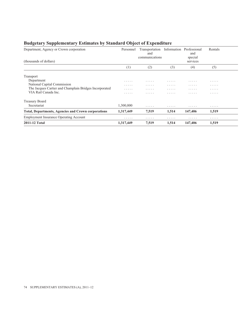| Department, Agency or Crown corporation<br>(thousands of dollars) | Personnel | Transportation<br>and<br>communications | Information | Professional<br>and<br>special<br>services | Rentals |  |
|-------------------------------------------------------------------|-----------|-----------------------------------------|-------------|--------------------------------------------|---------|--|
|                                                                   | (1)       | (2)                                     | (3)         | (4)                                        | (5)     |  |
| Transport                                                         |           |                                         |             |                                            |         |  |
| Department                                                        | .         | .                                       | .           | .                                          | .       |  |
| National Capital Commission                                       | .         | .                                       | .           | .                                          | .       |  |
| The Jacques Cartier and Champlain Bridges Incorporated            | .         | .                                       | .           | .                                          | .       |  |
| VIA Rail Canada Inc.                                              | .         | .                                       | .           | .                                          | .       |  |
| <b>Treasury Board</b>                                             |           |                                         |             |                                            |         |  |
| Secretariat                                                       | 1,300,000 | .                                       | .           | .                                          | .       |  |
| <b>Total, Departments, Agencies and Crown corporations</b>        | 1,317,449 | 7,519                                   | 1,514       | 147,406                                    | 1,519   |  |
| <b>Employment Insurance Operating Account</b>                     | .         | .                                       | .           | .                                          | .       |  |
| 2011-12 Total                                                     | 1,317,449 | 7,519                                   | 1,514       | 147,406                                    | 1,519   |  |

# **Budgetary Supplementary Estimates by Standard Object of Expenditure**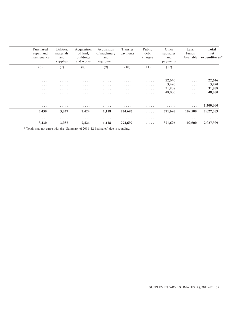| Purchased<br>repair and<br>maintenance | Utilities,<br>materials<br>and<br>supplies | Acquisition<br>of land,<br>buildings<br>and works | Acquisition<br>of machinery<br>and<br>equipment | Transfer<br>payments | Public<br>debt<br>charges | Other<br>subsidies<br>and<br>payments | Less:<br>Funds<br>Available | <b>Total</b><br>net<br>expenditures* |
|----------------------------------------|--------------------------------------------|---------------------------------------------------|-------------------------------------------------|----------------------|---------------------------|---------------------------------------|-----------------------------|--------------------------------------|
| (6)                                    | (7)                                        | (8)                                               | (9)                                             | (10)                 | (11)                      | (12)                                  |                             |                                      |
|                                        |                                            |                                                   |                                                 |                      |                           |                                       |                             |                                      |
| .                                      | .                                          | .                                                 | .                                               | .                    | .                         | 22,646                                | .                           | 22,646                               |
| .                                      | .                                          | .                                                 | .                                               | .                    | .                         | 3,490                                 | .                           | 3,490                                |
| .                                      | .                                          | .                                                 | .                                               | .                    | .                         | 31,808                                | .                           | 31,808                               |
| .                                      | .                                          | .                                                 | .                                               | .                    | .                         | 48,000                                | .                           | 48,000                               |
| .                                      | .                                          | .                                                 | .                                               | .                    | .                         | .                                     | .                           | 1,300,000                            |
| 3,430                                  | 3,037                                      | 7,424                                             | 1,118                                           | 274,697              | .                         | 371,696                               | 109,500                     | 2,027,309                            |
| .                                      | .                                          | .                                                 | .                                               | .                    | .                         | .                                     | .                           | .                                    |
| 3,430                                  | 3,037                                      | 7,424                                             | 1,118                                           | 274,697              | .                         | 371,696                               | 109,500                     | 2,027,309                            |

\* Totals may not agree with the "Summary of 2011–12 Estimates" due to rounding.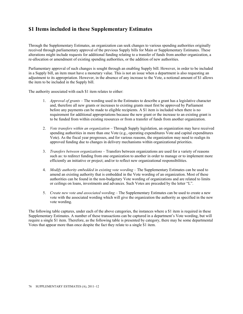## **\$1 Items included in these Supplementary Estimates**

Through the Supplementary Estimates, an organization can seek changes to various spending authorities originally received through parliamentary approval of the previous Supply bills for Main or Supplementary Estimates. These alterations might include requests for additional funding relating to a transfer of funds from another organization, a re-allocation or amendment of existing spending authorities, or the addition of new authorities.

Parliamentary approval of such changes is sought through an enabling Supply bill. However, in order to be included in a Supply bill, an item must have a monetary value. This is not an issue when a department is also requesting an adjustment to its appropriation. However, in the absence of any increase to the Vote, a notional amount of \$1 allows the item to be included in the Supply bill.

The authority associated with each \$1 item relates to either:

- 1. *Approval of grants* The wording used in the Estimates to describe a grant has a legislative character and, therefore all new grants or increases to existing grants must first be approved by Parliament before any payments can be made to eligible recipients. A \$1 item is included when there is no requirement for additional appropriations because the new grant or the increase to an existing grant is to be funded from within existing resources or from a transfer of funds from another organization.
- 2. *Vote transfers within an organization* Through Supply legislation, an organization may have received spending authorities in more than one Vote (e.g., operating expenditures Vote and capital expenditures Vote). As the fiscal year progresses, and for various reasons, the organization may need to realign its approved funding due to changes in delivery mechanisms within organizational priorities.
- 3. *Transfers between organizations* Transfers between organizations are used for a variety of reasons such as: to redirect funding from one organization to another in order to manage or to implement more efficiently an initiative or project; and/or to reflect new organizational responsibilities.
- 4. *Modify authority embedded in existing vote wording* The Supplementary Estimates can be used to amend an existing authority that is embedded in the Vote wording of an organization. Most of these authorities can be found in the non-budgetary Vote wording of organizations and are related to limits or ceilings on loans, investments and advances. Such Votes are preceded by the letter "L".
- 5. *Create new vote and associated wording* The Supplementary Estimates can be used to create a new vote with the associated wording which will give the organization the authority as specified in the new vote wording.

The following table captures, under each of the above categories, the instances where a \$1 item is required in these Supplementary Estimates. A number of these transactions can be captured in a department's Vote wording, but will require a single \$1 item. Therefore, as the following table is presented by category, there may be some departmental Votes that appear more than once despite the fact they relate to a single \$1 item.